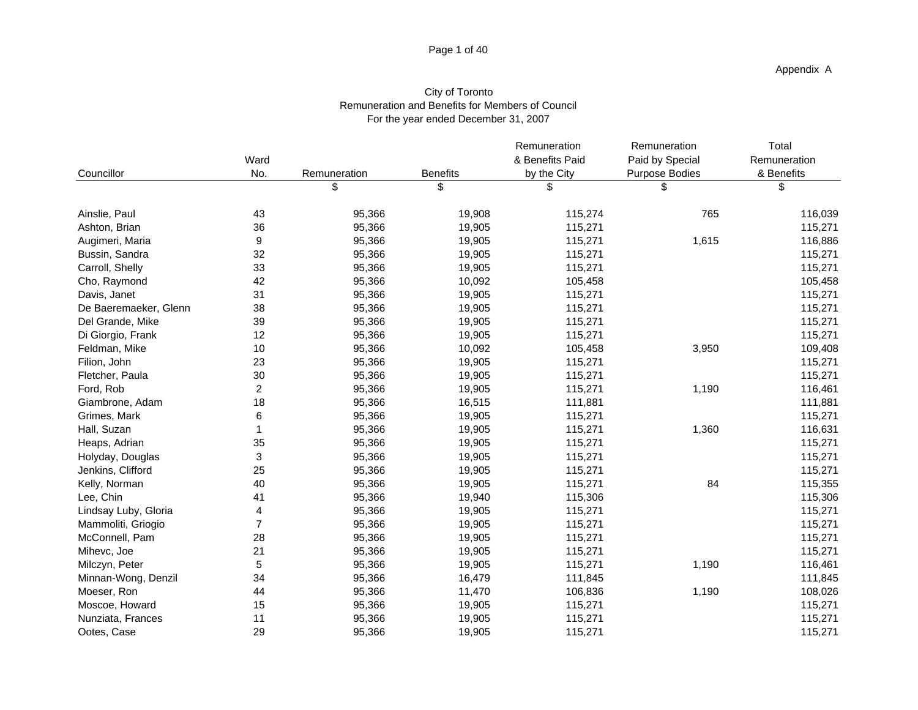## Page 1 of 40

## City of Toronto Remuneration and Benefits for Members of Council For the year ended December 31, 2007

| Councillor            | Ward<br>No.    | Remuneration | <b>Benefits</b> | Remuneration<br>& Benefits Paid<br>by the City | Remuneration<br>Paid by Special<br><b>Purpose Bodies</b> | Total<br>Remuneration<br>& Benefits |
|-----------------------|----------------|--------------|-----------------|------------------------------------------------|----------------------------------------------------------|-------------------------------------|
|                       |                | \$           | \$              | \$                                             | \$                                                       | \$                                  |
| Ainslie, Paul         | 43             | 95,366       | 19,908          | 115,274                                        | 765                                                      | 116,039                             |
| Ashton, Brian         | 36             | 95,366       | 19,905          | 115,271                                        |                                                          | 115,271                             |
| Augimeri, Maria       | 9              | 95,366       | 19,905          | 115,271                                        | 1,615                                                    | 116,886                             |
| Bussin, Sandra        | 32             | 95,366       | 19,905          | 115,271                                        |                                                          | 115,271                             |
| Carroll, Shelly       | 33             | 95,366       | 19,905          | 115,271                                        |                                                          | 115,271                             |
| Cho, Raymond          | 42             | 95,366       | 10,092          | 105,458                                        |                                                          | 105,458                             |
| Davis, Janet          | 31             | 95,366       | 19,905          | 115,271                                        |                                                          | 115,271                             |
| De Baeremaeker, Glenn | 38             | 95,366       | 19,905          | 115,271                                        |                                                          | 115,271                             |
| Del Grande, Mike      | 39             | 95,366       | 19,905          | 115,271                                        |                                                          | 115,271                             |
| Di Giorgio, Frank     | 12             | 95,366       | 19,905          | 115,271                                        |                                                          | 115,271                             |
| Feldman, Mike         | 10             | 95,366       | 10,092          | 105,458                                        | 3,950                                                    | 109,408                             |
| Filion, John          | 23             | 95,366       | 19,905          | 115,271                                        |                                                          | 115,271                             |
| Fletcher, Paula       | 30             | 95,366       | 19,905          | 115,271                                        |                                                          | 115,271                             |
| Ford, Rob             | $\overline{c}$ | 95,366       | 19,905          | 115,271                                        | 1,190                                                    | 116,461                             |
| Giambrone, Adam       | 18             | 95,366       | 16,515          | 111,881                                        |                                                          | 111,881                             |
| Grimes, Mark          | 6              | 95,366       | 19,905          | 115,271                                        |                                                          | 115,271                             |
| Hall, Suzan           | 1              | 95,366       | 19,905          | 115,271                                        | 1,360                                                    | 116,631                             |
| Heaps, Adrian         | 35             | 95,366       | 19,905          | 115,271                                        |                                                          | 115,271                             |
| Holyday, Douglas      | 3              | 95,366       | 19,905          | 115,271                                        |                                                          | 115,271                             |
| Jenkins, Clifford     | 25             | 95,366       | 19,905          | 115,271                                        |                                                          | 115,271                             |
| Kelly, Norman         | 40             | 95,366       | 19,905          | 115,271                                        | 84                                                       | 115,355                             |
| Lee, Chin             | 41             | 95,366       | 19,940          | 115,306                                        |                                                          | 115,306                             |
| Lindsay Luby, Gloria  | 4              | 95,366       | 19,905          | 115,271                                        |                                                          | 115,271                             |
| Mammoliti, Griogio    | $\overline{7}$ | 95,366       | 19,905          | 115,271                                        |                                                          | 115,271                             |
| McConnell, Pam        | 28             | 95,366       | 19,905          | 115,271                                        |                                                          | 115,271                             |
| Mihevc, Joe           | 21             | 95,366       | 19,905          | 115,271                                        |                                                          | 115,271                             |
| Milczyn, Peter        | 5              | 95,366       | 19,905          | 115,271                                        | 1,190                                                    | 116,461                             |
| Minnan-Wong, Denzil   | 34             | 95,366       | 16,479          | 111,845                                        |                                                          | 111,845                             |
| Moeser, Ron           | 44             | 95,366       | 11,470          | 106,836                                        | 1,190                                                    | 108,026                             |
| Moscoe, Howard        | 15             | 95,366       | 19,905          | 115,271                                        |                                                          | 115,271                             |
| Nunziata, Frances     | 11             | 95,366       | 19,905          | 115,271                                        |                                                          | 115,271                             |
| Ootes, Case           | 29             | 95,366       | 19,905          | 115,271                                        |                                                          | 115,271                             |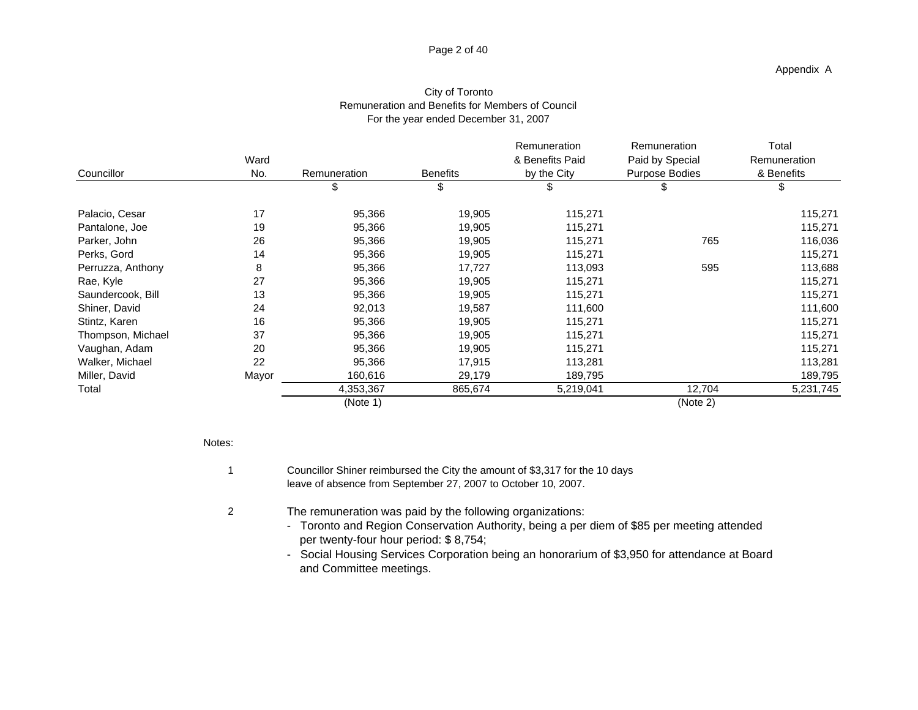## Page 2 of 40

|                   |       |              |                 | Remuneration    | Remuneration    | Total        |
|-------------------|-------|--------------|-----------------|-----------------|-----------------|--------------|
|                   | Ward  |              |                 | & Benefits Paid | Paid by Special | Remuneration |
| Councillor        | No.   | Remuneration | <b>Benefits</b> | by the City     | Purpose Bodies  | & Benefits   |
|                   |       |              | \$              | \$              | \$              |              |
| Palacio, Cesar    | 17    | 95,366       | 19,905          | 115,271         |                 | 115,271      |
| Pantalone, Joe    | 19    | 95,366       | 19,905          | 115,271         |                 | 115,271      |
| Parker, John      | 26    | 95,366       | 19,905          | 115,271         | 765             | 116,036      |
| Perks, Gord       | 14    | 95,366       | 19,905          | 115,271         |                 | 115,271      |
| Perruzza, Anthony | 8     | 95,366       | 17,727          | 113,093         | 595             | 113,688      |
| Rae, Kyle         | 27    | 95,366       | 19,905          | 115,271         |                 | 115,271      |
| Saundercook, Bill | 13    | 95,366       | 19,905          | 115,271         |                 | 115,271      |
| Shiner, David     | 24    | 92,013       | 19,587          | 111,600         |                 | 111,600      |
| Stintz, Karen     | 16    | 95,366       | 19,905          | 115,271         |                 | 115,271      |
| Thompson, Michael | 37    | 95,366       | 19,905          | 115,271         |                 | 115,271      |
| Vaughan, Adam     | 20    | 95,366       | 19,905          | 115,271         |                 | 115,271      |
| Walker, Michael   | 22    | 95,366       | 17,915          | 113,281         |                 | 113,281      |
| Miller, David     | Mayor | 160,616      | 29,179          | 189,795         |                 | 189,795      |
| Total             |       | 4,353,367    | 865,674         | 5,219,041       | 12,704          | 5,231,745    |
|                   |       | (Note 1)     |                 |                 | (Note 2)        |              |

## City of Toronto Remuneration and Benefits for Members of Council For the year ended December 31, 2007

Notes:

2

- 
- 1 Councillor Shiner reimbursed the City the amount of \$3,317 for the 10 days leave of absence from September 27, 2007 to October 10, 2007.
	- The remuneration was paid by the following organizations:
		- Toronto and Region Conservation Authority, being a per diem of \$85 per meeting attended per twenty-four hour period: \$ 8,754;
		- and Committee meetings. - Social Housing Services Corporation being an honorarium of \$3,950 for attendance at Board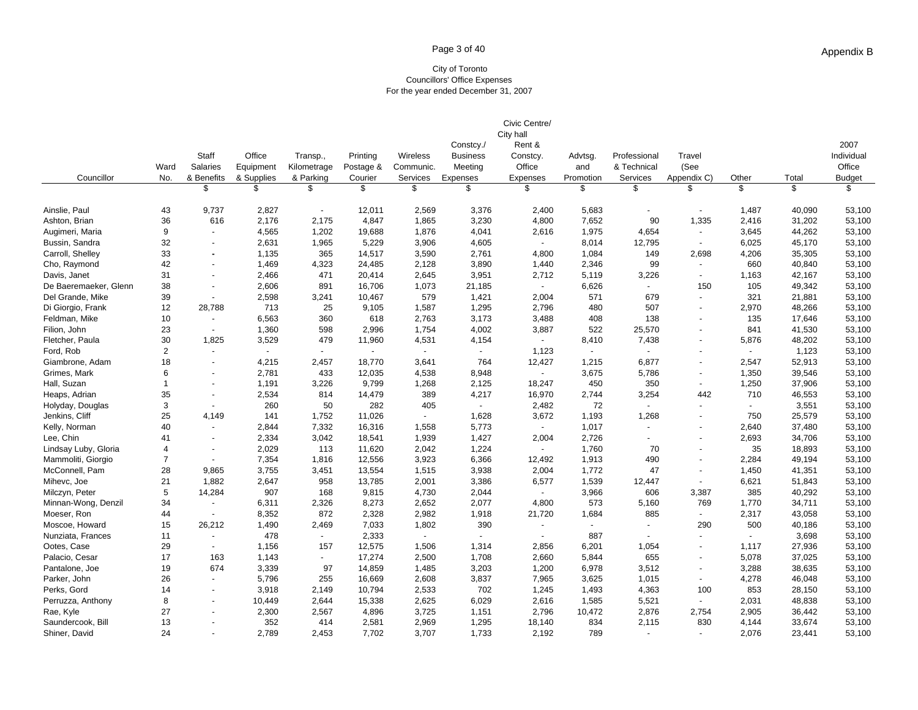## Page 3 of 40

#### City of Toronto Councillors' Office Expenses For the year ended December 31, 2007

| City hall<br>Rent &<br>2007<br>Constcy./<br>Office<br>Staff<br>Printing<br>Individual<br>Transp.,<br>Wireless<br><b>Business</b><br>Advtsg.<br>Professional<br>Travel<br>Constcy.<br>Office<br>Ward<br>Office<br>(See<br><b>Salaries</b><br>Equipment<br>Kilometrage<br>Postage &<br>Communic.<br>Meeting<br>& Technical<br>and<br>Councillor<br>No.<br>& Benefits<br>& Supplies<br>& Parking<br>Courier<br>Services<br>Expenses<br>Expenses<br>Promotion<br>Services<br>Appendix C)<br>Other<br>Total<br><b>Budget</b><br>\$<br>\$<br>\$<br>\$<br>$\mathfrak{L}$<br>\$<br>\$<br>\$<br>\$<br>\$<br>\$<br>\$<br>\$<br>Ainslie, Paul<br>43<br>9,737<br>2,827<br>12,011<br>2,569<br>3,376<br>2,400<br>5,683<br>1,487<br>40,090<br>53,100<br>$\overline{\phantom{a}}$<br>$\overline{a}$<br>36<br>616<br>2,176<br>4,847<br>3,230<br>7,652<br>90<br>1,335<br>53,100<br>Ashton, Brian<br>2,175<br>1,865<br>4,800<br>2,416<br>31,202<br>9<br>1,202<br>1,975<br>4,654<br>44,262<br>53,100<br>Augimeri, Maria<br>4,565<br>19,688<br>1,876<br>4,041<br>2,616<br>3,645<br>$\sim$<br>32<br>1,965<br>5,229<br>4,605<br>8,014<br>Bussin, Sandra<br>2,631<br>3,906<br>12,795<br>6,025<br>45,170<br>53,100<br>$\sim$<br>$\sim$<br>33<br>Carroll, Shelley<br>1,135<br>365<br>14,517<br>3,590<br>2,761<br>4,800<br>1,084<br>149<br>2,698<br>4,206<br>35,305<br>53,100<br>42<br>3,890<br>2,346<br>660<br>53,100<br>Cho, Raymond<br>1,469<br>4,323<br>24,485<br>2,128<br>1,440<br>99<br>40,840<br>$\sim$<br>$\blacksquare$<br>471<br>3,951<br>Davis, Janet<br>31<br>2,466<br>20,414<br>2,645<br>2,712<br>5,119<br>3,226<br>1,163<br>42,167<br>53,100<br>$\blacksquare$<br>$\overline{\phantom{a}}$<br>38<br>891<br>6,626<br>105<br>2,606<br>16,706<br>1,073<br>21,185<br>150<br>49,342<br>53,100<br>De Baeremaeker, Glenn<br>$\blacksquare$<br>$\sim$<br>321<br>Del Grande, Mike<br>39<br>2,598<br>3,241<br>10,467<br>579<br>1,421<br>2,004<br>571<br>679<br>21,881<br>53,100<br>$\overline{a}$<br>28.788<br>1,295<br>507<br>2,970<br>Di Giorgio, Frank<br>12<br>713<br>25<br>9,105<br>1,587<br>2,796<br>480<br>48,266<br>53,100<br>10<br>6,563<br>360<br>3,173<br>408<br>138<br>135<br>Feldman, Mike<br>618<br>2,763<br>3,488<br>17,646<br>53,100<br>23<br>598<br>4,002<br>522<br>25,570<br>Filion, John<br>1,360<br>2,996<br>1,754<br>3,887<br>841<br>41,530<br>53,100<br>$\sim$<br>30<br>Fletcher, Paula<br>1,825<br>3,529<br>479<br>11,960<br>4,531<br>4,154<br>8,410<br>7,438<br>5,876<br>48,202<br>53,100<br>$\sim$<br>2<br>Ford, Rob<br>1,123<br>1,123<br>53,100<br>$\blacksquare$<br>$\blacksquare$<br>$\overline{\phantom{a}}$<br>$\sim$<br>$\overline{\phantom{a}}$<br>$\blacksquare$<br>$\sim$<br>$\overline{\phantom{a}}$<br>$\blacksquare$<br>18<br>4,215<br>2,457<br>18,770<br>3,641<br>764<br>12,427<br>1,215<br>6,877<br>2,547<br>52,913<br>53,100<br>Giambrone, Adam<br>6<br>Grimes, Mark<br>2,781<br>433<br>12,035<br>8,948<br>3,675<br>1,350<br>53,100<br>4,538<br>5,786<br>39,546<br>$\sim$<br>$\overline{a}$<br>$\overline{\phantom{a}}$<br>Hall, Suzan<br>$\mathbf{1}$<br>1,191<br>3,226<br>9,799<br>1,268<br>2,125<br>18,247<br>450<br>350<br>1,250<br>37,906<br>53,100<br>35<br>2,534<br>814<br>14,479<br>389<br>4,217<br>16,970<br>2,744<br>3,254<br>442<br>710<br>46,553<br>53,100<br>Heaps, Adrian<br>3<br>260<br>282<br>72<br>3,551<br>50<br>405<br>2,482<br>53,100<br>Holyday, Douglas<br>$\blacksquare$<br>25<br>Jenkins, Cliff<br>4.149<br>141<br>1,752<br>11,026<br>1,628<br>3,672<br>1,193<br>1,268<br>750<br>25,579<br>53,100<br>$\blacksquare$<br>40<br>7,332<br>16,316<br>5,773<br>1,017<br>2,640<br>37,480<br>53,100<br>Kelly, Norman<br>2,844<br>1,558<br>$\sim$<br>$\sim$<br>÷,<br>Lee, Chin<br>41<br>2,334<br>3,042<br>18,541<br>1,939<br>1,427<br>2,004<br>2,726<br>2,693<br>34,706<br>53,100<br>٠<br>$\overline{4}$<br>2,029<br>113<br>11,620<br>2,042<br>1,224<br>1,760<br>70<br>35<br>18,893<br>53,100<br>Lindsay Luby, Gloria<br>$\sim$<br>$\overline{\phantom{a}}$<br>$\overline{7}$<br>1,913<br>Mammoliti, Giorgio<br>7,354<br>1,816<br>12,556<br>3,923<br>6,366<br>490<br>2,284<br>49,194<br>53,100<br>12,492<br>McConnell, Pam<br>28<br>3,755<br>3,451<br>13,554<br>3,938<br>1,772<br>47<br>1,450<br>53,100<br>9,865<br>1,515<br>2,004<br>41,351<br>$\overline{\phantom{a}}$<br>21<br>1,882<br>2,647<br>958<br>13,785<br>2,001<br>3,386<br>1,539<br>6,621<br>51,843<br>53,100<br>Mihevc, Joe<br>6,577<br>12,447<br>5<br>3,966<br>385<br>Milczyn, Peter<br>14,284<br>907<br>168<br>9,815<br>4,730<br>2,044<br>606<br>3,387<br>40,292<br>53,100<br>$\sim$<br>Minnan-Wong, Denzil<br>34<br>6,311<br>2,326<br>8,273<br>2,652<br>2,077<br>4,800<br>573<br>5,160<br>769<br>1,770<br>53,100<br>34,711<br>872<br>44<br>8,352<br>2,328<br>2,982<br>1,918<br>1,684<br>885<br>2,317<br>43,058<br>53,100<br>Moeser, Ron<br>21,720<br>$\sim$<br>$\sim$<br>15<br>26,212<br>1,490<br>2,469<br>7,033<br>390<br>290<br>500<br>53,100<br>Moscoe, Howard<br>1,802<br>40,186<br>$\blacksquare$<br>$\overline{\phantom{a}}$<br>$\overline{\phantom{a}}$<br>11<br>478<br>2,333<br>887<br>3,698<br>53,100<br>Nunziata, Frances<br>$\blacksquare$<br>$\overline{\phantom{a}}$<br>$\blacksquare$<br>$\sim$<br>$\overline{a}$<br>Ootes, Case<br>29<br>6,201<br>1,054<br>53,100<br>1,156<br>157<br>12,575<br>1,506<br>1,314<br>2,856<br>1,117<br>27,936<br>$\overline{\phantom{a}}$<br>Palacio, Cesar<br>17<br>163<br>17,274<br>1,708<br>5,844<br>655<br>5,078<br>37,025<br>53,100<br>1,143<br>2,500<br>2,660<br>$\overline{\phantom{a}}$ |                |    |     |       |    |        |       |       | Civic Centre/ |       |       |       |        |        |
|--------------------------------------------------------------------------------------------------------------------------------------------------------------------------------------------------------------------------------------------------------------------------------------------------------------------------------------------------------------------------------------------------------------------------------------------------------------------------------------------------------------------------------------------------------------------------------------------------------------------------------------------------------------------------------------------------------------------------------------------------------------------------------------------------------------------------------------------------------------------------------------------------------------------------------------------------------------------------------------------------------------------------------------------------------------------------------------------------------------------------------------------------------------------------------------------------------------------------------------------------------------------------------------------------------------------------------------------------------------------------------------------------------------------------------------------------------------------------------------------------------------------------------------------------------------------------------------------------------------------------------------------------------------------------------------------------------------------------------------------------------------------------------------------------------------------------------------------------------------------------------------------------------------------------------------------------------------------------------------------------------------------------------------------------------------------------------------------------------------------------------------------------------------------------------------------------------------------------------------------------------------------------------------------------------------------------------------------------------------------------------------------------------------------------------------------------------------------------------------------------------------------------------------------------------------------------------------------------------------------------------------------------------------------------------------------------------------------------------------------------------------------------------------------------------------------------------------------------------------------------------------------------------------------------------------------------------------------------------------------------------------------------------------------------------------------------------------------------------------------------------------------------------------------------------------------------------------------------------------------------------------------------------------------------------------------------------------------------------------------------------------------------------------------------------------------------------------------------------------------------------------------------------------------------------------------------------------------------------------------------------------------------------------------------------------------------------------------------------------------------------------------------------------------------------------------------------------------------------------------------------------------------------------------------------------------------------------------------------------------------------------------------------------------------------------------------------------------------------------------------------------------------------------------------------------------------------------------------------------------------------------------------------------------------------------------------------------------------------------------------------------------------------------------------------------------------------------------------------------------------------------------------------------------------------------------------------------------------------------------------------------------------------------------------------------------------------------------------------------------------------------------------------------------------------------------------------------------------------------------------------------------------------------------------------------------------------------------------------------------------------------------------------------------------------------------------------------------------------------------------------------------------------------------------------------------------------------------------------------------------------------------------------------------------------------------------------------------------------------------------------------------------------------------------------------------------------------------------------------------------------------------------------------------|----------------|----|-----|-------|----|--------|-------|-------|---------------|-------|-------|-------|--------|--------|
|                                                                                                                                                                                                                                                                                                                                                                                                                                                                                                                                                                                                                                                                                                                                                                                                                                                                                                                                                                                                                                                                                                                                                                                                                                                                                                                                                                                                                                                                                                                                                                                                                                                                                                                                                                                                                                                                                                                                                                                                                                                                                                                                                                                                                                                                                                                                                                                                                                                                                                                                                                                                                                                                                                                                                                                                                                                                                                                                                                                                                                                                                                                                                                                                                                                                                                                                                                                                                                                                                                                                                                                                                                                                                                                                                                                                                                                                                                                                                                                                                                                                                                                                                                                                                                                                                                                                                                                                                                                                                                                                                                                                                                                                                                                                                                                                                                                                                                                                                                                                                                                                                                                                                                                                                                                                                                                                                                                                                                                                                                                                            |                |    |     |       |    |        |       |       |               |       |       |       |        |        |
|                                                                                                                                                                                                                                                                                                                                                                                                                                                                                                                                                                                                                                                                                                                                                                                                                                                                                                                                                                                                                                                                                                                                                                                                                                                                                                                                                                                                                                                                                                                                                                                                                                                                                                                                                                                                                                                                                                                                                                                                                                                                                                                                                                                                                                                                                                                                                                                                                                                                                                                                                                                                                                                                                                                                                                                                                                                                                                                                                                                                                                                                                                                                                                                                                                                                                                                                                                                                                                                                                                                                                                                                                                                                                                                                                                                                                                                                                                                                                                                                                                                                                                                                                                                                                                                                                                                                                                                                                                                                                                                                                                                                                                                                                                                                                                                                                                                                                                                                                                                                                                                                                                                                                                                                                                                                                                                                                                                                                                                                                                                                            |                |    |     |       |    |        |       |       |               |       |       |       |        |        |
|                                                                                                                                                                                                                                                                                                                                                                                                                                                                                                                                                                                                                                                                                                                                                                                                                                                                                                                                                                                                                                                                                                                                                                                                                                                                                                                                                                                                                                                                                                                                                                                                                                                                                                                                                                                                                                                                                                                                                                                                                                                                                                                                                                                                                                                                                                                                                                                                                                                                                                                                                                                                                                                                                                                                                                                                                                                                                                                                                                                                                                                                                                                                                                                                                                                                                                                                                                                                                                                                                                                                                                                                                                                                                                                                                                                                                                                                                                                                                                                                                                                                                                                                                                                                                                                                                                                                                                                                                                                                                                                                                                                                                                                                                                                                                                                                                                                                                                                                                                                                                                                                                                                                                                                                                                                                                                                                                                                                                                                                                                                                            |                |    |     |       |    |        |       |       |               |       |       |       |        |        |
|                                                                                                                                                                                                                                                                                                                                                                                                                                                                                                                                                                                                                                                                                                                                                                                                                                                                                                                                                                                                                                                                                                                                                                                                                                                                                                                                                                                                                                                                                                                                                                                                                                                                                                                                                                                                                                                                                                                                                                                                                                                                                                                                                                                                                                                                                                                                                                                                                                                                                                                                                                                                                                                                                                                                                                                                                                                                                                                                                                                                                                                                                                                                                                                                                                                                                                                                                                                                                                                                                                                                                                                                                                                                                                                                                                                                                                                                                                                                                                                                                                                                                                                                                                                                                                                                                                                                                                                                                                                                                                                                                                                                                                                                                                                                                                                                                                                                                                                                                                                                                                                                                                                                                                                                                                                                                                                                                                                                                                                                                                                                            |                |    |     |       |    |        |       |       |               |       |       |       |        |        |
|                                                                                                                                                                                                                                                                                                                                                                                                                                                                                                                                                                                                                                                                                                                                                                                                                                                                                                                                                                                                                                                                                                                                                                                                                                                                                                                                                                                                                                                                                                                                                                                                                                                                                                                                                                                                                                                                                                                                                                                                                                                                                                                                                                                                                                                                                                                                                                                                                                                                                                                                                                                                                                                                                                                                                                                                                                                                                                                                                                                                                                                                                                                                                                                                                                                                                                                                                                                                                                                                                                                                                                                                                                                                                                                                                                                                                                                                                                                                                                                                                                                                                                                                                                                                                                                                                                                                                                                                                                                                                                                                                                                                                                                                                                                                                                                                                                                                                                                                                                                                                                                                                                                                                                                                                                                                                                                                                                                                                                                                                                                                            |                |    |     |       |    |        |       |       |               |       |       |       |        |        |
|                                                                                                                                                                                                                                                                                                                                                                                                                                                                                                                                                                                                                                                                                                                                                                                                                                                                                                                                                                                                                                                                                                                                                                                                                                                                                                                                                                                                                                                                                                                                                                                                                                                                                                                                                                                                                                                                                                                                                                                                                                                                                                                                                                                                                                                                                                                                                                                                                                                                                                                                                                                                                                                                                                                                                                                                                                                                                                                                                                                                                                                                                                                                                                                                                                                                                                                                                                                                                                                                                                                                                                                                                                                                                                                                                                                                                                                                                                                                                                                                                                                                                                                                                                                                                                                                                                                                                                                                                                                                                                                                                                                                                                                                                                                                                                                                                                                                                                                                                                                                                                                                                                                                                                                                                                                                                                                                                                                                                                                                                                                                            |                |    |     |       |    |        |       |       |               |       |       |       |        |        |
|                                                                                                                                                                                                                                                                                                                                                                                                                                                                                                                                                                                                                                                                                                                                                                                                                                                                                                                                                                                                                                                                                                                                                                                                                                                                                                                                                                                                                                                                                                                                                                                                                                                                                                                                                                                                                                                                                                                                                                                                                                                                                                                                                                                                                                                                                                                                                                                                                                                                                                                                                                                                                                                                                                                                                                                                                                                                                                                                                                                                                                                                                                                                                                                                                                                                                                                                                                                                                                                                                                                                                                                                                                                                                                                                                                                                                                                                                                                                                                                                                                                                                                                                                                                                                                                                                                                                                                                                                                                                                                                                                                                                                                                                                                                                                                                                                                                                                                                                                                                                                                                                                                                                                                                                                                                                                                                                                                                                                                                                                                                                            |                |    |     |       |    |        |       |       |               |       |       |       |        |        |
|                                                                                                                                                                                                                                                                                                                                                                                                                                                                                                                                                                                                                                                                                                                                                                                                                                                                                                                                                                                                                                                                                                                                                                                                                                                                                                                                                                                                                                                                                                                                                                                                                                                                                                                                                                                                                                                                                                                                                                                                                                                                                                                                                                                                                                                                                                                                                                                                                                                                                                                                                                                                                                                                                                                                                                                                                                                                                                                                                                                                                                                                                                                                                                                                                                                                                                                                                                                                                                                                                                                                                                                                                                                                                                                                                                                                                                                                                                                                                                                                                                                                                                                                                                                                                                                                                                                                                                                                                                                                                                                                                                                                                                                                                                                                                                                                                                                                                                                                                                                                                                                                                                                                                                                                                                                                                                                                                                                                                                                                                                                                            |                |    |     |       |    |        |       |       |               |       |       |       |        |        |
|                                                                                                                                                                                                                                                                                                                                                                                                                                                                                                                                                                                                                                                                                                                                                                                                                                                                                                                                                                                                                                                                                                                                                                                                                                                                                                                                                                                                                                                                                                                                                                                                                                                                                                                                                                                                                                                                                                                                                                                                                                                                                                                                                                                                                                                                                                                                                                                                                                                                                                                                                                                                                                                                                                                                                                                                                                                                                                                                                                                                                                                                                                                                                                                                                                                                                                                                                                                                                                                                                                                                                                                                                                                                                                                                                                                                                                                                                                                                                                                                                                                                                                                                                                                                                                                                                                                                                                                                                                                                                                                                                                                                                                                                                                                                                                                                                                                                                                                                                                                                                                                                                                                                                                                                                                                                                                                                                                                                                                                                                                                                            |                |    |     |       |    |        |       |       |               |       |       |       |        |        |
|                                                                                                                                                                                                                                                                                                                                                                                                                                                                                                                                                                                                                                                                                                                                                                                                                                                                                                                                                                                                                                                                                                                                                                                                                                                                                                                                                                                                                                                                                                                                                                                                                                                                                                                                                                                                                                                                                                                                                                                                                                                                                                                                                                                                                                                                                                                                                                                                                                                                                                                                                                                                                                                                                                                                                                                                                                                                                                                                                                                                                                                                                                                                                                                                                                                                                                                                                                                                                                                                                                                                                                                                                                                                                                                                                                                                                                                                                                                                                                                                                                                                                                                                                                                                                                                                                                                                                                                                                                                                                                                                                                                                                                                                                                                                                                                                                                                                                                                                                                                                                                                                                                                                                                                                                                                                                                                                                                                                                                                                                                                                            |                |    |     |       |    |        |       |       |               |       |       |       |        |        |
|                                                                                                                                                                                                                                                                                                                                                                                                                                                                                                                                                                                                                                                                                                                                                                                                                                                                                                                                                                                                                                                                                                                                                                                                                                                                                                                                                                                                                                                                                                                                                                                                                                                                                                                                                                                                                                                                                                                                                                                                                                                                                                                                                                                                                                                                                                                                                                                                                                                                                                                                                                                                                                                                                                                                                                                                                                                                                                                                                                                                                                                                                                                                                                                                                                                                                                                                                                                                                                                                                                                                                                                                                                                                                                                                                                                                                                                                                                                                                                                                                                                                                                                                                                                                                                                                                                                                                                                                                                                                                                                                                                                                                                                                                                                                                                                                                                                                                                                                                                                                                                                                                                                                                                                                                                                                                                                                                                                                                                                                                                                                            |                |    |     |       |    |        |       |       |               |       |       |       |        |        |
|                                                                                                                                                                                                                                                                                                                                                                                                                                                                                                                                                                                                                                                                                                                                                                                                                                                                                                                                                                                                                                                                                                                                                                                                                                                                                                                                                                                                                                                                                                                                                                                                                                                                                                                                                                                                                                                                                                                                                                                                                                                                                                                                                                                                                                                                                                                                                                                                                                                                                                                                                                                                                                                                                                                                                                                                                                                                                                                                                                                                                                                                                                                                                                                                                                                                                                                                                                                                                                                                                                                                                                                                                                                                                                                                                                                                                                                                                                                                                                                                                                                                                                                                                                                                                                                                                                                                                                                                                                                                                                                                                                                                                                                                                                                                                                                                                                                                                                                                                                                                                                                                                                                                                                                                                                                                                                                                                                                                                                                                                                                                            |                |    |     |       |    |        |       |       |               |       |       |       |        |        |
|                                                                                                                                                                                                                                                                                                                                                                                                                                                                                                                                                                                                                                                                                                                                                                                                                                                                                                                                                                                                                                                                                                                                                                                                                                                                                                                                                                                                                                                                                                                                                                                                                                                                                                                                                                                                                                                                                                                                                                                                                                                                                                                                                                                                                                                                                                                                                                                                                                                                                                                                                                                                                                                                                                                                                                                                                                                                                                                                                                                                                                                                                                                                                                                                                                                                                                                                                                                                                                                                                                                                                                                                                                                                                                                                                                                                                                                                                                                                                                                                                                                                                                                                                                                                                                                                                                                                                                                                                                                                                                                                                                                                                                                                                                                                                                                                                                                                                                                                                                                                                                                                                                                                                                                                                                                                                                                                                                                                                                                                                                                                            |                |    |     |       |    |        |       |       |               |       |       |       |        |        |
|                                                                                                                                                                                                                                                                                                                                                                                                                                                                                                                                                                                                                                                                                                                                                                                                                                                                                                                                                                                                                                                                                                                                                                                                                                                                                                                                                                                                                                                                                                                                                                                                                                                                                                                                                                                                                                                                                                                                                                                                                                                                                                                                                                                                                                                                                                                                                                                                                                                                                                                                                                                                                                                                                                                                                                                                                                                                                                                                                                                                                                                                                                                                                                                                                                                                                                                                                                                                                                                                                                                                                                                                                                                                                                                                                                                                                                                                                                                                                                                                                                                                                                                                                                                                                                                                                                                                                                                                                                                                                                                                                                                                                                                                                                                                                                                                                                                                                                                                                                                                                                                                                                                                                                                                                                                                                                                                                                                                                                                                                                                                            |                |    |     |       |    |        |       |       |               |       |       |       |        |        |
|                                                                                                                                                                                                                                                                                                                                                                                                                                                                                                                                                                                                                                                                                                                                                                                                                                                                                                                                                                                                                                                                                                                                                                                                                                                                                                                                                                                                                                                                                                                                                                                                                                                                                                                                                                                                                                                                                                                                                                                                                                                                                                                                                                                                                                                                                                                                                                                                                                                                                                                                                                                                                                                                                                                                                                                                                                                                                                                                                                                                                                                                                                                                                                                                                                                                                                                                                                                                                                                                                                                                                                                                                                                                                                                                                                                                                                                                                                                                                                                                                                                                                                                                                                                                                                                                                                                                                                                                                                                                                                                                                                                                                                                                                                                                                                                                                                                                                                                                                                                                                                                                                                                                                                                                                                                                                                                                                                                                                                                                                                                                            |                |    |     |       |    |        |       |       |               |       |       |       |        |        |
|                                                                                                                                                                                                                                                                                                                                                                                                                                                                                                                                                                                                                                                                                                                                                                                                                                                                                                                                                                                                                                                                                                                                                                                                                                                                                                                                                                                                                                                                                                                                                                                                                                                                                                                                                                                                                                                                                                                                                                                                                                                                                                                                                                                                                                                                                                                                                                                                                                                                                                                                                                                                                                                                                                                                                                                                                                                                                                                                                                                                                                                                                                                                                                                                                                                                                                                                                                                                                                                                                                                                                                                                                                                                                                                                                                                                                                                                                                                                                                                                                                                                                                                                                                                                                                                                                                                                                                                                                                                                                                                                                                                                                                                                                                                                                                                                                                                                                                                                                                                                                                                                                                                                                                                                                                                                                                                                                                                                                                                                                                                                            |                |    |     |       |    |        |       |       |               |       |       |       |        |        |
|                                                                                                                                                                                                                                                                                                                                                                                                                                                                                                                                                                                                                                                                                                                                                                                                                                                                                                                                                                                                                                                                                                                                                                                                                                                                                                                                                                                                                                                                                                                                                                                                                                                                                                                                                                                                                                                                                                                                                                                                                                                                                                                                                                                                                                                                                                                                                                                                                                                                                                                                                                                                                                                                                                                                                                                                                                                                                                                                                                                                                                                                                                                                                                                                                                                                                                                                                                                                                                                                                                                                                                                                                                                                                                                                                                                                                                                                                                                                                                                                                                                                                                                                                                                                                                                                                                                                                                                                                                                                                                                                                                                                                                                                                                                                                                                                                                                                                                                                                                                                                                                                                                                                                                                                                                                                                                                                                                                                                                                                                                                                            |                |    |     |       |    |        |       |       |               |       |       |       |        |        |
|                                                                                                                                                                                                                                                                                                                                                                                                                                                                                                                                                                                                                                                                                                                                                                                                                                                                                                                                                                                                                                                                                                                                                                                                                                                                                                                                                                                                                                                                                                                                                                                                                                                                                                                                                                                                                                                                                                                                                                                                                                                                                                                                                                                                                                                                                                                                                                                                                                                                                                                                                                                                                                                                                                                                                                                                                                                                                                                                                                                                                                                                                                                                                                                                                                                                                                                                                                                                                                                                                                                                                                                                                                                                                                                                                                                                                                                                                                                                                                                                                                                                                                                                                                                                                                                                                                                                                                                                                                                                                                                                                                                                                                                                                                                                                                                                                                                                                                                                                                                                                                                                                                                                                                                                                                                                                                                                                                                                                                                                                                                                            |                |    |     |       |    |        |       |       |               |       |       |       |        |        |
|                                                                                                                                                                                                                                                                                                                                                                                                                                                                                                                                                                                                                                                                                                                                                                                                                                                                                                                                                                                                                                                                                                                                                                                                                                                                                                                                                                                                                                                                                                                                                                                                                                                                                                                                                                                                                                                                                                                                                                                                                                                                                                                                                                                                                                                                                                                                                                                                                                                                                                                                                                                                                                                                                                                                                                                                                                                                                                                                                                                                                                                                                                                                                                                                                                                                                                                                                                                                                                                                                                                                                                                                                                                                                                                                                                                                                                                                                                                                                                                                                                                                                                                                                                                                                                                                                                                                                                                                                                                                                                                                                                                                                                                                                                                                                                                                                                                                                                                                                                                                                                                                                                                                                                                                                                                                                                                                                                                                                                                                                                                                            |                |    |     |       |    |        |       |       |               |       |       |       |        |        |
|                                                                                                                                                                                                                                                                                                                                                                                                                                                                                                                                                                                                                                                                                                                                                                                                                                                                                                                                                                                                                                                                                                                                                                                                                                                                                                                                                                                                                                                                                                                                                                                                                                                                                                                                                                                                                                                                                                                                                                                                                                                                                                                                                                                                                                                                                                                                                                                                                                                                                                                                                                                                                                                                                                                                                                                                                                                                                                                                                                                                                                                                                                                                                                                                                                                                                                                                                                                                                                                                                                                                                                                                                                                                                                                                                                                                                                                                                                                                                                                                                                                                                                                                                                                                                                                                                                                                                                                                                                                                                                                                                                                                                                                                                                                                                                                                                                                                                                                                                                                                                                                                                                                                                                                                                                                                                                                                                                                                                                                                                                                                            |                |    |     |       |    |        |       |       |               |       |       |       |        |        |
|                                                                                                                                                                                                                                                                                                                                                                                                                                                                                                                                                                                                                                                                                                                                                                                                                                                                                                                                                                                                                                                                                                                                                                                                                                                                                                                                                                                                                                                                                                                                                                                                                                                                                                                                                                                                                                                                                                                                                                                                                                                                                                                                                                                                                                                                                                                                                                                                                                                                                                                                                                                                                                                                                                                                                                                                                                                                                                                                                                                                                                                                                                                                                                                                                                                                                                                                                                                                                                                                                                                                                                                                                                                                                                                                                                                                                                                                                                                                                                                                                                                                                                                                                                                                                                                                                                                                                                                                                                                                                                                                                                                                                                                                                                                                                                                                                                                                                                                                                                                                                                                                                                                                                                                                                                                                                                                                                                                                                                                                                                                                            |                |    |     |       |    |        |       |       |               |       |       |       |        |        |
|                                                                                                                                                                                                                                                                                                                                                                                                                                                                                                                                                                                                                                                                                                                                                                                                                                                                                                                                                                                                                                                                                                                                                                                                                                                                                                                                                                                                                                                                                                                                                                                                                                                                                                                                                                                                                                                                                                                                                                                                                                                                                                                                                                                                                                                                                                                                                                                                                                                                                                                                                                                                                                                                                                                                                                                                                                                                                                                                                                                                                                                                                                                                                                                                                                                                                                                                                                                                                                                                                                                                                                                                                                                                                                                                                                                                                                                                                                                                                                                                                                                                                                                                                                                                                                                                                                                                                                                                                                                                                                                                                                                                                                                                                                                                                                                                                                                                                                                                                                                                                                                                                                                                                                                                                                                                                                                                                                                                                                                                                                                                            |                |    |     |       |    |        |       |       |               |       |       |       |        |        |
|                                                                                                                                                                                                                                                                                                                                                                                                                                                                                                                                                                                                                                                                                                                                                                                                                                                                                                                                                                                                                                                                                                                                                                                                                                                                                                                                                                                                                                                                                                                                                                                                                                                                                                                                                                                                                                                                                                                                                                                                                                                                                                                                                                                                                                                                                                                                                                                                                                                                                                                                                                                                                                                                                                                                                                                                                                                                                                                                                                                                                                                                                                                                                                                                                                                                                                                                                                                                                                                                                                                                                                                                                                                                                                                                                                                                                                                                                                                                                                                                                                                                                                                                                                                                                                                                                                                                                                                                                                                                                                                                                                                                                                                                                                                                                                                                                                                                                                                                                                                                                                                                                                                                                                                                                                                                                                                                                                                                                                                                                                                                            |                |    |     |       |    |        |       |       |               |       |       |       |        |        |
|                                                                                                                                                                                                                                                                                                                                                                                                                                                                                                                                                                                                                                                                                                                                                                                                                                                                                                                                                                                                                                                                                                                                                                                                                                                                                                                                                                                                                                                                                                                                                                                                                                                                                                                                                                                                                                                                                                                                                                                                                                                                                                                                                                                                                                                                                                                                                                                                                                                                                                                                                                                                                                                                                                                                                                                                                                                                                                                                                                                                                                                                                                                                                                                                                                                                                                                                                                                                                                                                                                                                                                                                                                                                                                                                                                                                                                                                                                                                                                                                                                                                                                                                                                                                                                                                                                                                                                                                                                                                                                                                                                                                                                                                                                                                                                                                                                                                                                                                                                                                                                                                                                                                                                                                                                                                                                                                                                                                                                                                                                                                            |                |    |     |       |    |        |       |       |               |       |       |       |        |        |
|                                                                                                                                                                                                                                                                                                                                                                                                                                                                                                                                                                                                                                                                                                                                                                                                                                                                                                                                                                                                                                                                                                                                                                                                                                                                                                                                                                                                                                                                                                                                                                                                                                                                                                                                                                                                                                                                                                                                                                                                                                                                                                                                                                                                                                                                                                                                                                                                                                                                                                                                                                                                                                                                                                                                                                                                                                                                                                                                                                                                                                                                                                                                                                                                                                                                                                                                                                                                                                                                                                                                                                                                                                                                                                                                                                                                                                                                                                                                                                                                                                                                                                                                                                                                                                                                                                                                                                                                                                                                                                                                                                                                                                                                                                                                                                                                                                                                                                                                                                                                                                                                                                                                                                                                                                                                                                                                                                                                                                                                                                                                            |                |    |     |       |    |        |       |       |               |       |       |       |        |        |
|                                                                                                                                                                                                                                                                                                                                                                                                                                                                                                                                                                                                                                                                                                                                                                                                                                                                                                                                                                                                                                                                                                                                                                                                                                                                                                                                                                                                                                                                                                                                                                                                                                                                                                                                                                                                                                                                                                                                                                                                                                                                                                                                                                                                                                                                                                                                                                                                                                                                                                                                                                                                                                                                                                                                                                                                                                                                                                                                                                                                                                                                                                                                                                                                                                                                                                                                                                                                                                                                                                                                                                                                                                                                                                                                                                                                                                                                                                                                                                                                                                                                                                                                                                                                                                                                                                                                                                                                                                                                                                                                                                                                                                                                                                                                                                                                                                                                                                                                                                                                                                                                                                                                                                                                                                                                                                                                                                                                                                                                                                                                            |                |    |     |       |    |        |       |       |               |       |       |       |        |        |
|                                                                                                                                                                                                                                                                                                                                                                                                                                                                                                                                                                                                                                                                                                                                                                                                                                                                                                                                                                                                                                                                                                                                                                                                                                                                                                                                                                                                                                                                                                                                                                                                                                                                                                                                                                                                                                                                                                                                                                                                                                                                                                                                                                                                                                                                                                                                                                                                                                                                                                                                                                                                                                                                                                                                                                                                                                                                                                                                                                                                                                                                                                                                                                                                                                                                                                                                                                                                                                                                                                                                                                                                                                                                                                                                                                                                                                                                                                                                                                                                                                                                                                                                                                                                                                                                                                                                                                                                                                                                                                                                                                                                                                                                                                                                                                                                                                                                                                                                                                                                                                                                                                                                                                                                                                                                                                                                                                                                                                                                                                                                            |                |    |     |       |    |        |       |       |               |       |       |       |        |        |
|                                                                                                                                                                                                                                                                                                                                                                                                                                                                                                                                                                                                                                                                                                                                                                                                                                                                                                                                                                                                                                                                                                                                                                                                                                                                                                                                                                                                                                                                                                                                                                                                                                                                                                                                                                                                                                                                                                                                                                                                                                                                                                                                                                                                                                                                                                                                                                                                                                                                                                                                                                                                                                                                                                                                                                                                                                                                                                                                                                                                                                                                                                                                                                                                                                                                                                                                                                                                                                                                                                                                                                                                                                                                                                                                                                                                                                                                                                                                                                                                                                                                                                                                                                                                                                                                                                                                                                                                                                                                                                                                                                                                                                                                                                                                                                                                                                                                                                                                                                                                                                                                                                                                                                                                                                                                                                                                                                                                                                                                                                                                            |                |    |     |       |    |        |       |       |               |       |       |       |        |        |
|                                                                                                                                                                                                                                                                                                                                                                                                                                                                                                                                                                                                                                                                                                                                                                                                                                                                                                                                                                                                                                                                                                                                                                                                                                                                                                                                                                                                                                                                                                                                                                                                                                                                                                                                                                                                                                                                                                                                                                                                                                                                                                                                                                                                                                                                                                                                                                                                                                                                                                                                                                                                                                                                                                                                                                                                                                                                                                                                                                                                                                                                                                                                                                                                                                                                                                                                                                                                                                                                                                                                                                                                                                                                                                                                                                                                                                                                                                                                                                                                                                                                                                                                                                                                                                                                                                                                                                                                                                                                                                                                                                                                                                                                                                                                                                                                                                                                                                                                                                                                                                                                                                                                                                                                                                                                                                                                                                                                                                                                                                                                            |                |    |     |       |    |        |       |       |               |       |       |       |        |        |
|                                                                                                                                                                                                                                                                                                                                                                                                                                                                                                                                                                                                                                                                                                                                                                                                                                                                                                                                                                                                                                                                                                                                                                                                                                                                                                                                                                                                                                                                                                                                                                                                                                                                                                                                                                                                                                                                                                                                                                                                                                                                                                                                                                                                                                                                                                                                                                                                                                                                                                                                                                                                                                                                                                                                                                                                                                                                                                                                                                                                                                                                                                                                                                                                                                                                                                                                                                                                                                                                                                                                                                                                                                                                                                                                                                                                                                                                                                                                                                                                                                                                                                                                                                                                                                                                                                                                                                                                                                                                                                                                                                                                                                                                                                                                                                                                                                                                                                                                                                                                                                                                                                                                                                                                                                                                                                                                                                                                                                                                                                                                            |                |    |     |       |    |        |       |       |               |       |       |       |        |        |
|                                                                                                                                                                                                                                                                                                                                                                                                                                                                                                                                                                                                                                                                                                                                                                                                                                                                                                                                                                                                                                                                                                                                                                                                                                                                                                                                                                                                                                                                                                                                                                                                                                                                                                                                                                                                                                                                                                                                                                                                                                                                                                                                                                                                                                                                                                                                                                                                                                                                                                                                                                                                                                                                                                                                                                                                                                                                                                                                                                                                                                                                                                                                                                                                                                                                                                                                                                                                                                                                                                                                                                                                                                                                                                                                                                                                                                                                                                                                                                                                                                                                                                                                                                                                                                                                                                                                                                                                                                                                                                                                                                                                                                                                                                                                                                                                                                                                                                                                                                                                                                                                                                                                                                                                                                                                                                                                                                                                                                                                                                                                            |                |    |     |       |    |        |       |       |               |       |       |       |        |        |
|                                                                                                                                                                                                                                                                                                                                                                                                                                                                                                                                                                                                                                                                                                                                                                                                                                                                                                                                                                                                                                                                                                                                                                                                                                                                                                                                                                                                                                                                                                                                                                                                                                                                                                                                                                                                                                                                                                                                                                                                                                                                                                                                                                                                                                                                                                                                                                                                                                                                                                                                                                                                                                                                                                                                                                                                                                                                                                                                                                                                                                                                                                                                                                                                                                                                                                                                                                                                                                                                                                                                                                                                                                                                                                                                                                                                                                                                                                                                                                                                                                                                                                                                                                                                                                                                                                                                                                                                                                                                                                                                                                                                                                                                                                                                                                                                                                                                                                                                                                                                                                                                                                                                                                                                                                                                                                                                                                                                                                                                                                                                            |                |    |     |       |    |        |       |       |               |       |       |       |        |        |
|                                                                                                                                                                                                                                                                                                                                                                                                                                                                                                                                                                                                                                                                                                                                                                                                                                                                                                                                                                                                                                                                                                                                                                                                                                                                                                                                                                                                                                                                                                                                                                                                                                                                                                                                                                                                                                                                                                                                                                                                                                                                                                                                                                                                                                                                                                                                                                                                                                                                                                                                                                                                                                                                                                                                                                                                                                                                                                                                                                                                                                                                                                                                                                                                                                                                                                                                                                                                                                                                                                                                                                                                                                                                                                                                                                                                                                                                                                                                                                                                                                                                                                                                                                                                                                                                                                                                                                                                                                                                                                                                                                                                                                                                                                                                                                                                                                                                                                                                                                                                                                                                                                                                                                                                                                                                                                                                                                                                                                                                                                                                            |                |    |     |       |    |        |       |       |               |       |       |       |        |        |
|                                                                                                                                                                                                                                                                                                                                                                                                                                                                                                                                                                                                                                                                                                                                                                                                                                                                                                                                                                                                                                                                                                                                                                                                                                                                                                                                                                                                                                                                                                                                                                                                                                                                                                                                                                                                                                                                                                                                                                                                                                                                                                                                                                                                                                                                                                                                                                                                                                                                                                                                                                                                                                                                                                                                                                                                                                                                                                                                                                                                                                                                                                                                                                                                                                                                                                                                                                                                                                                                                                                                                                                                                                                                                                                                                                                                                                                                                                                                                                                                                                                                                                                                                                                                                                                                                                                                                                                                                                                                                                                                                                                                                                                                                                                                                                                                                                                                                                                                                                                                                                                                                                                                                                                                                                                                                                                                                                                                                                                                                                                                            |                |    |     |       |    |        |       |       |               |       |       |       |        |        |
|                                                                                                                                                                                                                                                                                                                                                                                                                                                                                                                                                                                                                                                                                                                                                                                                                                                                                                                                                                                                                                                                                                                                                                                                                                                                                                                                                                                                                                                                                                                                                                                                                                                                                                                                                                                                                                                                                                                                                                                                                                                                                                                                                                                                                                                                                                                                                                                                                                                                                                                                                                                                                                                                                                                                                                                                                                                                                                                                                                                                                                                                                                                                                                                                                                                                                                                                                                                                                                                                                                                                                                                                                                                                                                                                                                                                                                                                                                                                                                                                                                                                                                                                                                                                                                                                                                                                                                                                                                                                                                                                                                                                                                                                                                                                                                                                                                                                                                                                                                                                                                                                                                                                                                                                                                                                                                                                                                                                                                                                                                                                            |                |    |     |       |    |        |       |       |               |       |       |       |        |        |
|                                                                                                                                                                                                                                                                                                                                                                                                                                                                                                                                                                                                                                                                                                                                                                                                                                                                                                                                                                                                                                                                                                                                                                                                                                                                                                                                                                                                                                                                                                                                                                                                                                                                                                                                                                                                                                                                                                                                                                                                                                                                                                                                                                                                                                                                                                                                                                                                                                                                                                                                                                                                                                                                                                                                                                                                                                                                                                                                                                                                                                                                                                                                                                                                                                                                                                                                                                                                                                                                                                                                                                                                                                                                                                                                                                                                                                                                                                                                                                                                                                                                                                                                                                                                                                                                                                                                                                                                                                                                                                                                                                                                                                                                                                                                                                                                                                                                                                                                                                                                                                                                                                                                                                                                                                                                                                                                                                                                                                                                                                                                            |                |    |     |       |    |        |       |       |               |       |       |       |        |        |
|                                                                                                                                                                                                                                                                                                                                                                                                                                                                                                                                                                                                                                                                                                                                                                                                                                                                                                                                                                                                                                                                                                                                                                                                                                                                                                                                                                                                                                                                                                                                                                                                                                                                                                                                                                                                                                                                                                                                                                                                                                                                                                                                                                                                                                                                                                                                                                                                                                                                                                                                                                                                                                                                                                                                                                                                                                                                                                                                                                                                                                                                                                                                                                                                                                                                                                                                                                                                                                                                                                                                                                                                                                                                                                                                                                                                                                                                                                                                                                                                                                                                                                                                                                                                                                                                                                                                                                                                                                                                                                                                                                                                                                                                                                                                                                                                                                                                                                                                                                                                                                                                                                                                                                                                                                                                                                                                                                                                                                                                                                                                            |                |    |     |       |    |        |       |       |               |       |       |       |        |        |
|                                                                                                                                                                                                                                                                                                                                                                                                                                                                                                                                                                                                                                                                                                                                                                                                                                                                                                                                                                                                                                                                                                                                                                                                                                                                                                                                                                                                                                                                                                                                                                                                                                                                                                                                                                                                                                                                                                                                                                                                                                                                                                                                                                                                                                                                                                                                                                                                                                                                                                                                                                                                                                                                                                                                                                                                                                                                                                                                                                                                                                                                                                                                                                                                                                                                                                                                                                                                                                                                                                                                                                                                                                                                                                                                                                                                                                                                                                                                                                                                                                                                                                                                                                                                                                                                                                                                                                                                                                                                                                                                                                                                                                                                                                                                                                                                                                                                                                                                                                                                                                                                                                                                                                                                                                                                                                                                                                                                                                                                                                                                            |                |    |     |       |    |        |       |       |               |       |       |       |        |        |
|                                                                                                                                                                                                                                                                                                                                                                                                                                                                                                                                                                                                                                                                                                                                                                                                                                                                                                                                                                                                                                                                                                                                                                                                                                                                                                                                                                                                                                                                                                                                                                                                                                                                                                                                                                                                                                                                                                                                                                                                                                                                                                                                                                                                                                                                                                                                                                                                                                                                                                                                                                                                                                                                                                                                                                                                                                                                                                                                                                                                                                                                                                                                                                                                                                                                                                                                                                                                                                                                                                                                                                                                                                                                                                                                                                                                                                                                                                                                                                                                                                                                                                                                                                                                                                                                                                                                                                                                                                                                                                                                                                                                                                                                                                                                                                                                                                                                                                                                                                                                                                                                                                                                                                                                                                                                                                                                                                                                                                                                                                                                            |                |    |     |       |    |        |       |       |               |       |       |       |        |        |
|                                                                                                                                                                                                                                                                                                                                                                                                                                                                                                                                                                                                                                                                                                                                                                                                                                                                                                                                                                                                                                                                                                                                                                                                                                                                                                                                                                                                                                                                                                                                                                                                                                                                                                                                                                                                                                                                                                                                                                                                                                                                                                                                                                                                                                                                                                                                                                                                                                                                                                                                                                                                                                                                                                                                                                                                                                                                                                                                                                                                                                                                                                                                                                                                                                                                                                                                                                                                                                                                                                                                                                                                                                                                                                                                                                                                                                                                                                                                                                                                                                                                                                                                                                                                                                                                                                                                                                                                                                                                                                                                                                                                                                                                                                                                                                                                                                                                                                                                                                                                                                                                                                                                                                                                                                                                                                                                                                                                                                                                                                                                            |                |    |     |       |    |        |       |       |               |       |       |       |        |        |
|                                                                                                                                                                                                                                                                                                                                                                                                                                                                                                                                                                                                                                                                                                                                                                                                                                                                                                                                                                                                                                                                                                                                                                                                                                                                                                                                                                                                                                                                                                                                                                                                                                                                                                                                                                                                                                                                                                                                                                                                                                                                                                                                                                                                                                                                                                                                                                                                                                                                                                                                                                                                                                                                                                                                                                                                                                                                                                                                                                                                                                                                                                                                                                                                                                                                                                                                                                                                                                                                                                                                                                                                                                                                                                                                                                                                                                                                                                                                                                                                                                                                                                                                                                                                                                                                                                                                                                                                                                                                                                                                                                                                                                                                                                                                                                                                                                                                                                                                                                                                                                                                                                                                                                                                                                                                                                                                                                                                                                                                                                                                            | Pantalone, Joe | 19 | 674 | 3,339 | 97 | 14,859 | 1,485 | 3,203 | 1,200         | 6,978 | 3,512 | 3,288 | 38,635 | 53,100 |
| 26<br>5,796<br>255<br>2,608<br>3,837<br>3,625<br>1,015<br>4,278<br>46,048<br>53,100<br>Parker, John<br>16,669<br>7,965<br>$\blacksquare$                                                                                                                                                                                                                                                                                                                                                                                                                                                                                                                                                                                                                                                                                                                                                                                                                                                                                                                                                                                                                                                                                                                                                                                                                                                                                                                                                                                                                                                                                                                                                                                                                                                                                                                                                                                                                                                                                                                                                                                                                                                                                                                                                                                                                                                                                                                                                                                                                                                                                                                                                                                                                                                                                                                                                                                                                                                                                                                                                                                                                                                                                                                                                                                                                                                                                                                                                                                                                                                                                                                                                                                                                                                                                                                                                                                                                                                                                                                                                                                                                                                                                                                                                                                                                                                                                                                                                                                                                                                                                                                                                                                                                                                                                                                                                                                                                                                                                                                                                                                                                                                                                                                                                                                                                                                                                                                                                                                                   |                |    |     |       |    |        |       |       |               |       |       |       |        |        |
| 702<br>Perks, Gord<br>14<br>2,149<br>10,794<br>2,533<br>1,493<br>4,363<br>100<br>853<br>53,100<br>3,918<br>1,245<br>28,150<br>$\blacksquare$                                                                                                                                                                                                                                                                                                                                                                                                                                                                                                                                                                                                                                                                                                                                                                                                                                                                                                                                                                                                                                                                                                                                                                                                                                                                                                                                                                                                                                                                                                                                                                                                                                                                                                                                                                                                                                                                                                                                                                                                                                                                                                                                                                                                                                                                                                                                                                                                                                                                                                                                                                                                                                                                                                                                                                                                                                                                                                                                                                                                                                                                                                                                                                                                                                                                                                                                                                                                                                                                                                                                                                                                                                                                                                                                                                                                                                                                                                                                                                                                                                                                                                                                                                                                                                                                                                                                                                                                                                                                                                                                                                                                                                                                                                                                                                                                                                                                                                                                                                                                                                                                                                                                                                                                                                                                                                                                                                                               |                |    |     |       |    |        |       |       |               |       |       |       |        |        |
| 8<br>6,029<br>1,585<br>53,100<br>Perruzza, Anthony<br>10,449<br>2,644<br>15,338<br>2,625<br>2,616<br>5,521<br>2,031<br>48,838<br>$\sim$                                                                                                                                                                                                                                                                                                                                                                                                                                                                                                                                                                                                                                                                                                                                                                                                                                                                                                                                                                                                                                                                                                                                                                                                                                                                                                                                                                                                                                                                                                                                                                                                                                                                                                                                                                                                                                                                                                                                                                                                                                                                                                                                                                                                                                                                                                                                                                                                                                                                                                                                                                                                                                                                                                                                                                                                                                                                                                                                                                                                                                                                                                                                                                                                                                                                                                                                                                                                                                                                                                                                                                                                                                                                                                                                                                                                                                                                                                                                                                                                                                                                                                                                                                                                                                                                                                                                                                                                                                                                                                                                                                                                                                                                                                                                                                                                                                                                                                                                                                                                                                                                                                                                                                                                                                                                                                                                                                                                    |                |    |     |       |    |        |       |       |               |       |       |       |        |        |
| Rae, Kyle<br>27<br>2,300<br>2,567<br>10,472<br>53,100<br>4,896<br>3,725<br>1,151<br>2,796<br>2,876<br>2,754<br>2,905<br>36,442                                                                                                                                                                                                                                                                                                                                                                                                                                                                                                                                                                                                                                                                                                                                                                                                                                                                                                                                                                                                                                                                                                                                                                                                                                                                                                                                                                                                                                                                                                                                                                                                                                                                                                                                                                                                                                                                                                                                                                                                                                                                                                                                                                                                                                                                                                                                                                                                                                                                                                                                                                                                                                                                                                                                                                                                                                                                                                                                                                                                                                                                                                                                                                                                                                                                                                                                                                                                                                                                                                                                                                                                                                                                                                                                                                                                                                                                                                                                                                                                                                                                                                                                                                                                                                                                                                                                                                                                                                                                                                                                                                                                                                                                                                                                                                                                                                                                                                                                                                                                                                                                                                                                                                                                                                                                                                                                                                                                             |                |    |     |       |    |        |       |       |               |       |       |       |        |        |
| 13<br>Saundercook, Bill<br>352<br>414<br>2,581<br>2,969<br>1,295<br>834<br>2,115<br>830<br>33,674<br>53,100<br>18,140<br>4,144                                                                                                                                                                                                                                                                                                                                                                                                                                                                                                                                                                                                                                                                                                                                                                                                                                                                                                                                                                                                                                                                                                                                                                                                                                                                                                                                                                                                                                                                                                                                                                                                                                                                                                                                                                                                                                                                                                                                                                                                                                                                                                                                                                                                                                                                                                                                                                                                                                                                                                                                                                                                                                                                                                                                                                                                                                                                                                                                                                                                                                                                                                                                                                                                                                                                                                                                                                                                                                                                                                                                                                                                                                                                                                                                                                                                                                                                                                                                                                                                                                                                                                                                                                                                                                                                                                                                                                                                                                                                                                                                                                                                                                                                                                                                                                                                                                                                                                                                                                                                                                                                                                                                                                                                                                                                                                                                                                                                             |                |    |     |       |    |        |       |       |               |       |       |       |        |        |
| 1,733<br>Shiner, David<br>24<br>2,789<br>2,453<br>7,702<br>3,707<br>2,192<br>789<br>2,076<br>53,100<br>23,441<br>$\blacksquare$                                                                                                                                                                                                                                                                                                                                                                                                                                                                                                                                                                                                                                                                                                                                                                                                                                                                                                                                                                                                                                                                                                                                                                                                                                                                                                                                                                                                                                                                                                                                                                                                                                                                                                                                                                                                                                                                                                                                                                                                                                                                                                                                                                                                                                                                                                                                                                                                                                                                                                                                                                                                                                                                                                                                                                                                                                                                                                                                                                                                                                                                                                                                                                                                                                                                                                                                                                                                                                                                                                                                                                                                                                                                                                                                                                                                                                                                                                                                                                                                                                                                                                                                                                                                                                                                                                                                                                                                                                                                                                                                                                                                                                                                                                                                                                                                                                                                                                                                                                                                                                                                                                                                                                                                                                                                                                                                                                                                            |                |    |     |       |    |        |       |       |               |       |       |       |        |        |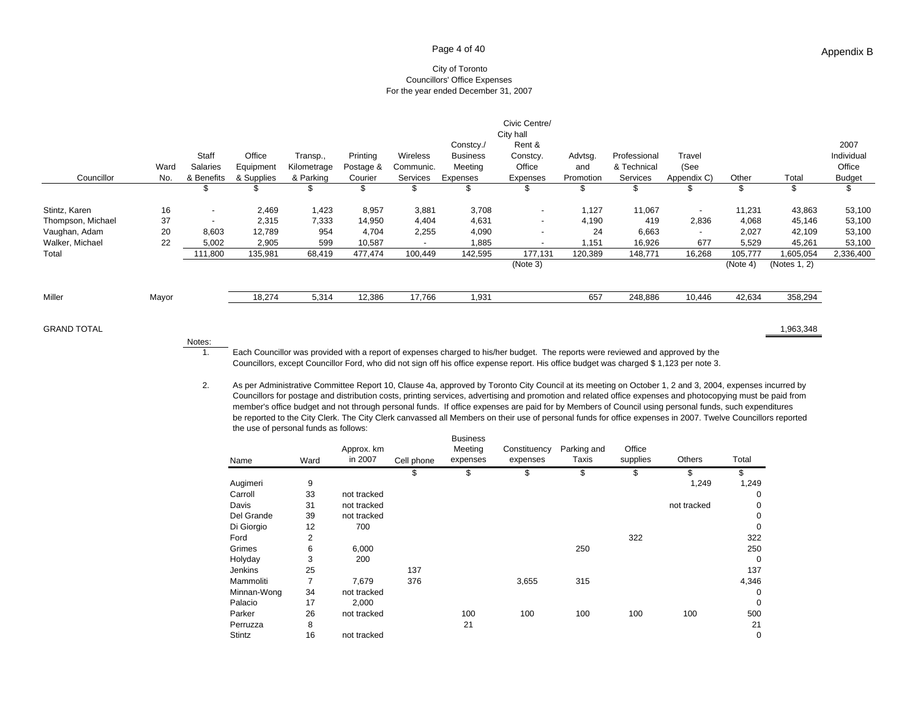#### Page 4 of 40

#### City of Toronto Councillors' Office Expenses For the year ended December 31, 2007

| Councillor        | Ward<br>No. | Staff<br>Salaries<br>& Benefits | Office<br>Equipment<br>& Supplies | Transp.,<br>Kilometrage<br>& Parking | Printing<br>Postage &<br>Courier | <b>Wireless</b><br>Communic.<br>Services | Constcy./<br><b>Business</b><br>Meeting<br>Expenses | Civic Centre/<br>City hall<br>Rent &<br>Constcy.<br>Office<br>Expenses | Advtsg.<br>and<br>Promotion | Professional<br>& Technical<br>Services | Travel<br>(See<br>Appendix C) | Other    | Total        | 2007<br>Individual<br>Office<br><b>Budget</b> |
|-------------------|-------------|---------------------------------|-----------------------------------|--------------------------------------|----------------------------------|------------------------------------------|-----------------------------------------------------|------------------------------------------------------------------------|-----------------------------|-----------------------------------------|-------------------------------|----------|--------------|-----------------------------------------------|
|                   |             | J                               | S                                 |                                      | \$                               | ა                                        | \$                                                  | S                                                                      | \$                          |                                         | ა                             |          | \$           | \$                                            |
| Stintz, Karen     | 16          | $\overline{\phantom{a}}$        | 2,469                             | 1,423                                | 8,957                            | 3,881                                    | 3,708                                               | $\overline{\phantom{0}}$                                               | 1,127                       | 11,067                                  | $\overline{\phantom{a}}$      | 11,231   | 43,863       | 53,100                                        |
| Thompson, Michael | 37          | $\overline{\phantom{a}}$        | 2,315                             | 7,333                                | 14,950                           | 4,404                                    | 4,631                                               |                                                                        | 4,190                       | 419                                     | 2,836                         | 4,068    | 45,146       | 53,100                                        |
| Vaughan, Adam     | 20          | 8,603                           | 12,789                            | 954                                  | 4,704                            | 2,255                                    | 4,090                                               | $\overline{\phantom{a}}$                                               | 24                          | 6,663                                   | $\overline{\phantom{a}}$      | 2,027    | 42,109       | 53,100                                        |
| Walker, Michael   | 22          | 5,002                           | 2,905                             | 599                                  | 10,587                           | $\overline{\phantom{a}}$                 | 1,885                                               |                                                                        | 1,151                       | 16,926                                  | 677                           | 5,529    | 45,261       | 53,100                                        |
| Total             |             | 111,800                         | 135,981                           | 68,419                               | 477,474                          | 100,449                                  | 142,595                                             | 177,131                                                                | 120,389                     | 148,771                                 | 16,268                        | 105,777  | 1,605,054    | 2,336,400                                     |
|                   |             |                                 |                                   |                                      |                                  |                                          |                                                     | (Note 3)                                                               |                             |                                         |                               | (Note 4) | (Notes 1, 2) |                                               |
|                   |             |                                 |                                   |                                      |                                  |                                          |                                                     |                                                                        |                             |                                         |                               |          |              |                                               |
| Miller            | Mayor       |                                 | 18,274                            | 5,314                                | 12,386                           | 17,766                                   | 1,931                                               |                                                                        | 657                         | 248,886                                 | 10,446                        | 42,634   | 358,294      |                                               |
|                   |             |                                 |                                   |                                      |                                  |                                          |                                                     |                                                                        |                             |                                         |                               |          |              |                                               |

GRAND TOTAL

Notes:

1,963,348

1. Each Councillor was provided with a report of expenses charged to his/her budget. The reports were reviewed and approved by the Councillors, except Councillor Ford, who did not sign off his office expense report. His office budget was charged \$ 1,123 per note 3.

2. As per Administrative Committee Report 10, Clause 4a, approved by Toronto City Council at its meeting on October 1, 2 and 3, 2004, expenses incurred by Councillors for postage and distribution costs, printing services, advertising and promotion and related office expenses and photocopying must be paid from member's office budget and not through personal funds. If office expenses are paid for by Members of Council using personal funds, such expenditures be reported to the City Clerk. The City Clerk canvassed all Members on their use of personal funds for office expenses in 2007. Twelve Councillors reported the use of personal funds as follows:

| Name        | Ward | Approx. km<br>in 2007 | Cell phone | <b>Business</b><br>Meeting<br>expenses | Constituency<br>expenses | Parking and<br>Taxis | Office<br>supplies | Others      | Total       |
|-------------|------|-----------------------|------------|----------------------------------------|--------------------------|----------------------|--------------------|-------------|-------------|
|             |      |                       | \$         | \$                                     | \$                       | \$                   | \$                 | \$          |             |
| Augimeri    | 9    |                       |            |                                        |                          |                      |                    | 1,249       | 1,249       |
| Carroll     | 33   | not tracked           |            |                                        |                          |                      |                    |             | 0           |
| Davis       | 31   | not tracked           |            |                                        |                          |                      |                    | not tracked | 0           |
| Del Grande  | 39   | not tracked           |            |                                        |                          |                      |                    |             | $\Omega$    |
| Di Giorgio  | 12   | 700                   |            |                                        |                          |                      |                    |             | 0           |
| Ford        | 2    |                       |            |                                        |                          |                      | 322                |             | 322         |
| Grimes      | 6    | 6,000                 |            |                                        |                          | 250                  |                    |             | 250         |
| Holyday     | 3    | 200                   |            |                                        |                          |                      |                    |             | $\mathbf 0$ |
| Jenkins     | 25   |                       | 137        |                                        |                          |                      |                    |             | 137         |
| Mammoliti   | 7    | 7,679                 | 376        |                                        | 3,655                    | 315                  |                    |             | 4,346       |
| Minnan-Wong | 34   | not tracked           |            |                                        |                          |                      |                    |             | 0           |
| Palacio     | 17   | 2,000                 |            |                                        |                          |                      |                    |             | $\Omega$    |
| Parker      | 26   | not tracked           |            | 100                                    | 100                      | 100                  | 100                | 100         | 500         |
| Perruzza    | 8    |                       |            | 21                                     |                          |                      |                    |             | 21          |
| Stintz      | 16   | not tracked           |            |                                        |                          |                      |                    |             | $\mathbf 0$ |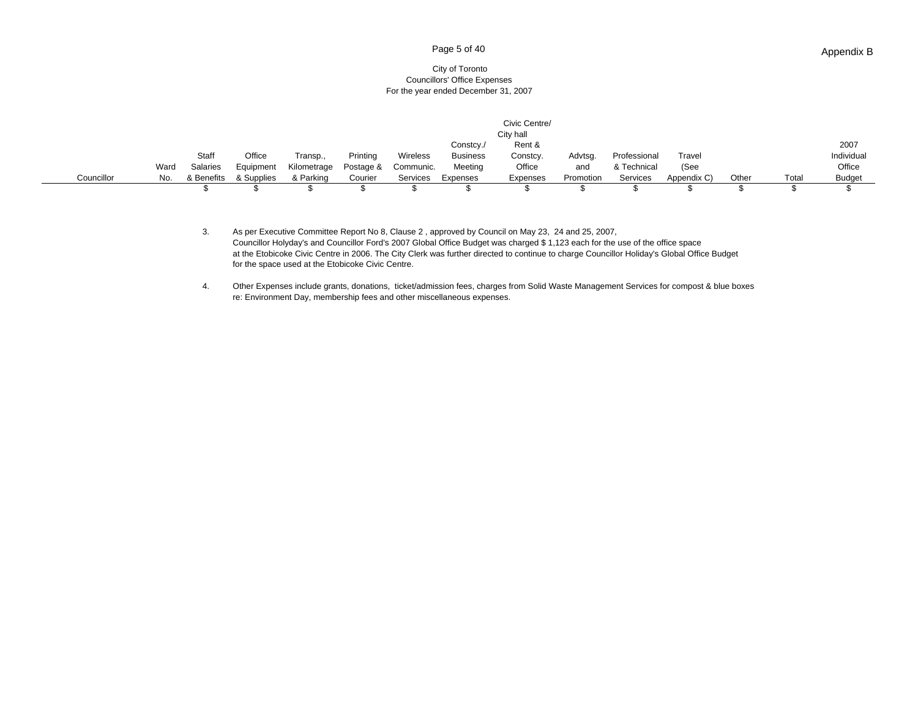#### Page 5 of 40

#### City of Toronto Councillors' Office Expenses For the year ended December 31, 2007

|            |      |                 |            |             |           |           |                 | Civic Centre/<br>City hall |           |              |             |       |       |               |
|------------|------|-----------------|------------|-------------|-----------|-----------|-----------------|----------------------------|-----------|--------------|-------------|-------|-------|---------------|
|            |      |                 |            |             |           |           | Constcy./       | Rent &                     |           |              |             |       |       | 2007          |
|            |      | Staff           | Office     | Transp.,    | Printing  | Wireless  | <b>Business</b> | Constcy.                   | Advtsg.   | Professional | Travel      |       |       | Individual    |
|            | Ward | <b>Salaries</b> | Equipment  | Kilometrage | Postage & | Communic. | Meeting         | Office                     | and       | & Technical  | (See        |       |       | Office        |
| Councillor | No.  | & Benefits      | & Supplies | & Parking   | Courier   | Services  | Expenses        | Expenses                   | Promotion | Services     | Appendix C) | Other | Total | <b>Budget</b> |
|            |      |                 |            |             |           |           |                 |                            |           |              |             |       |       |               |

3. As per Executive Committee Report No 8, Clause 2 , approved by Council on May 23, 24 and 25, 2007, Councillor Holyday's and Councillor Ford's 2007 Global Office Budget was charged \$ 1,123 each for the use of the office space at the Etobicoke Civic Centre in 2006. The City Clerk was further directed to continue to charge Councillor Holiday's Global Office Budget for the space used at the Etobicoke Civic Centre.

4. Other Expenses include grants, donations, ticket/admission fees, charges from Solid Waste Management Services for compost & blue boxes re: Environment Day, membership fees and other miscellaneous expenses.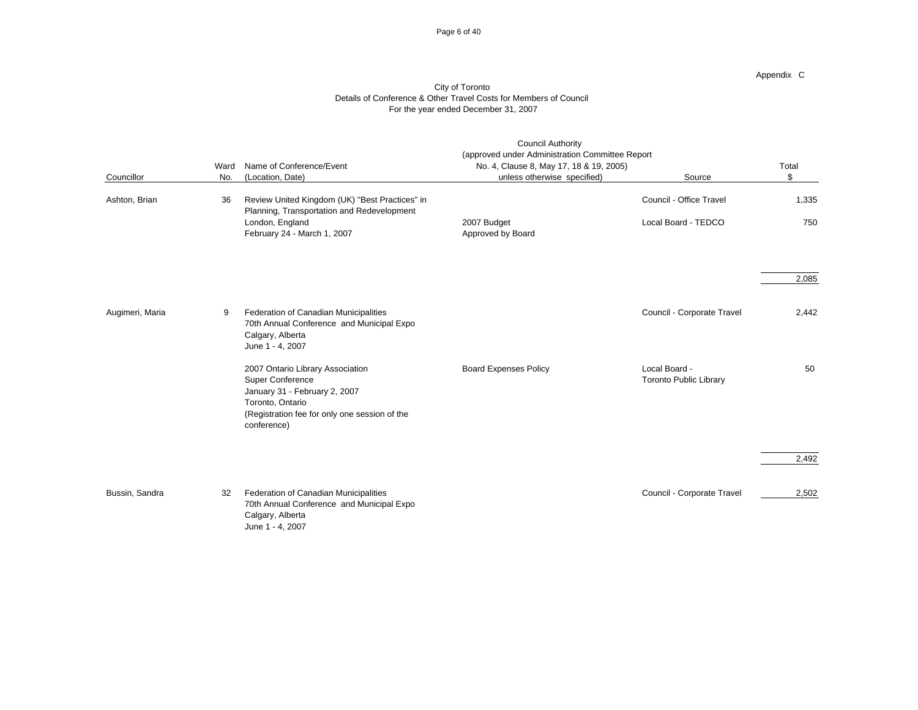#### Page 6 of 40

Appendix C

|                 | Ward | Name of Conference/Event                                                                                                                                                  | <b>Council Authority</b><br>(approved under Administration Committee Report<br>No. 4, Clause 8, May 17, 18 & 19, 2005) |                                                | Total |
|-----------------|------|---------------------------------------------------------------------------------------------------------------------------------------------------------------------------|------------------------------------------------------------------------------------------------------------------------|------------------------------------------------|-------|
| Councillor      | No.  | (Location, Date)                                                                                                                                                          | unless otherwise specified)                                                                                            | Source                                         | \$    |
| Ashton, Brian   | 36   | Review United Kingdom (UK) "Best Practices" in<br>Planning, Transportation and Redevelopment                                                                              |                                                                                                                        | Council - Office Travel                        | 1,335 |
|                 |      | London, England<br>February 24 - March 1, 2007                                                                                                                            | 2007 Budget<br>Approved by Board                                                                                       | Local Board - TEDCO                            | 750   |
|                 |      |                                                                                                                                                                           |                                                                                                                        |                                                | 2,085 |
| Augimeri, Maria | 9    | Federation of Canadian Municipalities<br>70th Annual Conference and Municipal Expo<br>Calgary, Alberta<br>June 1 - 4, 2007                                                |                                                                                                                        | Council - Corporate Travel                     | 2,442 |
|                 |      | 2007 Ontario Library Association<br>Super Conference<br>January 31 - February 2, 2007<br>Toronto, Ontario<br>(Registration fee for only one session of the<br>conference) | <b>Board Expenses Policy</b>                                                                                           | Local Board -<br><b>Toronto Public Library</b> | 50    |
|                 |      |                                                                                                                                                                           |                                                                                                                        |                                                | 2,492 |
| Bussin, Sandra  | 32   | Federation of Canadian Municipalities<br>70th Annual Conference and Municipal Expo<br>Calgary, Alberta<br>June 1 - 4, 2007                                                |                                                                                                                        | Council - Corporate Travel                     | 2,502 |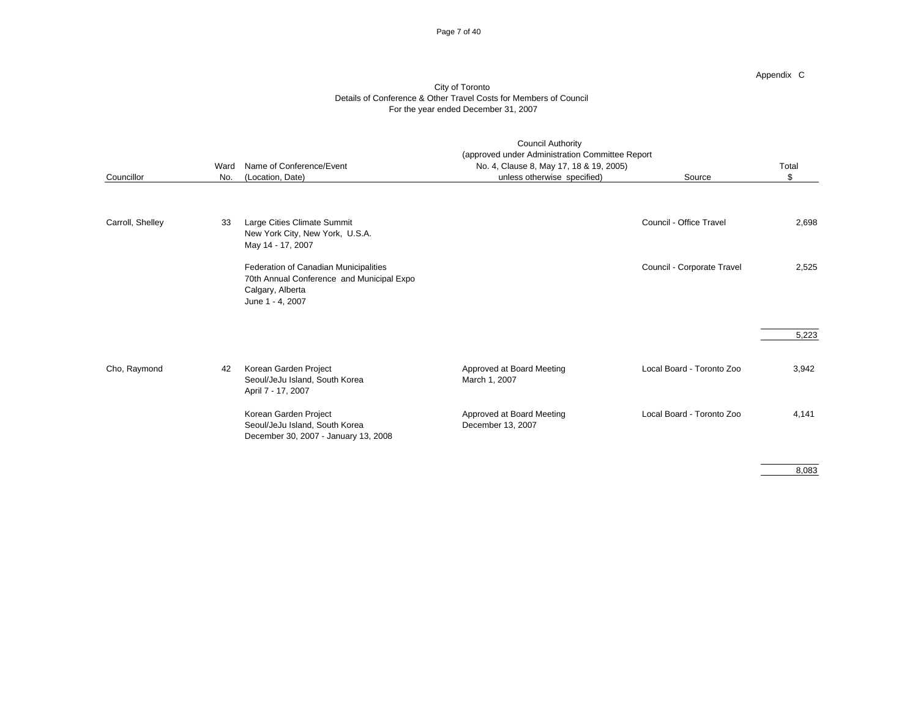#### Page 7 of 40

Appendix C

#### City of Toronto Details of Conference & Other Travel Costs for Members of Council For the year ended December 31, 2007

| Councillor       | Ward<br>No. | Name of Conference/Event<br>(Location, Date)                                                                               | <b>Council Authority</b><br>(approved under Administration Committee Report<br>No. 4, Clause 8, May 17, 18 & 19, 2005)<br>unless otherwise specified) | Source                     | Total<br>\$ |
|------------------|-------------|----------------------------------------------------------------------------------------------------------------------------|-------------------------------------------------------------------------------------------------------------------------------------------------------|----------------------------|-------------|
| Carroll, Shelley | 33          | Large Cities Climate Summit<br>New York City, New York, U.S.A.<br>May 14 - 17, 2007                                        |                                                                                                                                                       | Council - Office Travel    | 2,698       |
|                  |             | Federation of Canadian Municipalities<br>70th Annual Conference and Municipal Expo<br>Calgary, Alberta<br>June 1 - 4, 2007 |                                                                                                                                                       | Council - Corporate Travel | 2,525       |
|                  |             |                                                                                                                            |                                                                                                                                                       |                            | 5,223       |
| Cho, Raymond     | 42          | Korean Garden Project<br>Seoul/JeJu Island, South Korea<br>April 7 - 17, 2007                                              | Approved at Board Meeting<br>March 1, 2007                                                                                                            | Local Board - Toronto Zoo  | 3,942       |
|                  |             | Korean Garden Project<br>Seoul/JeJu Island, South Korea<br>December 30, 2007 - January 13, 2008                            | Approved at Board Meeting<br>December 13, 2007                                                                                                        | Local Board - Toronto Zoo  | 4.141       |

8,083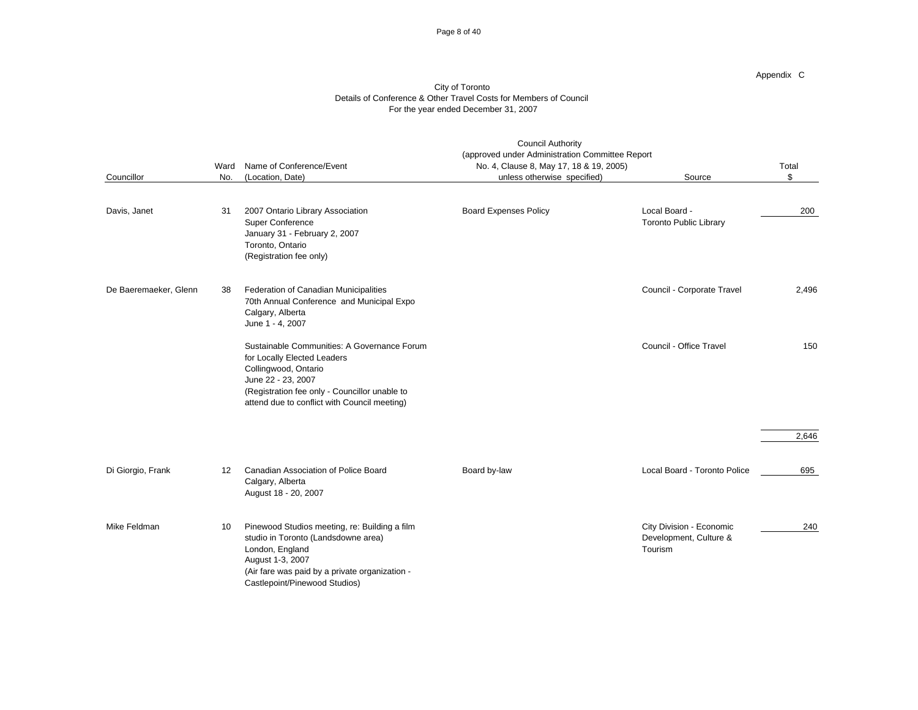#### Page 8 of 40

|                       | Ward | Name of Conference/Event                                                                                                                                                                                                  | <b>Council Authority</b><br>(approved under Administration Committee Report<br>No. 4, Clause 8, May 17, 18 & 19, 2005) |                                                               | Total |  |
|-----------------------|------|---------------------------------------------------------------------------------------------------------------------------------------------------------------------------------------------------------------------------|------------------------------------------------------------------------------------------------------------------------|---------------------------------------------------------------|-------|--|
| Councillor            | No.  | (Location, Date)                                                                                                                                                                                                          | unless otherwise specified)                                                                                            | Source                                                        | \$    |  |
| Davis, Janet          | 31   | 2007 Ontario Library Association<br><b>Super Conference</b><br>January 31 - February 2, 2007<br>Toronto, Ontario<br>(Registration fee only)                                                                               | <b>Board Expenses Policy</b>                                                                                           | Local Board -<br><b>Toronto Public Library</b>                | 200   |  |
| De Baeremaeker, Glenn | 38   | Federation of Canadian Municipalities<br>70th Annual Conference and Municipal Expo<br>Calgary, Alberta<br>June 1 - 4, 2007                                                                                                |                                                                                                                        | Council - Corporate Travel                                    | 2,496 |  |
|                       |      | Sustainable Communities: A Governance Forum<br>for Locally Elected Leaders<br>Collingwood, Ontario<br>June 22 - 23, 2007<br>(Registration fee only - Councillor unable to<br>attend due to conflict with Council meeting) |                                                                                                                        | Council - Office Travel                                       | 150   |  |
|                       |      |                                                                                                                                                                                                                           |                                                                                                                        |                                                               | 2,646 |  |
| Di Giorgio, Frank     | 12   | Canadian Association of Police Board<br>Calgary, Alberta<br>August 18 - 20, 2007                                                                                                                                          | Board by-law                                                                                                           | Local Board - Toronto Police                                  | 695   |  |
| Mike Feldman          | 10   | Pinewood Studios meeting, re: Building a film<br>studio in Toronto (Landsdowne area)<br>London, England<br>August 1-3, 2007<br>(Air fare was paid by a private organization -<br>Castlepoint/Pinewood Studios)            |                                                                                                                        | City Division - Economic<br>Development, Culture &<br>Tourism | 240   |  |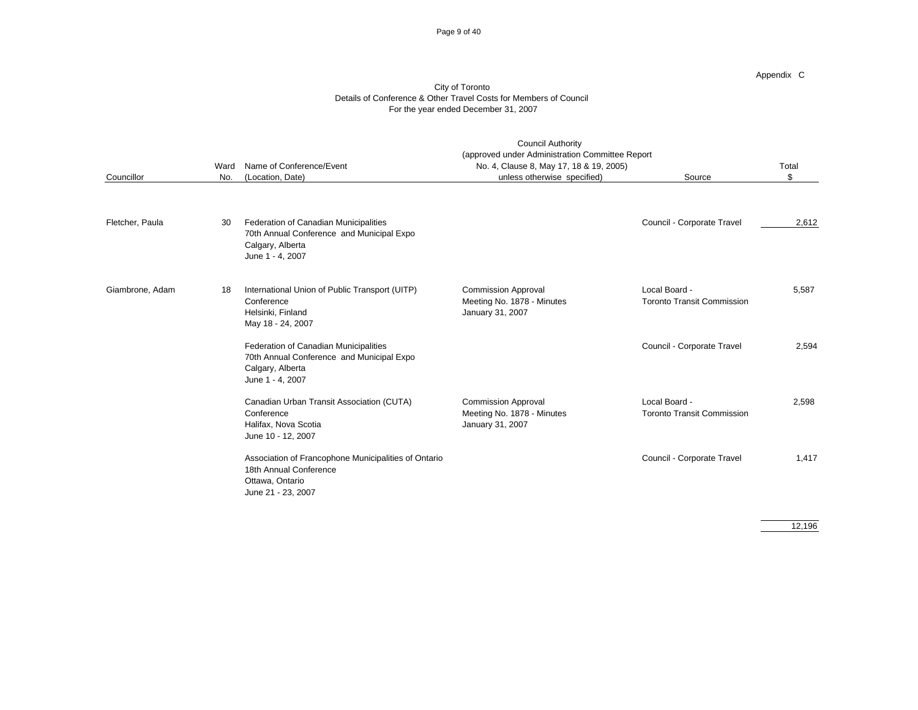#### Page 9 of 40

Appendix C

#### City of Toronto Details of Conference & Other Travel Costs for Members of Council For the year ended December 31, 2007

|                 | Ward | Name of Conference/Event                                                                                                   | <b>Council Authority</b><br>(approved under Administration Committee Report<br>No. 4, Clause 8, May 17, 18 & 19, 2005) |                                                    | Total |  |
|-----------------|------|----------------------------------------------------------------------------------------------------------------------------|------------------------------------------------------------------------------------------------------------------------|----------------------------------------------------|-------|--|
| Councillor      | No.  | (Location, Date)                                                                                                           | unless otherwise specified)                                                                                            | Source                                             | \$    |  |
| Fletcher, Paula | 30   | Federation of Canadian Municipalities<br>70th Annual Conference and Municipal Expo<br>Calgary, Alberta<br>June 1 - 4, 2007 |                                                                                                                        | Council - Corporate Travel                         | 2,612 |  |
| Giambrone, Adam | 18   | International Union of Public Transport (UITP)<br>Conference<br>Helsinki, Finland<br>May 18 - 24, 2007                     | <b>Commission Approval</b><br>Meeting No. 1878 - Minutes<br>January 31, 2007                                           | Local Board -<br><b>Toronto Transit Commission</b> | 5,587 |  |
|                 |      | Federation of Canadian Municipalities<br>70th Annual Conference and Municipal Expo<br>Calgary, Alberta<br>June 1 - 4, 2007 |                                                                                                                        | Council - Corporate Travel                         | 2,594 |  |
|                 |      | Canadian Urban Transit Association (CUTA)<br>Conference<br>Halifax, Nova Scotia<br>June 10 - 12, 2007                      | <b>Commission Approval</b><br>Meeting No. 1878 - Minutes<br>January 31, 2007                                           | Local Board -<br><b>Toronto Transit Commission</b> | 2,598 |  |
|                 |      | Association of Francophone Municipalities of Ontario<br>18th Annual Conference<br>Ottawa, Ontario<br>June 21 - 23, 2007    |                                                                                                                        | Council - Corporate Travel                         | 1.417 |  |

12,196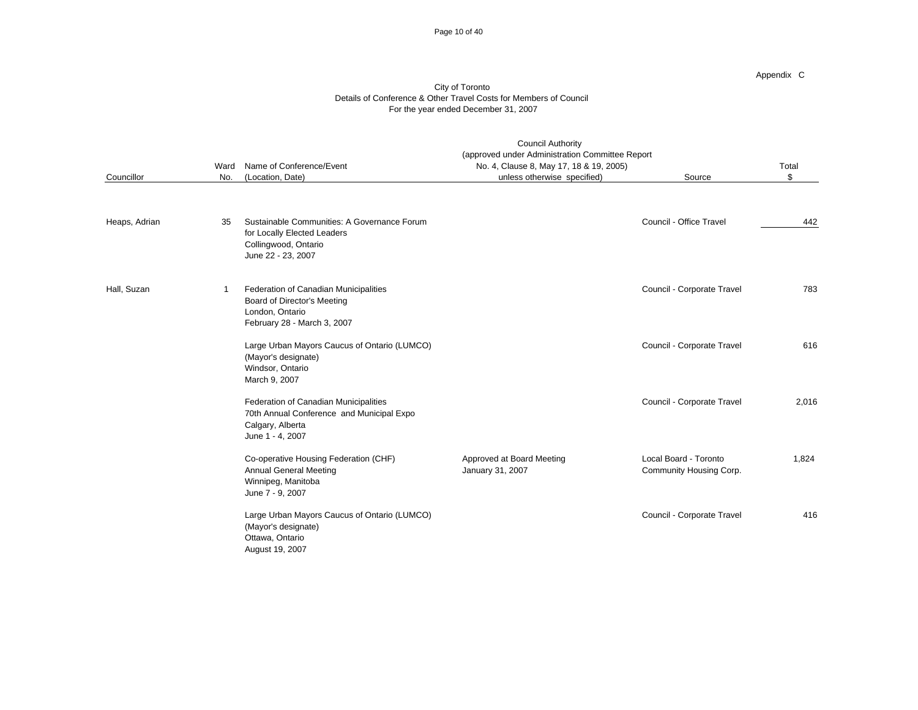#### Page 10 of 40

Appendix C

| Councillor    | Ward<br>No. | Name of Conference/Event<br>(Location, Date)                                                                               | <b>Council Authority</b><br>(approved under Administration Committee Report<br>No. 4, Clause 8, May 17, 18 & 19, 2005)<br>unless otherwise specified) | Source                                           | Total<br>\$ |
|---------------|-------------|----------------------------------------------------------------------------------------------------------------------------|-------------------------------------------------------------------------------------------------------------------------------------------------------|--------------------------------------------------|-------------|
|               |             |                                                                                                                            |                                                                                                                                                       |                                                  |             |
| Heaps, Adrian | 35          | Sustainable Communities: A Governance Forum<br>for Locally Elected Leaders<br>Collingwood, Ontario<br>June 22 - 23, 2007   |                                                                                                                                                       | Council - Office Travel                          | 442         |
| Hall, Suzan   | -1          | Federation of Canadian Municipalities<br>Board of Director's Meeting<br>London, Ontario<br>February 28 - March 3, 2007     |                                                                                                                                                       | Council - Corporate Travel                       | 783         |
|               |             | Large Urban Mayors Caucus of Ontario (LUMCO)<br>(Mayor's designate)<br>Windsor, Ontario<br>March 9, 2007                   |                                                                                                                                                       | Council - Corporate Travel                       | 616         |
|               |             | Federation of Canadian Municipalities<br>70th Annual Conference and Municipal Expo<br>Calgary, Alberta<br>June 1 - 4, 2007 |                                                                                                                                                       | Council - Corporate Travel                       | 2,016       |
|               |             | Co-operative Housing Federation (CHF)<br><b>Annual General Meeting</b><br>Winnipeg, Manitoba<br>June 7 - 9, 2007           | Approved at Board Meeting<br>January 31, 2007                                                                                                         | Local Board - Toronto<br>Community Housing Corp. | 1.824       |
|               |             | Large Urban Mayors Caucus of Ontario (LUMCO)<br>(Mayor's designate)<br>Ottawa, Ontario<br>August 19, 2007                  |                                                                                                                                                       | Council - Corporate Travel                       | 416         |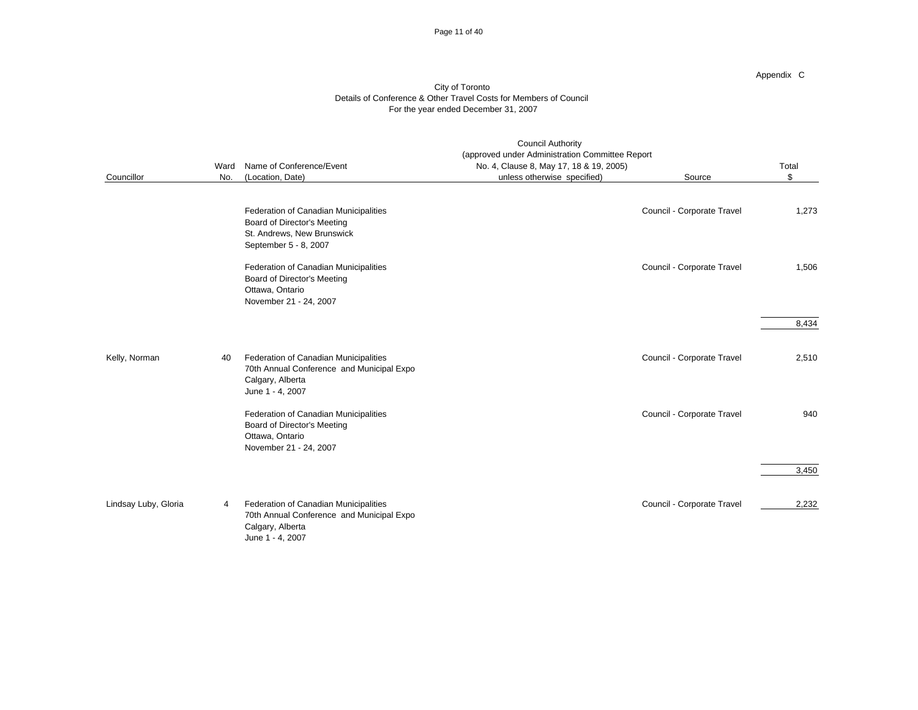#### Page 11 of 40

Appendix C

|                      | Ward | Name of Conference/Event                                                                                                    | <b>Council Authority</b><br>(approved under Administration Committee Report<br>No. 4, Clause 8, May 17, 18 & 19, 2005) |                            | Total |
|----------------------|------|-----------------------------------------------------------------------------------------------------------------------------|------------------------------------------------------------------------------------------------------------------------|----------------------------|-------|
| Councillor           | No.  | (Location, Date)                                                                                                            | unless otherwise specified)                                                                                            | Source                     | \$    |
|                      |      | Federation of Canadian Municipalities<br>Board of Director's Meeting<br>St. Andrews, New Brunswick<br>September 5 - 8, 2007 |                                                                                                                        | Council - Corporate Travel | 1,273 |
|                      |      | Federation of Canadian Municipalities<br>Board of Director's Meeting<br>Ottawa, Ontario<br>November 21 - 24, 2007           |                                                                                                                        | Council - Corporate Travel | 1,506 |
|                      |      |                                                                                                                             |                                                                                                                        |                            | 8,434 |
| Kelly, Norman        | 40   | Federation of Canadian Municipalities<br>70th Annual Conference and Municipal Expo<br>Calgary, Alberta<br>June 1 - 4, 2007  |                                                                                                                        | Council - Corporate Travel | 2,510 |
|                      |      | Federation of Canadian Municipalities<br>Board of Director's Meeting<br>Ottawa, Ontario<br>November 21 - 24, 2007           |                                                                                                                        | Council - Corporate Travel | 940   |
|                      |      |                                                                                                                             |                                                                                                                        |                            | 3,450 |
| Lindsay Luby, Gloria | 4    | Federation of Canadian Municipalities<br>70th Annual Conference and Municipal Expo<br>Calgary, Alberta<br>June 1 - 4, 2007  |                                                                                                                        | Council - Corporate Travel | 2,232 |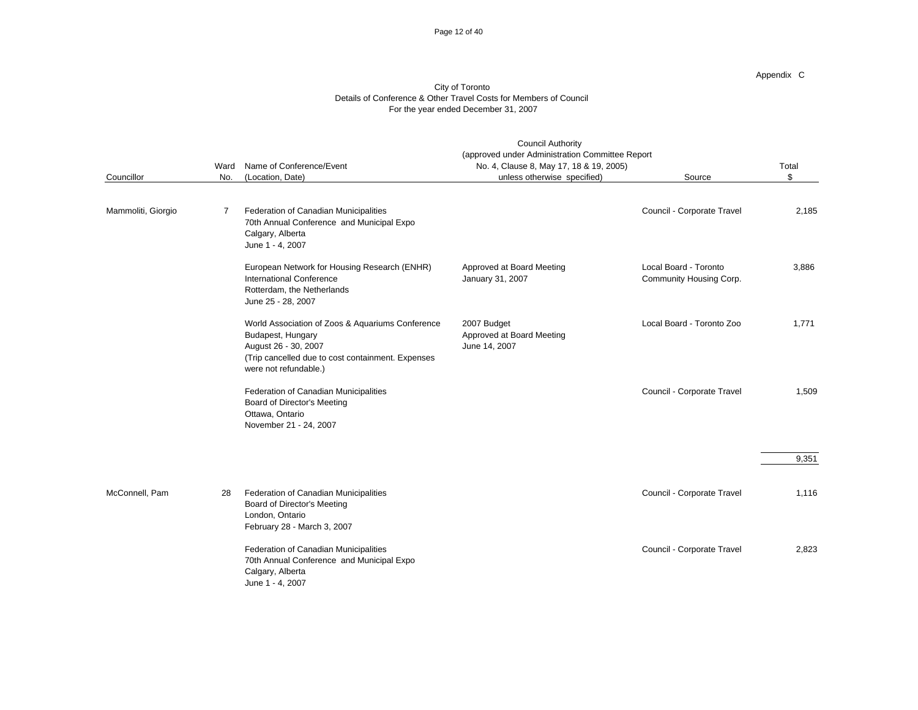#### Page 12 of 40

Appendix C

|                    |             |                                                                                                                                                                             | <b>Council Authority</b><br>(approved under Administration Committee Report |                                                  |             |
|--------------------|-------------|-----------------------------------------------------------------------------------------------------------------------------------------------------------------------------|-----------------------------------------------------------------------------|--------------------------------------------------|-------------|
| Councillor         | Ward<br>No. | Name of Conference/Event<br>(Location, Date)                                                                                                                                | No. 4, Clause 8, May 17, 18 & 19, 2005)<br>unless otherwise specified)      | Source                                           | Total<br>\$ |
| Mammoliti, Giorgio | 7           | Federation of Canadian Municipalities<br>70th Annual Conference and Municipal Expo<br>Calgary, Alberta<br>June 1 - 4, 2007                                                  |                                                                             | Council - Corporate Travel                       | 2,185       |
|                    |             | European Network for Housing Research (ENHR)<br><b>International Conference</b><br>Rotterdam, the Netherlands<br>June 25 - 28, 2007                                         | Approved at Board Meeting<br>January 31, 2007                               | Local Board - Toronto<br>Community Housing Corp. | 3,886       |
|                    |             | World Association of Zoos & Aquariums Conference<br>Budapest, Hungary<br>August 26 - 30, 2007<br>(Trip cancelled due to cost containment. Expenses<br>were not refundable.) | 2007 Budget<br>Approved at Board Meeting<br>June 14, 2007                   | Local Board - Toronto Zoo                        | 1,771       |
|                    |             | Federation of Canadian Municipalities<br>Board of Director's Meeting<br>Ottawa, Ontario<br>November 21 - 24, 2007                                                           |                                                                             | Council - Corporate Travel                       | 1,509       |
|                    |             |                                                                                                                                                                             |                                                                             |                                                  | 9,351       |
| McConnell, Pam     | 28          | Federation of Canadian Municipalities<br>Board of Director's Meeting<br>London, Ontario<br>February 28 - March 3, 2007                                                      |                                                                             | Council - Corporate Travel                       | 1,116       |
|                    |             | Federation of Canadian Municipalities<br>70th Annual Conference and Municipal Expo<br>Calgary, Alberta<br>June 1 - 4, 2007                                                  |                                                                             | Council - Corporate Travel                       | 2,823       |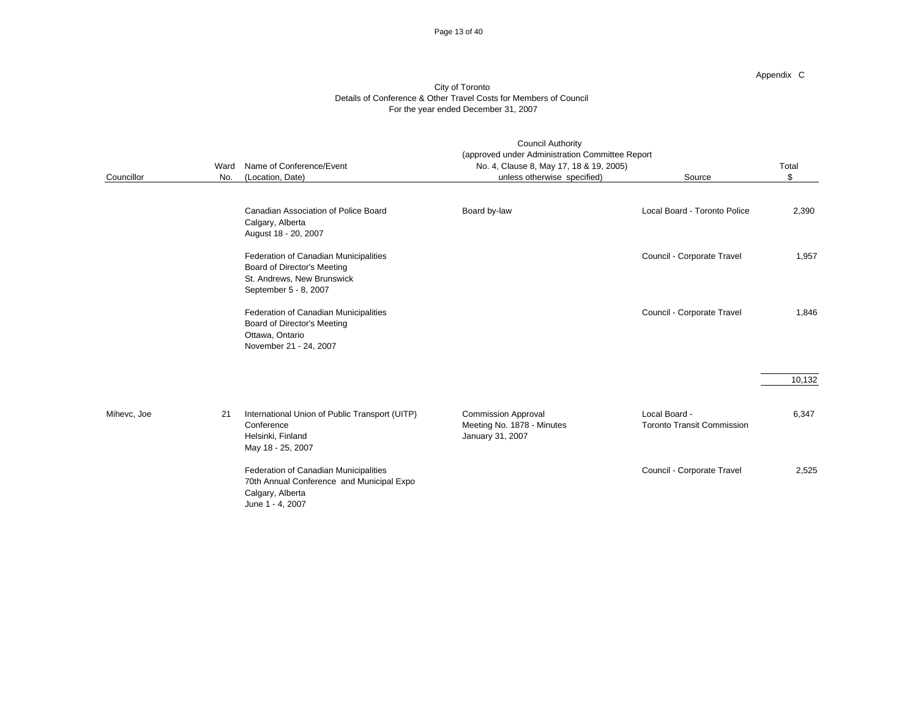#### Page 13 of 40

Appendix C

|             | Ward | Name of Conference/Event                                                                                                    | (approved under Administration Committee Report<br>No. 4, Clause 8, May 17, 18 & 19, 2005) |                                                    | Total  |
|-------------|------|-----------------------------------------------------------------------------------------------------------------------------|--------------------------------------------------------------------------------------------|----------------------------------------------------|--------|
| Councillor  | No.  | (Location, Date)                                                                                                            | unless otherwise specified)                                                                | Source                                             | \$     |
|             |      |                                                                                                                             |                                                                                            |                                                    |        |
|             |      | Canadian Association of Police Board<br>Calgary, Alberta<br>August 18 - 20, 2007                                            | Board by-law                                                                               | Local Board - Toronto Police                       | 2,390  |
|             |      | Federation of Canadian Municipalities<br>Board of Director's Meeting<br>St. Andrews, New Brunswick<br>September 5 - 8, 2007 |                                                                                            | Council - Corporate Travel                         | 1,957  |
|             |      | Federation of Canadian Municipalities<br>Board of Director's Meeting<br>Ottawa, Ontario<br>November 21 - 24, 2007           |                                                                                            | Council - Corporate Travel                         | 1,846  |
|             |      |                                                                                                                             |                                                                                            |                                                    | 10,132 |
| Mihevc, Joe | 21   | International Union of Public Transport (UITP)<br>Conference<br>Helsinki, Finland<br>May 18 - 25, 2007                      | <b>Commission Approval</b><br>Meeting No. 1878 - Minutes<br>January 31, 2007               | Local Board -<br><b>Toronto Transit Commission</b> | 6,347  |
|             |      | Federation of Canadian Municipalities<br>70th Annual Conference and Municipal Expo<br>Calgary, Alberta<br>June 1 - 4, 2007  |                                                                                            | Council - Corporate Travel                         | 2,525  |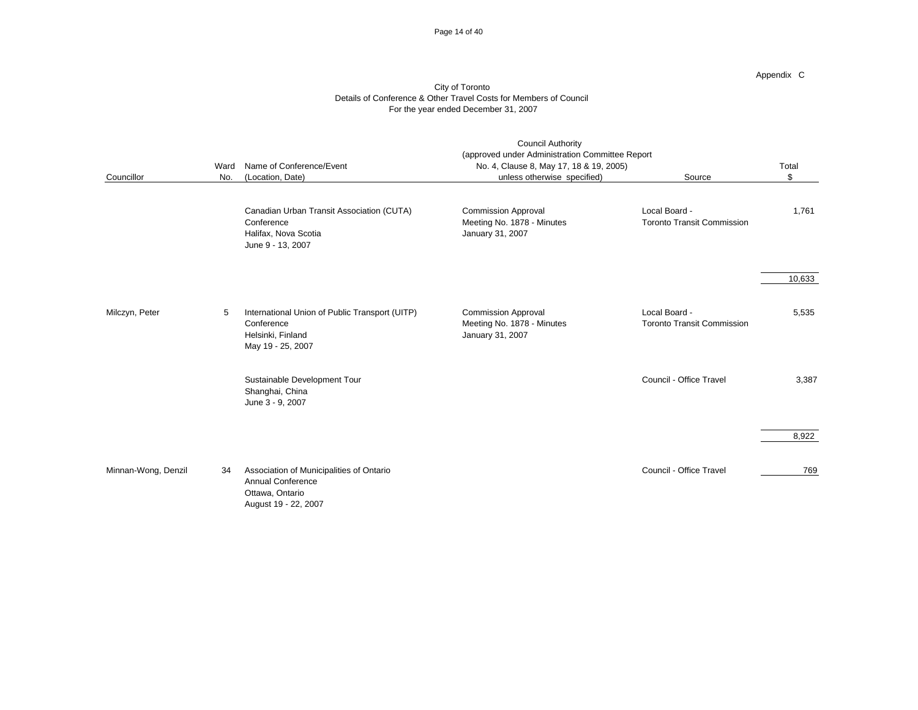#### Page 14 of 40

Appendix C

|                     | Ward | Name of Conference/Event                                                                                        | <b>Council Authority</b><br>(approved under Administration Committee Report<br>No. 4, Clause 8, May 17, 18 & 19, 2005) |                                                    | Total  |
|---------------------|------|-----------------------------------------------------------------------------------------------------------------|------------------------------------------------------------------------------------------------------------------------|----------------------------------------------------|--------|
| Councillor          | No.  | (Location, Date)                                                                                                | unless otherwise specified)                                                                                            | Source                                             | \$     |
|                     |      | Canadian Urban Transit Association (CUTA)<br>Conference<br>Halifax, Nova Scotia<br>June 9 - 13, 2007            | <b>Commission Approval</b><br>Meeting No. 1878 - Minutes<br>January 31, 2007                                           | Local Board -<br><b>Toronto Transit Commission</b> | 1,761  |
|                     |      |                                                                                                                 |                                                                                                                        |                                                    | 10,633 |
| Milczyn, Peter      | 5    | International Union of Public Transport (UITP)<br>Conference<br>Helsinki, Finland<br>May 19 - 25, 2007          | <b>Commission Approval</b><br>Meeting No. 1878 - Minutes<br>January 31, 2007                                           | Local Board -<br><b>Toronto Transit Commission</b> | 5,535  |
|                     |      | Sustainable Development Tour<br>Shanghai, China<br>June 3 - 9, 2007                                             |                                                                                                                        | Council - Office Travel                            | 3,387  |
|                     |      |                                                                                                                 |                                                                                                                        |                                                    | 8,922  |
| Minnan-Wong, Denzil | 34   | Association of Municipalities of Ontario<br><b>Annual Conference</b><br>Ottawa, Ontario<br>August 19 - 22, 2007 |                                                                                                                        | Council - Office Travel                            | 769    |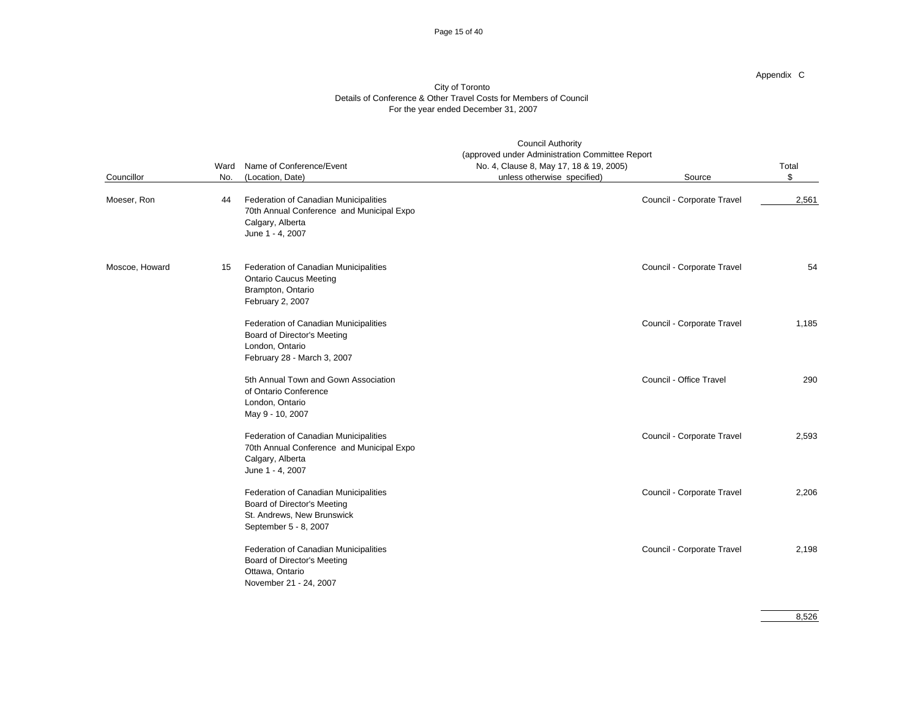#### Page 15 of 40

Appendix C

|                |      | <b>Council Authority</b><br>(approved under Administration Committee Report                                                 |                                         |                            |       |
|----------------|------|-----------------------------------------------------------------------------------------------------------------------------|-----------------------------------------|----------------------------|-------|
|                | Ward | Name of Conference/Event                                                                                                    | No. 4, Clause 8, May 17, 18 & 19, 2005) |                            | Total |
| Councillor     | No.  | (Location, Date)                                                                                                            | unless otherwise specified)             | Source                     | \$    |
| Moeser, Ron    | 44   | Federation of Canadian Municipalities<br>70th Annual Conference and Municipal Expo<br>Calgary, Alberta<br>June 1 - 4, 2007  |                                         | Council - Corporate Travel | 2,561 |
| Moscoe, Howard | 15   | Federation of Canadian Municipalities<br><b>Ontario Caucus Meeting</b><br>Brampton, Ontario<br>February 2, 2007             |                                         | Council - Corporate Travel | 54    |
|                |      | Federation of Canadian Municipalities<br>Board of Director's Meeting<br>London, Ontario<br>February 28 - March 3, 2007      |                                         | Council - Corporate Travel | 1,185 |
|                |      | 5th Annual Town and Gown Association<br>of Ontario Conference<br>London, Ontario<br>May 9 - 10, 2007                        |                                         | Council - Office Travel    | 290   |
|                |      | Federation of Canadian Municipalities<br>70th Annual Conference and Municipal Expo<br>Calgary, Alberta<br>June 1 - 4, 2007  |                                         | Council - Corporate Travel | 2,593 |
|                |      | Federation of Canadian Municipalities<br>Board of Director's Meeting<br>St. Andrews, New Brunswick<br>September 5 - 8, 2007 |                                         | Council - Corporate Travel | 2,206 |
|                |      | Federation of Canadian Municipalities<br>Board of Director's Meeting<br>Ottawa, Ontario<br>November 21 - 24, 2007           |                                         | Council - Corporate Travel | 2,198 |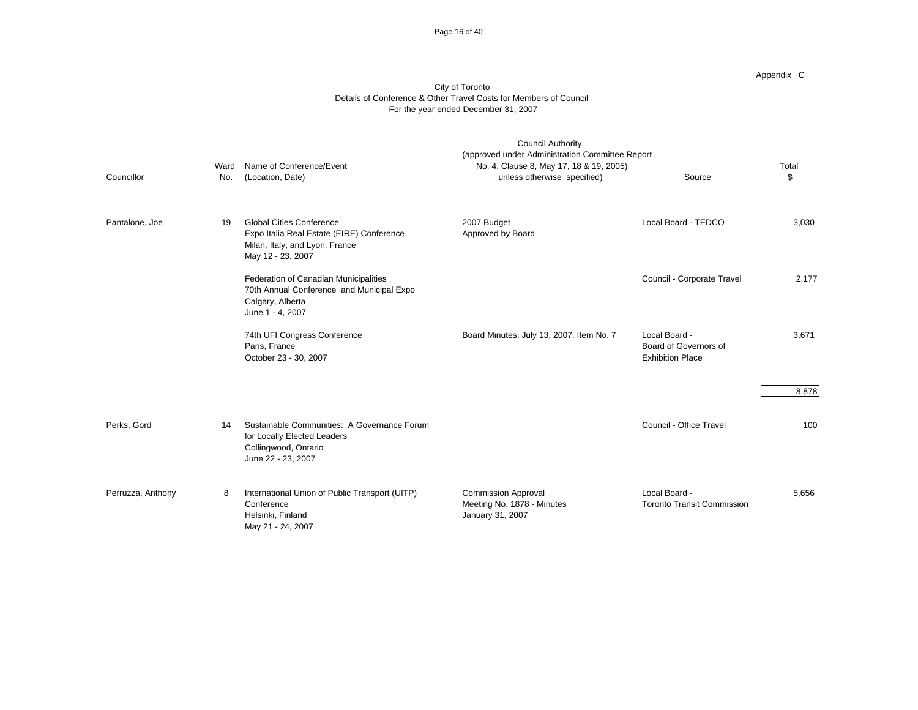#### Page 16 of 40

Appendix C

| Councillor        | Ward<br>No. | Name of Conference/Event<br>(Location, Date)                                                                                        | <b>Council Authority</b><br>(approved under Administration Committee Report<br>No. 4, Clause 8, May 17, 18 & 19, 2005)<br>unless otherwise specified) | Source                                                            | Total<br>\$ |
|-------------------|-------------|-------------------------------------------------------------------------------------------------------------------------------------|-------------------------------------------------------------------------------------------------------------------------------------------------------|-------------------------------------------------------------------|-------------|
| Pantalone, Joe    | 19          | <b>Global Cities Conference</b><br>Expo Italia Real Estate (EIRE) Conference<br>Milan, Italy, and Lyon, France<br>May 12 - 23, 2007 | 2007 Budget<br>Approved by Board                                                                                                                      | Local Board - TEDCO                                               | 3,030       |
|                   |             | Federation of Canadian Municipalities<br>70th Annual Conference and Municipal Expo<br>Calgary, Alberta<br>June 1 - 4, 2007          |                                                                                                                                                       | Council - Corporate Travel                                        | 2,177       |
|                   |             | 74th UFI Congress Conference<br>Paris, France<br>October 23 - 30, 2007                                                              | Board Minutes, July 13, 2007, Item No. 7                                                                                                              | Local Board -<br>Board of Governors of<br><b>Exhibition Place</b> | 3,671       |
|                   |             |                                                                                                                                     |                                                                                                                                                       |                                                                   | 8,878       |
| Perks, Gord       | 14          | Sustainable Communities: A Governance Forum<br>for Locally Elected Leaders<br>Collingwood, Ontario<br>June 22 - 23, 2007            |                                                                                                                                                       | Council - Office Travel                                           | 100         |
| Perruzza, Anthony | 8           | International Union of Public Transport (UITP)<br>Conference<br>Helsinki, Finland<br>May 21 - 24, 2007                              | <b>Commission Approval</b><br>Meeting No. 1878 - Minutes<br>January 31, 2007                                                                          | Local Board -<br><b>Toronto Transit Commission</b>                | 5.656       |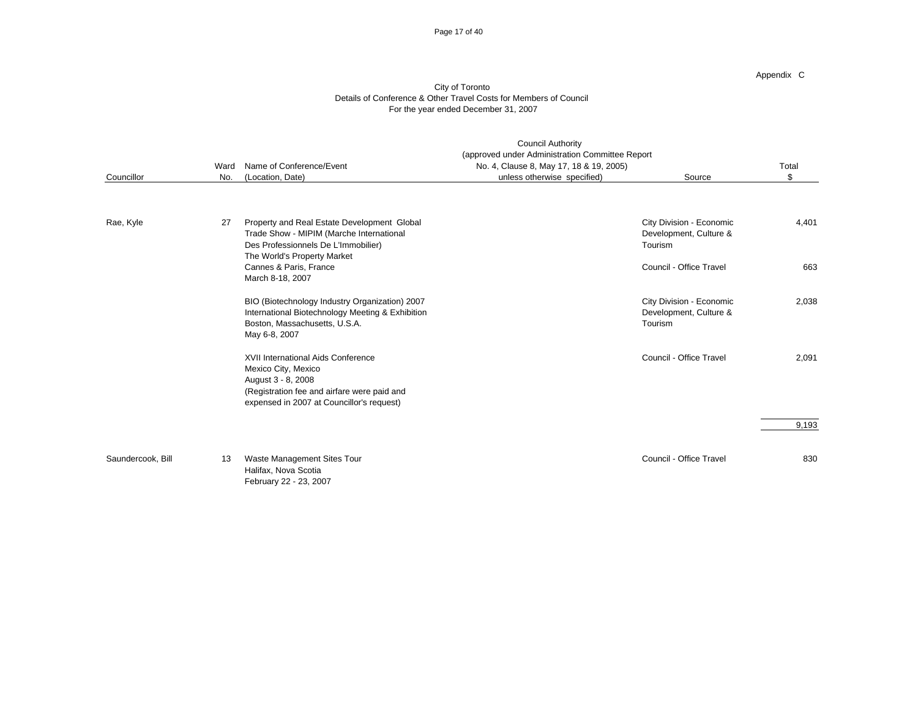#### Page 17 of 40

Appendix C

|                   | Ward | Name of Conference/Event                                                                                                                                                    | <b>Council Authority</b><br>(approved under Administration Committee Report<br>No. 4, Clause 8, May 17, 18 & 19, 2005) |                                                               | Total |
|-------------------|------|-----------------------------------------------------------------------------------------------------------------------------------------------------------------------------|------------------------------------------------------------------------------------------------------------------------|---------------------------------------------------------------|-------|
| Councillor        | No.  | (Location, Date)                                                                                                                                                            | unless otherwise specified)                                                                                            | Source                                                        | \$    |
|                   |      |                                                                                                                                                                             |                                                                                                                        |                                                               |       |
| Rae, Kyle         | 27   | Property and Real Estate Development Global<br>Trade Show - MIPIM (Marche International<br>Des Professionnels De L'Immobilier)<br>The World's Property Market               |                                                                                                                        | City Division - Economic<br>Development, Culture &<br>Tourism | 4,401 |
|                   |      | Cannes & Paris, France<br>March 8-18, 2007                                                                                                                                  |                                                                                                                        | Council - Office Travel                                       | 663   |
|                   |      | BIO (Biotechnology Industry Organization) 2007<br>International Biotechnology Meeting & Exhibition<br>Boston, Massachusetts, U.S.A.<br>May 6-8, 2007                        |                                                                                                                        | City Division - Economic<br>Development, Culture &<br>Tourism | 2,038 |
|                   |      | XVII International Aids Conference<br>Mexico City, Mexico<br>August 3 - 8, 2008<br>(Registration fee and airfare were paid and<br>expensed in 2007 at Councillor's request) |                                                                                                                        | Council - Office Travel                                       | 2,091 |
|                   |      |                                                                                                                                                                             |                                                                                                                        |                                                               | 9,193 |
| Saundercook, Bill | 13   | Waste Management Sites Tour<br>Halifax, Nova Scotia<br>February 22 - 23, 2007                                                                                               |                                                                                                                        | Council - Office Travel                                       | 830   |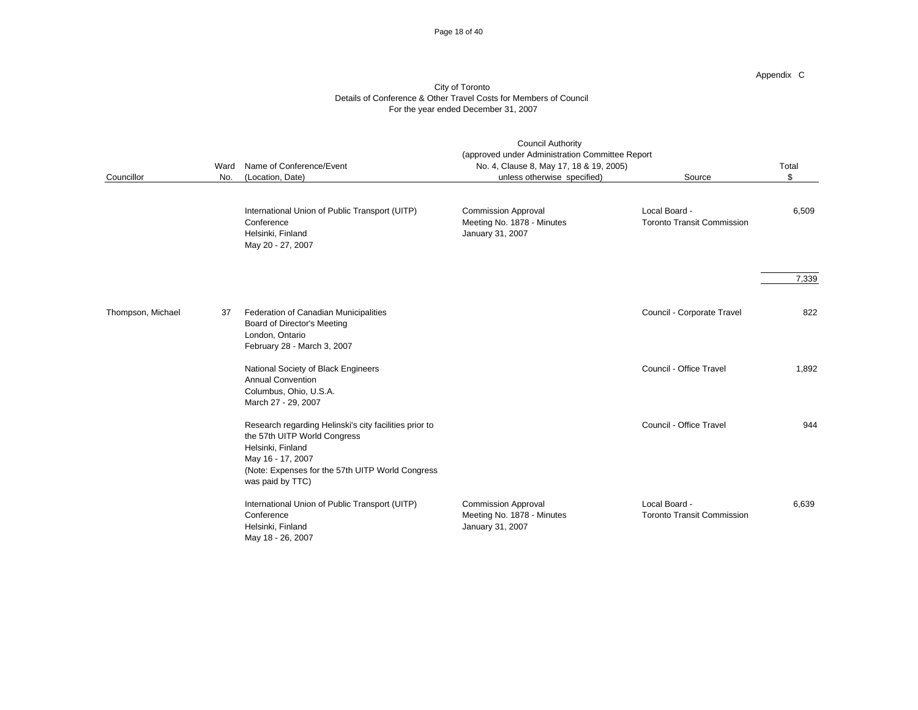#### Page 18 of 40

Appendix C

| Councillor        | Ward<br>No. | Name of Conference/Event<br>(Location, Date)                                                                                                                                                             | <b>Council Authority</b><br>(approved under Administration Committee Report<br>No. 4, Clause 8, May 17, 18 & 19, 2005)<br>unless otherwise specified) | Source                                             | Total<br>\$ |
|-------------------|-------------|----------------------------------------------------------------------------------------------------------------------------------------------------------------------------------------------------------|-------------------------------------------------------------------------------------------------------------------------------------------------------|----------------------------------------------------|-------------|
|                   |             | International Union of Public Transport (UITP)<br>Conference<br>Helsinki, Finland<br>May 20 - 27, 2007                                                                                                   | <b>Commission Approval</b><br>Meeting No. 1878 - Minutes<br>January 31, 2007                                                                          | Local Board -<br><b>Toronto Transit Commission</b> | 6,509       |
|                   |             |                                                                                                                                                                                                          |                                                                                                                                                       |                                                    | 7,339       |
| Thompson, Michael | 37          | Federation of Canadian Municipalities<br>Board of Director's Meeting<br>London, Ontario<br>February 28 - March 3, 2007                                                                                   |                                                                                                                                                       | Council - Corporate Travel                         | 822         |
|                   |             | National Society of Black Engineers<br><b>Annual Convention</b><br>Columbus, Ohio, U.S.A.<br>March 27 - 29, 2007                                                                                         |                                                                                                                                                       | Council - Office Travel                            | 1,892       |
|                   |             | Research regarding Helinski's city facilities prior to<br>the 57th UITP World Congress<br>Helsinki, Finland<br>May 16 - 17, 2007<br>(Note: Expenses for the 57th UITP World Congress<br>was paid by TTC) |                                                                                                                                                       | Council - Office Travel                            | 944         |
|                   |             | International Union of Public Transport (UITP)<br>Conference<br>Helsinki, Finland<br>May 18 - 26, 2007                                                                                                   | <b>Commission Approval</b><br>Meeting No. 1878 - Minutes<br>January 31, 2007                                                                          | Local Board -<br><b>Toronto Transit Commission</b> | 6,639       |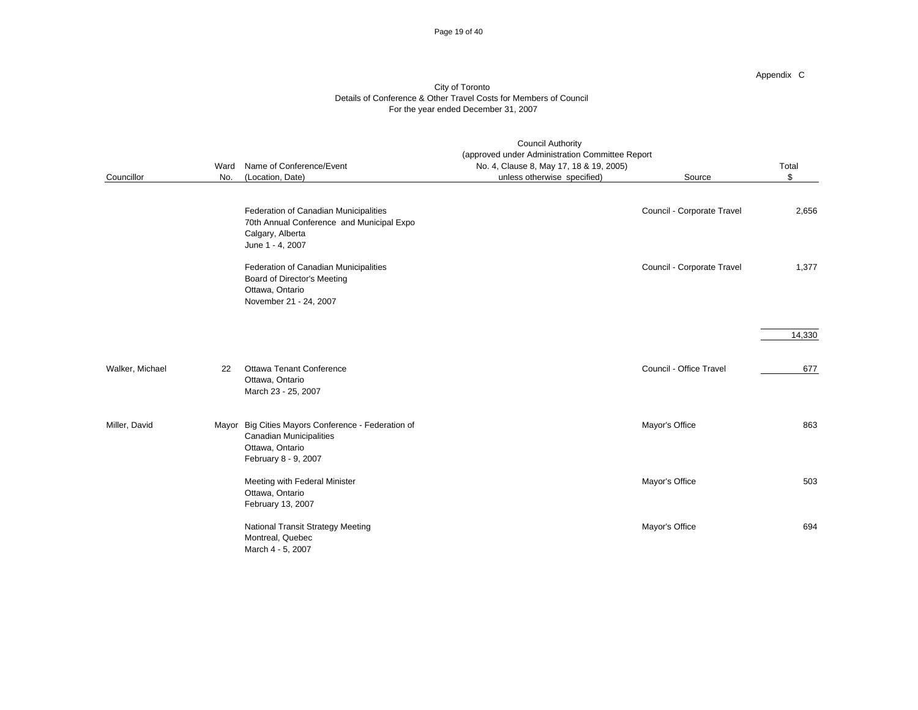#### Page 19 of 40

Appendix C

|                 | <b>Council Authority</b><br>(approved under Administration Committee Report<br>Name of Conference/Event<br>No. 4, Clause 8, May 17, 18 & 19, 2005)<br>Ward |                                                                                                                            |                             |                            | Total  |
|-----------------|------------------------------------------------------------------------------------------------------------------------------------------------------------|----------------------------------------------------------------------------------------------------------------------------|-----------------------------|----------------------------|--------|
| Councillor      | No.                                                                                                                                                        | (Location, Date)                                                                                                           | unless otherwise specified) | Source                     | \$     |
|                 |                                                                                                                                                            | Federation of Canadian Municipalities<br>70th Annual Conference and Municipal Expo<br>Calgary, Alberta<br>June 1 - 4, 2007 |                             | Council - Corporate Travel | 2,656  |
|                 |                                                                                                                                                            | Federation of Canadian Municipalities<br>Board of Director's Meeting<br>Ottawa, Ontario<br>November 21 - 24, 2007          |                             | Council - Corporate Travel | 1,377  |
|                 |                                                                                                                                                            |                                                                                                                            |                             |                            | 14,330 |
| Walker, Michael | 22                                                                                                                                                         | Ottawa Tenant Conference<br>Ottawa, Ontario<br>March 23 - 25, 2007                                                         |                             | Council - Office Travel    | 677    |
| Miller, David   |                                                                                                                                                            | Mayor Big Cities Mayors Conference - Federation of<br>Canadian Municipalities<br>Ottawa, Ontario<br>February 8 - 9, 2007   |                             | Mayor's Office             | 863    |
|                 |                                                                                                                                                            | Meeting with Federal Minister<br>Ottawa, Ontario<br>February 13, 2007                                                      |                             | Mayor's Office             | 503    |
|                 |                                                                                                                                                            | National Transit Strategy Meeting<br>Montreal, Quebec<br>March 4 - 5, 2007                                                 |                             | Mayor's Office             | 694    |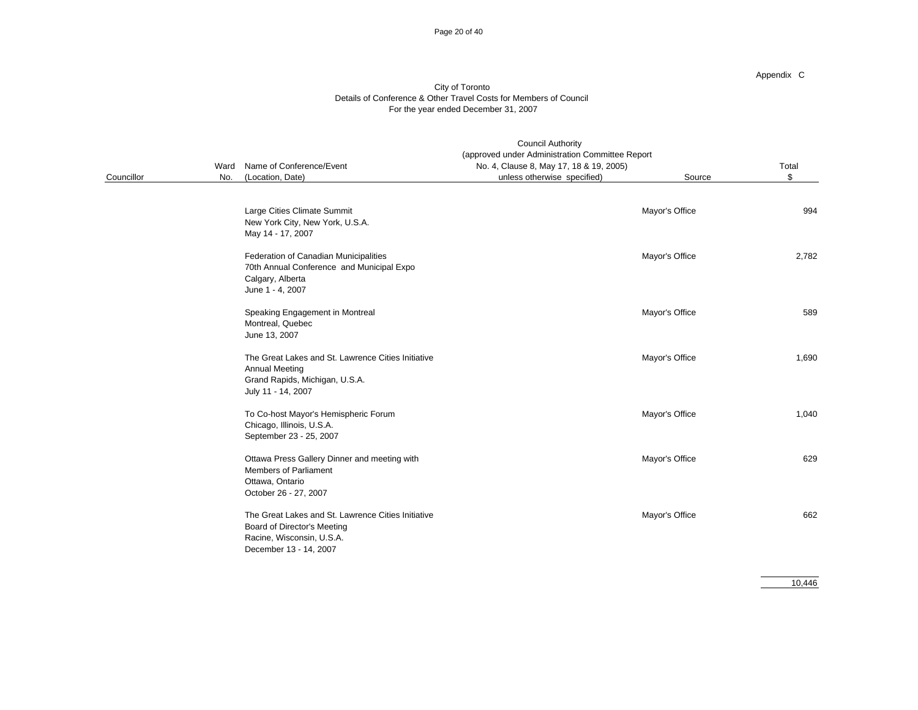#### Page 20 of 40

Appendix C

#### City of Toronto Details of Conference & Other Travel Costs for Members of Council For the year ended December 31, 2007

|            |      | <b>Council Authority</b>                                                                                                                 |                                                                                            |                |       |  |
|------------|------|------------------------------------------------------------------------------------------------------------------------------------------|--------------------------------------------------------------------------------------------|----------------|-------|--|
|            | Ward | Name of Conference/Event                                                                                                                 | (approved under Administration Committee Report<br>No. 4, Clause 8, May 17, 18 & 19, 2005) |                | Total |  |
| Councillor | No.  | (Location, Date)                                                                                                                         | unless otherwise specified)                                                                | Source         | \$    |  |
|            |      | Large Cities Climate Summit<br>New York City, New York, U.S.A.<br>May 14 - 17, 2007                                                      |                                                                                            | Mayor's Office | 994   |  |
|            |      | Federation of Canadian Municipalities<br>70th Annual Conference and Municipal Expo<br>Calgary, Alberta<br>June 1 - 4, 2007               |                                                                                            | Mayor's Office | 2,782 |  |
|            |      | Speaking Engagement in Montreal<br>Montreal, Quebec<br>June 13, 2007                                                                     |                                                                                            | Mayor's Office | 589   |  |
|            |      | The Great Lakes and St. Lawrence Cities Initiative<br><b>Annual Meeting</b><br>Grand Rapids, Michigan, U.S.A.<br>July 11 - 14, 2007      |                                                                                            | Mayor's Office | 1,690 |  |
|            |      | To Co-host Mayor's Hemispheric Forum<br>Chicago, Illinois, U.S.A.<br>September 23 - 25, 2007                                             |                                                                                            | Mayor's Office | 1,040 |  |
|            |      | Ottawa Press Gallery Dinner and meeting with<br><b>Members of Parliament</b><br>Ottawa, Ontario<br>October 26 - 27, 2007                 |                                                                                            | Mayor's Office | 629   |  |
|            |      | The Great Lakes and St. Lawrence Cities Initiative<br>Board of Director's Meeting<br>Racine, Wisconsin, U.S.A.<br>December 13 - 14, 2007 |                                                                                            | Mayor's Office | 662   |  |

10,446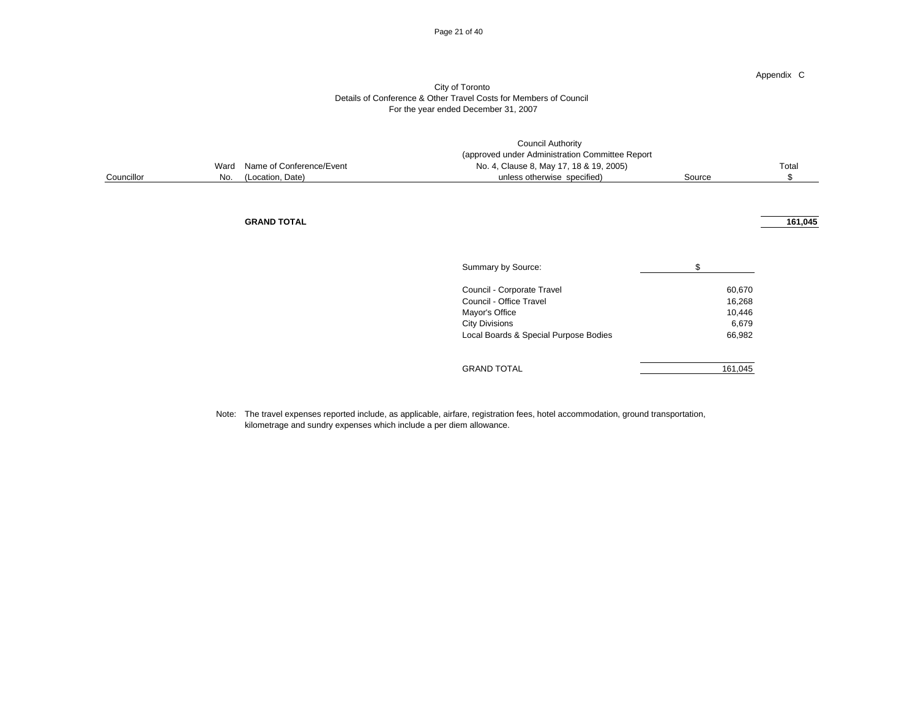#### Page 21 of 40

#### City of Toronto Details of Conference & Other Travel Costs for Members of Council For the year ended December 31, 2007

|            |     | <b>Council Authority</b><br>(approved under Administration Committee Report |                                         |        |         |  |
|------------|-----|-----------------------------------------------------------------------------|-----------------------------------------|--------|---------|--|
|            |     | Ward Name of Conference/Event                                               | No. 4, Clause 8, May 17, 18 & 19, 2005) |        | Total   |  |
| Councillor | No. | (Location, Date)                                                            | unless otherwise specified)             | Source |         |  |
|            |     |                                                                             |                                         |        |         |  |
|            |     |                                                                             |                                         |        |         |  |
|            |     |                                                                             |                                         |        |         |  |
|            |     | <b>GRAND TOTAL</b>                                                          |                                         |        | 161.045 |  |

| Summary by Source:                    | S       |
|---------------------------------------|---------|
| Council - Corporate Travel            | 60,670  |
| Council - Office Travel               | 16,268  |
| Mayor's Office                        | 10,446  |
| <b>City Divisions</b>                 | 6,679   |
| Local Boards & Special Purpose Bodies | 66,982  |
|                                       |         |
| <b>GRAND TOTAL</b>                    | 161.045 |

Note: The travel expenses reported include, as applicable, airfare, registration fees, hotel accommodation, ground transportation, kilometrage and sundry expenses which include a per diem allowance.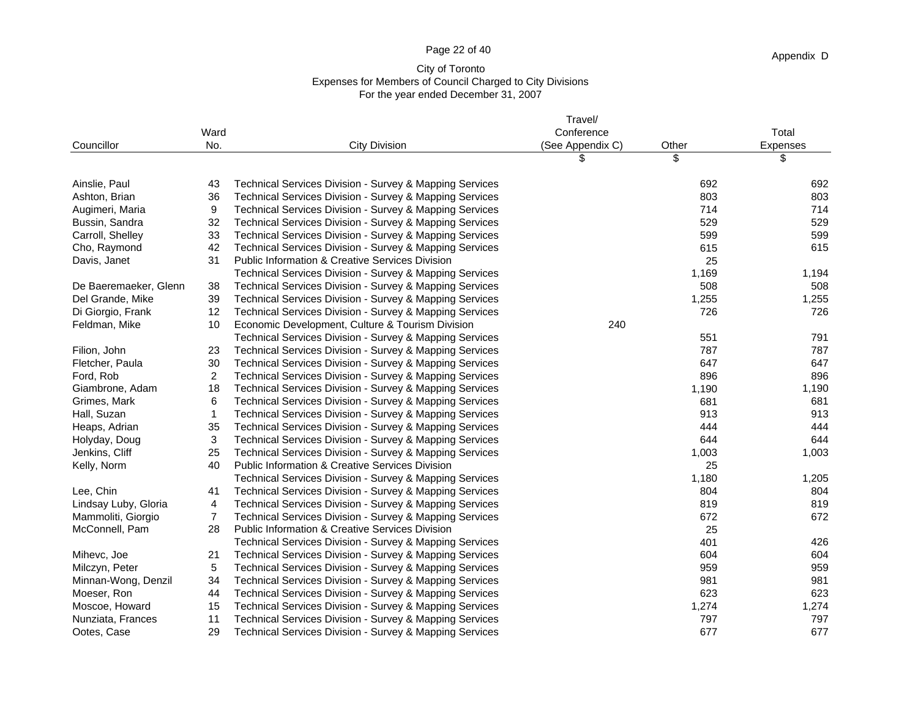## Page 22 of 40

## City of Toronto Expenses for Members of Council Charged to City Divisions For the year ended December 31, 2007

|                       |                |                                                            | Travel/          |       |          |
|-----------------------|----------------|------------------------------------------------------------|------------------|-------|----------|
|                       | Ward           |                                                            | Conference       |       | Total    |
| Councillor            | No.            | <b>City Division</b>                                       | (See Appendix C) | Other | Expenses |
|                       |                |                                                            | \$               | \$    | \$       |
| Ainslie, Paul         | 43             | Technical Services Division - Survey & Mapping Services    |                  | 692   | 692      |
| Ashton, Brian         | 36             | Technical Services Division - Survey & Mapping Services    |                  | 803   | 803      |
| Augimeri, Maria       | 9              | Technical Services Division - Survey & Mapping Services    |                  | 714   | 714      |
| Bussin, Sandra        | 32             | Technical Services Division - Survey & Mapping Services    |                  | 529   | 529      |
| Carroll, Shelley      | 33             | Technical Services Division - Survey & Mapping Services    |                  | 599   | 599      |
| Cho, Raymond          | 42             | Technical Services Division - Survey & Mapping Services    |                  | 615   | 615      |
| Davis, Janet          | 31             | <b>Public Information &amp; Creative Services Division</b> |                  | 25    |          |
|                       |                | Technical Services Division - Survey & Mapping Services    |                  | 1,169 | 1,194    |
| De Baeremaeker, Glenn | 38             | Technical Services Division - Survey & Mapping Services    |                  | 508   | 508      |
| Del Grande, Mike      | 39             | Technical Services Division - Survey & Mapping Services    |                  | 1,255 | 1,255    |
| Di Giorgio, Frank     | 12             | Technical Services Division - Survey & Mapping Services    |                  | 726   | 726      |
| Feldman, Mike         | 10             | Economic Development, Culture & Tourism Division           | 240              |       |          |
|                       |                | Technical Services Division - Survey & Mapping Services    |                  | 551   | 791      |
| Filion, John          | 23             | Technical Services Division - Survey & Mapping Services    |                  | 787   | 787      |
| Fletcher, Paula       | 30             | Technical Services Division - Survey & Mapping Services    |                  | 647   | 647      |
| Ford, Rob             | $\overline{c}$ | Technical Services Division - Survey & Mapping Services    |                  | 896   | 896      |
| Giambrone, Adam       | 18             | Technical Services Division - Survey & Mapping Services    |                  | 1,190 | 1,190    |
| Grimes, Mark          | 6              | Technical Services Division - Survey & Mapping Services    |                  | 681   | 681      |
| Hall, Suzan           | $\mathbf{1}$   | Technical Services Division - Survey & Mapping Services    |                  | 913   | 913      |
| Heaps, Adrian         | 35             | Technical Services Division - Survey & Mapping Services    |                  | 444   | 444      |
| Holyday, Doug         | 3              | Technical Services Division - Survey & Mapping Services    |                  | 644   | 644      |
| Jenkins, Cliff        | 25             | Technical Services Division - Survey & Mapping Services    |                  | 1,003 | 1,003    |
| Kelly, Norm           | 40             | <b>Public Information &amp; Creative Services Division</b> |                  | 25    |          |
|                       |                | Technical Services Division - Survey & Mapping Services    |                  | 1,180 | 1,205    |
| Lee, Chin             | 41             | Technical Services Division - Survey & Mapping Services    |                  | 804   | 804      |
| Lindsay Luby, Gloria  | 4              | Technical Services Division - Survey & Mapping Services    |                  | 819   | 819      |
| Mammoliti, Giorgio    | 7              | Technical Services Division - Survey & Mapping Services    |                  | 672   | 672      |
| McConnell, Pam        | 28             | <b>Public Information &amp; Creative Services Division</b> |                  | 25    |          |
|                       |                | Technical Services Division - Survey & Mapping Services    |                  | 401   | 426      |
| Mihevc, Joe           | 21             | Technical Services Division - Survey & Mapping Services    |                  | 604   | 604      |
| Milczyn, Peter        | 5              | Technical Services Division - Survey & Mapping Services    |                  | 959   | 959      |
| Minnan-Wong, Denzil   | 34             | Technical Services Division - Survey & Mapping Services    |                  | 981   | 981      |
| Moeser, Ron           | 44             | Technical Services Division - Survey & Mapping Services    |                  | 623   | 623      |
| Moscoe, Howard        | 15             | Technical Services Division - Survey & Mapping Services    |                  | 1,274 | 1,274    |
| Nunziata, Frances     | 11             | Technical Services Division - Survey & Mapping Services    |                  | 797   | 797      |
| Ootes, Case           | 29             | Technical Services Division - Survey & Mapping Services    |                  | 677   | 677      |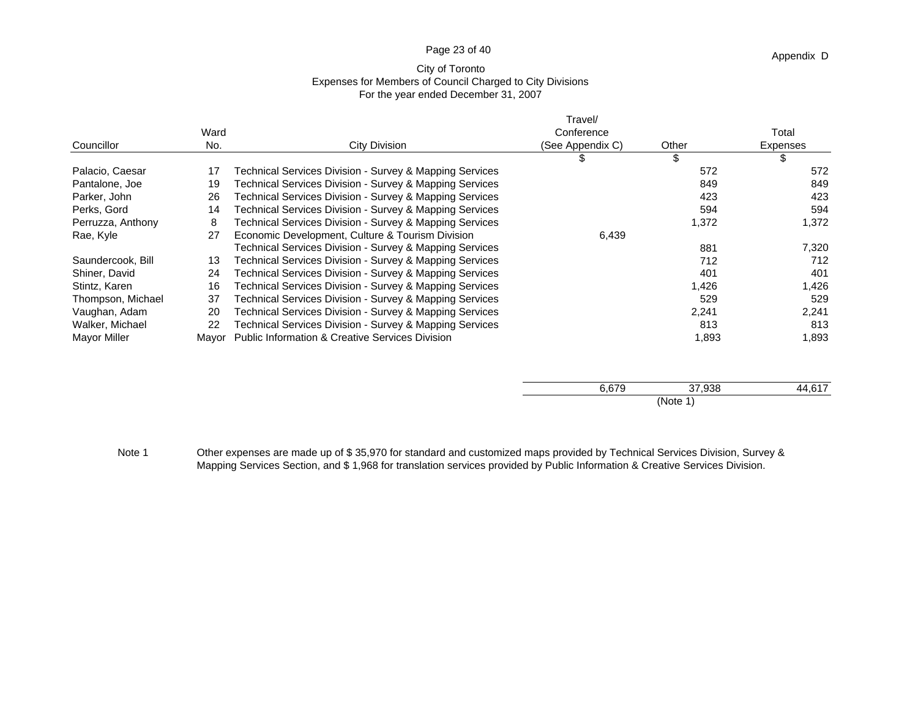## Page 23 of 40

## City of Toronto Expenses for Members of Council Charged to City Divisions For the year ended December 31, 2007

|                   |       |                                                            | Travel/          |        |            |
|-------------------|-------|------------------------------------------------------------|------------------|--------|------------|
|                   | Ward  |                                                            | Conference       |        | Total      |
| Councillor        | No.   | City Division                                              | (See Appendix C) | Other  | Expenses   |
|                   |       |                                                            | \$               | \$     | \$         |
| Palacio, Caesar   | 17    | Technical Services Division - Survey & Mapping Services    |                  | 572    | 572        |
| Pantalone, Joe    | 19    | Fechnical Services Division - Survey & Mapping Services    |                  | 849    | 849        |
| Parker, John      | 26    | Technical Services Division - Survey & Mapping Services    |                  | 423    | 423        |
| Perks, Gord       | 14    | Technical Services Division - Survey & Mapping Services    |                  | 594    | 594        |
| Perruzza, Anthony | 8     | Technical Services Division - Survey & Mapping Services    |                  | 1,372  | 1,372      |
| Rae, Kyle         | 27    | Economic Development, Culture & Tourism Division           | 6,439            |        |            |
|                   |       | Technical Services Division - Survey & Mapping Services    |                  | 881    | 7,320      |
| Saundercook, Bill | 13    | Technical Services Division - Survey & Mapping Services    |                  | 712    | 712        |
| Shiner, David     | 24    | Technical Services Division - Survey & Mapping Services    |                  | 401    | 401        |
| Stintz, Karen     | 16    | Technical Services Division - Survey & Mapping Services    |                  | 1,426  | 1,426      |
| Thompson, Michael | 37    | Technical Services Division - Survey & Mapping Services    |                  | 529    | 529        |
| Vaughan, Adam     | 20    | Technical Services Division - Survey & Mapping Services    |                  | 2,241  | 2,241      |
| Walker, Michael   | 22    | Technical Services Division - Survey & Mapping Services    |                  | 813    | 813        |
| Mayor Miller      | Mayor | <b>Public Information &amp; Creative Services Division</b> |                  | 1,893  | 1,893      |
|                   |       |                                                            |                  |        |            |
|                   |       |                                                            | 0.070            | 27.000 | $AA$ $CAD$ |

 $6,679$   $37,938$   $44,617$ (Note 1)

Note 1 Other expenses are made up of \$35,970 for standard and customized maps provided by Technical Services Division, Survey & Mapping Services Section, and \$ 1,968 for translation services provided by Public Information & Creative Services Division.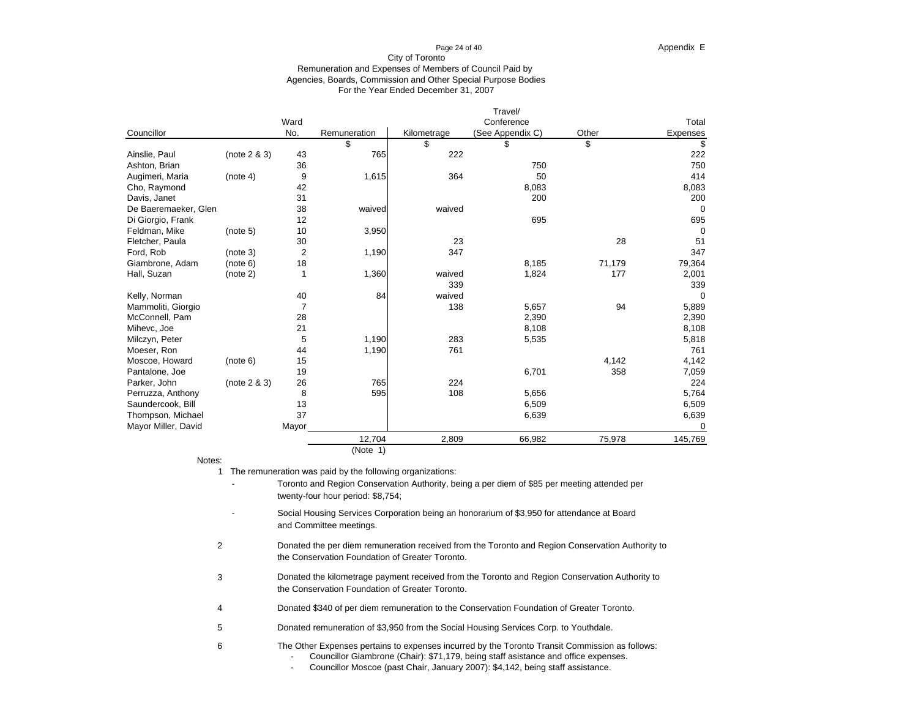#### For the Year Ended December 31, 2007 City of Toronto Remuneration and Expenses of Members of Council Paid by Agencies, Boards, Commission and Other Special Purpose Bodies

|                      |              |       |              |             | Travel/          |        |             |
|----------------------|--------------|-------|--------------|-------------|------------------|--------|-------------|
|                      |              | Ward  |              |             | Conference       |        | Total       |
| Councillor           |              | No.   | Remuneration | Kilometrage | (See Appendix C) | Other  | Expenses    |
|                      |              |       | \$           | \$          | \$               | \$     | \$          |
| Ainslie, Paul        | (note 2 & 3) | 43    | 765          | 222         |                  |        | 222         |
| Ashton, Brian        |              | 36    |              |             | 750              |        | 750         |
| Augimeri, Maria      | (note 4)     | 9     | 1,615        | 364         | 50               |        | 414         |
| Cho, Raymond         |              | 42    |              |             | 8,083            |        | 8,083       |
| Davis, Janet         |              | 31    |              |             | 200              |        | 200         |
| De Baeremaeker, Glen |              | 38    | waived       | waived      |                  |        | 0           |
| Di Giorgio, Frank    |              | 12    |              |             | 695              |        | 695         |
| Feldman, Mike        | (note 5)     | 10    | 3,950        |             |                  |        | $\Omega$    |
| Fletcher, Paula      |              | 30    |              | 23          |                  | 28     | 51          |
| Ford, Rob            | (note 3)     | 2     | 1,190        | 347         |                  |        | 347         |
| Giambrone, Adam      | (note 6)     | 18    |              |             | 8,185            | 71,179 | 79,364      |
| Hall, Suzan          | (note 2)     |       | 1,360        | waived      | 1,824            | 177    | 2,001       |
|                      |              |       |              | 339         |                  |        | 339         |
| Kelly, Norman        |              | 40    | 84           | waived      |                  |        | $\mathbf 0$ |
| Mammoliti, Giorgio   |              | 7     |              | 138         | 5,657            | 94     | 5,889       |
| McConnell, Pam       |              | 28    |              |             | 2,390            |        | 2,390       |
| Mihevc, Joe          |              | 21    |              |             | 8,108            |        | 8,108       |
| Milczyn, Peter       |              | 5     | 1,190        | 283         | 5,535            |        | 5,818       |
| Moeser, Ron          |              | 44    | 1,190        | 761         |                  |        | 761         |
| Moscoe, Howard       | (note 6)     | 15    |              |             |                  | 4,142  | 4,142       |
| Pantalone, Joe       |              | 19    |              |             | 6,701            | 358    | 7,059       |
| Parker, John         | (note 2 & 3) | 26    | 765          | 224         |                  |        | 224         |
| Perruzza, Anthony    |              | 8     | 595          | 108         | 5,656            |        | 5,764       |
| Saundercook, Bill    |              | 13    |              |             | 6,509            |        | 6,509       |
| Thompson, Michael    |              | 37    |              |             | 6,639            |        | 6,639       |
| Mayor Miller, David  |              | Mayor |              |             |                  |        | $\Omega$    |
|                      |              |       | 12,704       | 2,809       | 66,982           | 75,978 | 145,769     |
|                      |              |       | (Note 1)     |             |                  |        |             |

Notes:

6

1 The remuneration was paid by the following organizations:

- -Toronto and Region Conservation Authority, being a per diem of \$85 per meeting attended per twenty-four hour period: \$8,754;
- -Social Housing Services Corporation being an honorarium of \$3,950 for attendance at Board and Committee meetings.
- 2the Conservation Foundation of Greater Toronto. Donated the per diem remuneration received from the Toronto and Region Conservation Authority to
- 3Donated the kilometrage payment received from the Toronto and Region Conservation Authority to the Conservation Foundation of Greater Toronto.
- 4Donated \$340 of per diem remuneration to the Conservation Foundation of Greater Toronto.
- 5Donated remuneration of \$3,950 from the Social Housing Services Corp. to Youthdale.
	- The Other Expenses pertains to expenses incurred by the Toronto Transit Commission as follows:
		- -Councillor Giambrone (Chair): \$71,179, being staff asistance and office expenses.
		- -Councillor Moscoe (past Chair, January 2007): \$4,142, being staff assistance.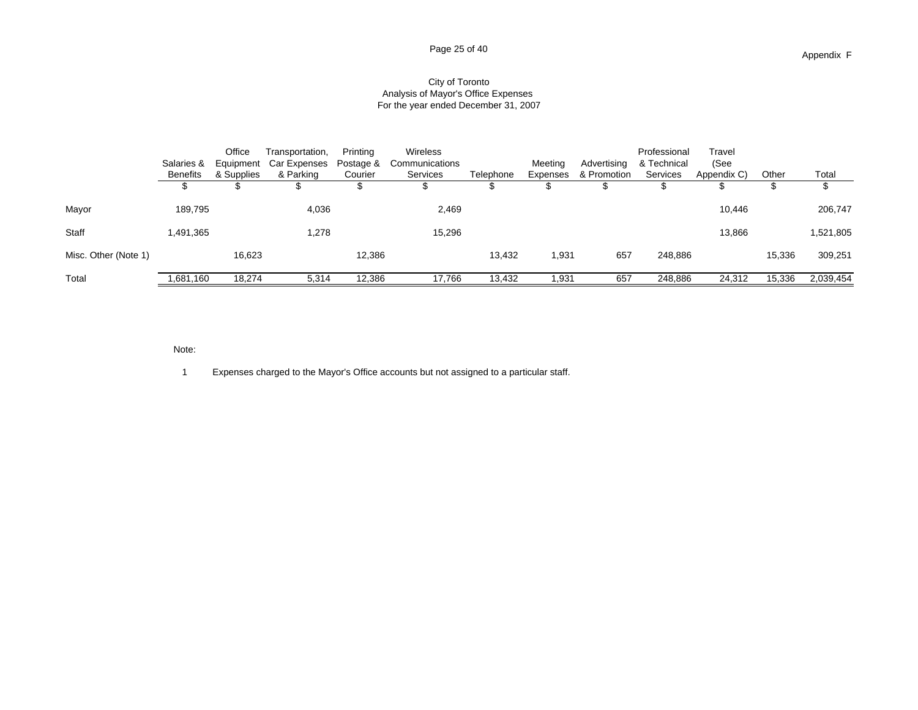#### City of Toronto Analysis of Mayor's Office Expenses For the year ended December 31, 2007

|                      | Salaries &      | Office<br>Equipment | Transportation,<br>Car Expenses | Printina<br>Postage & | Wireless<br>Communications |           | Meeting  | Advertising | Professional<br>& Technical | Travel<br>(See |        |           |
|----------------------|-----------------|---------------------|---------------------------------|-----------------------|----------------------------|-----------|----------|-------------|-----------------------------|----------------|--------|-----------|
|                      | <b>Benefits</b> | & Supplies          | & Parking                       | Courier               | <b>Services</b>            | Telephone | Expenses | & Promotion | Services                    | Appendix C)    | Other  | Total     |
|                      |                 |                     |                                 |                       |                            |           |          |             |                             |                |        |           |
| Mayor                | 189,795         |                     | 4,036                           |                       | 2,469                      |           |          |             |                             | 10,446         |        | 206,747   |
| <b>Staff</b>         | 1,491,365       |                     | 1,278                           |                       | 15,296                     |           |          |             |                             | 13,866         |        | 1,521,805 |
| Misc. Other (Note 1) |                 | 16,623              |                                 | 12,386                |                            | 13.432    | 1,931    | 657         | 248,886                     |                | 15,336 | 309,251   |
| Total                | .681,160        | 18,274              | 5,314                           | 12,386                | 17,766                     | 13,432    | 1,931    | 657         | 248,886                     | 24,312         | 15,336 | 2,039,454 |

Note:

1 Expenses charged to the Mayor's Office accounts but not assigned to a particular staff.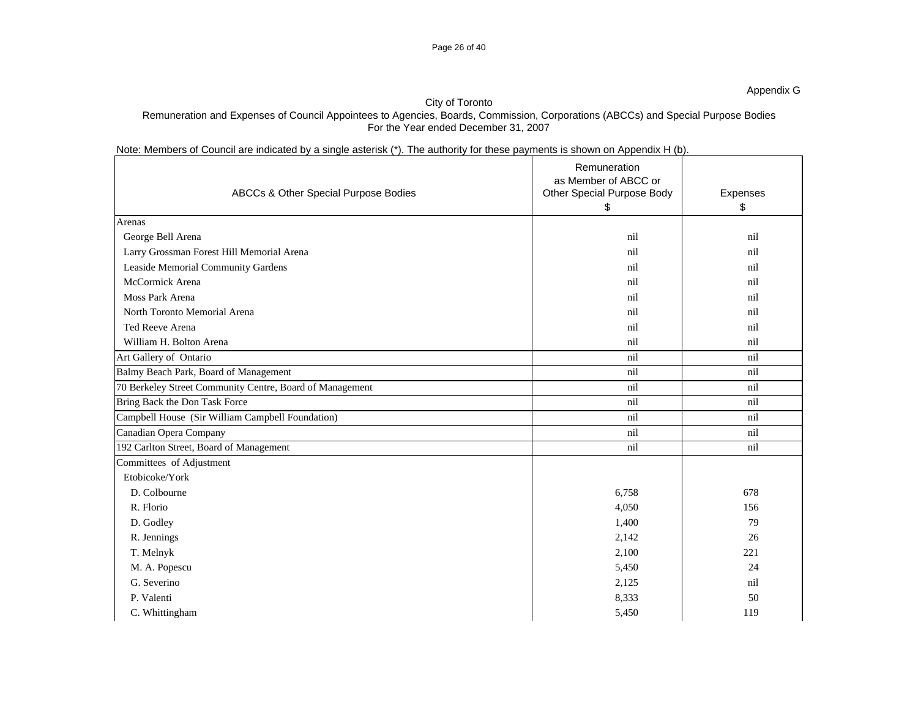## Page 26 of 40

## City of Toronto

## Remuneration and Expenses of Council Appointees to Agencies, Boards, Commission, Corporations (ABCCs) and Special Purpose Bodies For the Year ended December 31, 2007

## Note: Members of Council are indicated by a single asterisk (\*). The authority for these payments is shown on Appendix H (b).

| ABCCs & Other Special Purpose Bodies                     | Remuneration<br>as Member of ABCC or<br>Other Special Purpose Body | Expenses |
|----------------------------------------------------------|--------------------------------------------------------------------|----------|
|                                                          | \$                                                                 | \$       |
| Arenas                                                   |                                                                    |          |
| George Bell Arena                                        | nil                                                                | nil      |
| Larry Grossman Forest Hill Memorial Arena                | nil                                                                | nil      |
| Leaside Memorial Community Gardens                       | nil                                                                | nil      |
| McCormick Arena                                          | nil                                                                | nil      |
| Moss Park Arena                                          | nil                                                                | nil      |
| North Toronto Memorial Arena                             | nil                                                                | nil      |
| Ted Reeve Arena                                          | nil                                                                | nil      |
| William H. Bolton Arena                                  | nil                                                                | nil      |
| Art Gallery of Ontario                                   | nil                                                                | nil      |
| Balmy Beach Park, Board of Management                    | nil                                                                | nil      |
| 70 Berkeley Street Community Centre, Board of Management | nil                                                                | nil      |
| Bring Back the Don Task Force                            | nil                                                                | nil      |
| Campbell House (Sir William Campbell Foundation)         | nil                                                                | nil      |
| Canadian Opera Company                                   | nil                                                                | nil      |
| 192 Carlton Street, Board of Management                  | nil                                                                | nil      |
| Committees of Adjustment                                 |                                                                    |          |
| Etobicoke/York                                           |                                                                    |          |
| D. Colbourne                                             | 6,758                                                              | 678      |
| R. Florio                                                | 4,050                                                              | 156      |
| D. Godley                                                | 1,400                                                              | 79       |
| R. Jennings                                              | 2,142                                                              | 26       |
| T. Melnyk                                                | 2,100                                                              | 221      |
| M. A. Popescu                                            | 5,450                                                              | 24       |
| G. Severino                                              | 2,125                                                              | nil      |
| P. Valenti                                               | 8,333                                                              | 50       |
| C. Whittingham                                           | 5,450                                                              | 119      |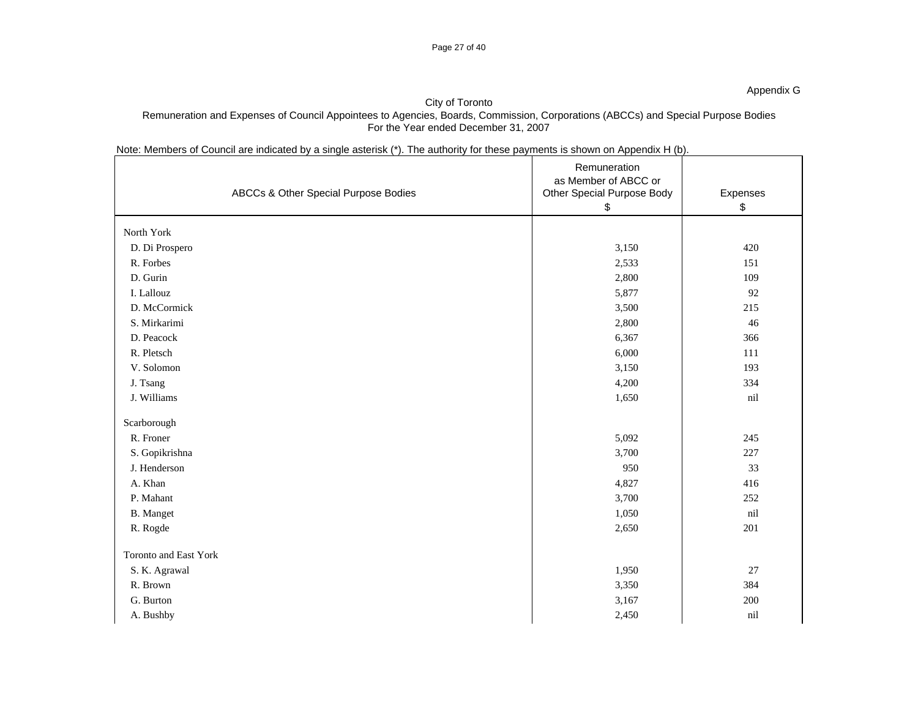## City of Toronto Remuneration and Expenses of Council Appointees to Agencies, Boards, Commission, Corporations (ABCCs) and Special Purpose Bodies For the Year ended December 31, 2007

## Note: Members of Council are indicated by a single asterisk (\*). The authority for these payments is shown on Appendix H (b).

| ABCCs & Other Special Purpose Bodies | Remuneration<br>as Member of ABCC or<br>Other Special Purpose Body<br>\$ | Expenses<br>\$ |
|--------------------------------------|--------------------------------------------------------------------------|----------------|
| North York                           |                                                                          |                |
| D. Di Prospero                       | 3,150                                                                    | 420            |
| R. Forbes                            | 2,533                                                                    | 151            |
| D. Gurin                             | 2,800                                                                    | 109            |
| I. Lallouz                           | 5,877                                                                    | 92             |
| D. McCormick                         | 3,500                                                                    | 215            |
| S. Mirkarimi                         | 2,800                                                                    | 46             |
| D. Peacock                           | 6,367                                                                    | 366            |
| R. Pletsch                           | 6,000                                                                    | 111            |
| V. Solomon                           | 3,150                                                                    | 193            |
| J. Tsang                             | 4,200                                                                    | 334            |
| J. Williams                          | 1,650                                                                    | nil            |
| Scarborough                          |                                                                          |                |
| R. Froner                            | 5,092                                                                    | 245            |
| S. Gopikrishna                       | 3,700                                                                    | 227            |
| J. Henderson                         | 950                                                                      | 33             |
| A. Khan                              | 4,827                                                                    | 416            |
| P. Mahant                            | 3,700                                                                    | 252            |
| <b>B.</b> Manget                     | 1,050                                                                    | nil            |
| R. Rogde                             | 2,650                                                                    | 201            |
| Toronto and East York                |                                                                          |                |
| S. K. Agrawal                        | 1,950                                                                    | 27             |
| R. Brown                             | 3,350                                                                    | 384            |
| G. Burton                            | 3,167                                                                    | 200            |
| A. Bushby                            | 2,450                                                                    | nil            |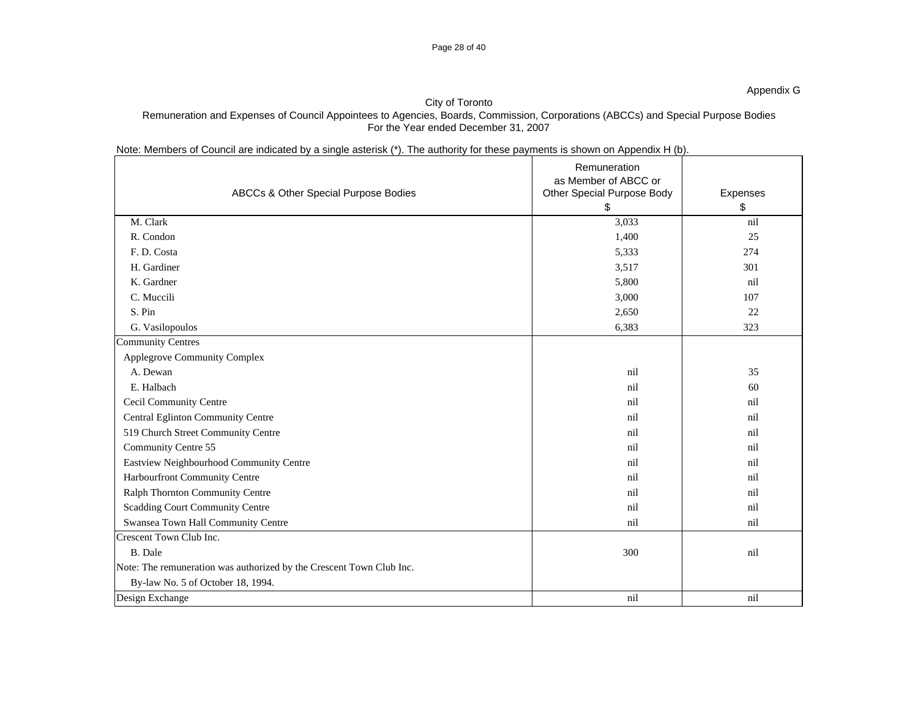## City of Toronto Remuneration and Expenses of Council Appointees to Agencies, Boards, Commission, Corporations (ABCCs) and Special Purpose Bodies For the Year ended December 31, 2007

Note: Members of Council are indicated by a single asterisk (\*). The authority for these payments is shown on Appendix H (b).

| ABCCs & Other Special Purpose Bodies                                 | Remuneration<br>as Member of ABCC or<br>Other Special Purpose Body | Expenses |
|----------------------------------------------------------------------|--------------------------------------------------------------------|----------|
|                                                                      | \$                                                                 | \$       |
| M. Clark                                                             | 3,033                                                              | nil      |
| R. Condon                                                            | 1,400                                                              | 25       |
| F. D. Costa                                                          | 5,333                                                              | 274      |
| H. Gardiner                                                          | 3,517                                                              | 301      |
| K. Gardner                                                           | 5,800                                                              | nil      |
| C. Muccili                                                           | 3,000                                                              | 107      |
| S. Pin                                                               | 2,650                                                              | 22       |
| G. Vasilopoulos                                                      | 6,383                                                              | 323      |
| <b>Community Centres</b>                                             |                                                                    |          |
| Applegrove Community Complex                                         |                                                                    |          |
| A. Dewan                                                             | nil                                                                | 35       |
| E. Halbach                                                           | nil                                                                | 60       |
| Cecil Community Centre                                               | nil                                                                | nil      |
| Central Eglinton Community Centre                                    | nil                                                                | nil      |
| 519 Church Street Community Centre                                   | nil                                                                | nil      |
| Community Centre 55                                                  | nil                                                                | nil      |
| Eastview Neighbourhood Community Centre                              | nil                                                                | nil      |
| Harbourfront Community Centre                                        | nil                                                                | nil      |
| Ralph Thornton Community Centre                                      | nil                                                                | nil      |
| Scadding Court Community Centre                                      | nil                                                                | nil      |
| Swansea Town Hall Community Centre                                   | nil                                                                | nil      |
| Crescent Town Club Inc.                                              |                                                                    |          |
| <b>B.</b> Dale                                                       | 300                                                                | nil      |
| Note: The remuneration was authorized by the Crescent Town Club Inc. |                                                                    |          |
| By-law No. 5 of October 18, 1994.                                    |                                                                    |          |
| Design Exchange                                                      | nil                                                                | nil      |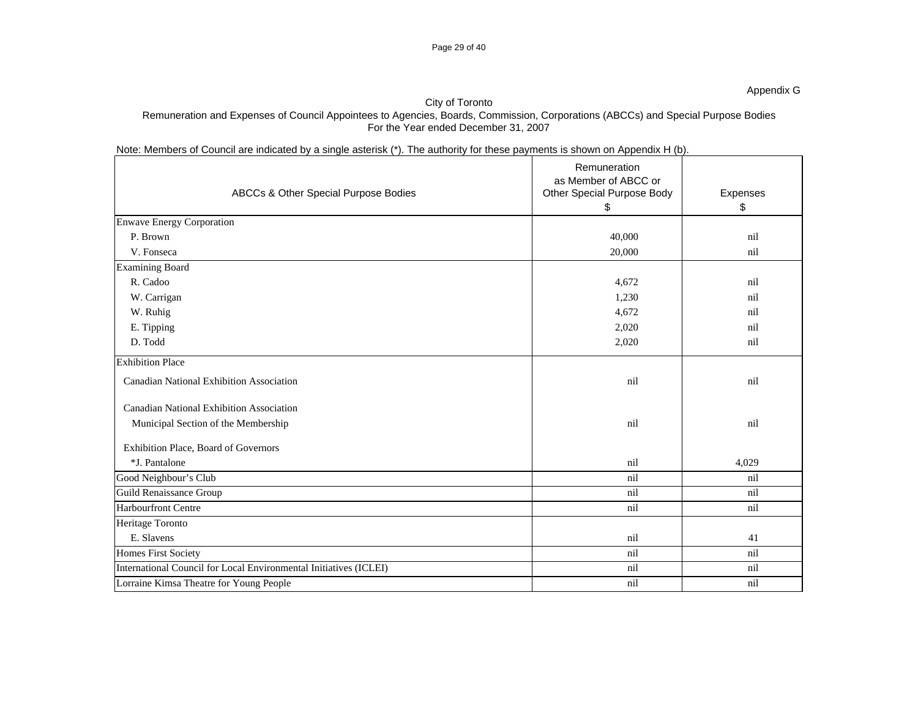## Page 29 of 40

## City of Toronto Remuneration and Expenses of Council Appointees to Agencies, Boards, Commission, Corporations (ABCCs) and Special Purpose Bodies For the Year ended December 31, 2007

Note: Members of Council are indicated by a single asterisk (\*). The authority for these payments is shown on Appendix H (b).

| ABCCs & Other Special Purpose Bodies                              | Remuneration<br>as Member of ABCC or<br>Other Special Purpose Body<br>\$ | Expenses<br>\$ |
|-------------------------------------------------------------------|--------------------------------------------------------------------------|----------------|
| <b>Enwave Energy Corporation</b>                                  |                                                                          |                |
| P. Brown                                                          | 40,000                                                                   | nil            |
| V. Fonseca                                                        | 20,000                                                                   | nil            |
| <b>Examining Board</b>                                            |                                                                          |                |
| R. Cadoo                                                          | 4,672                                                                    | nil            |
| W. Carrigan                                                       | 1,230                                                                    | nil            |
| W. Ruhig                                                          | 4,672                                                                    | nil            |
| E. Tipping                                                        | 2,020                                                                    | nil            |
| D. Todd                                                           | 2,020                                                                    | nil            |
| <b>Exhibition Place</b>                                           |                                                                          |                |
| <b>Canadian National Exhibition Association</b>                   | nil                                                                      | nil            |
| <b>Canadian National Exhibition Association</b>                   |                                                                          |                |
| Municipal Section of the Membership                               | nil                                                                      | nil            |
| Exhibition Place, Board of Governors                              |                                                                          |                |
| *J. Pantalone                                                     | nil                                                                      | 4,029          |
| Good Neighbour's Club                                             | nil                                                                      | nil            |
| Guild Renaissance Group                                           | nil                                                                      | nil            |
| <b>Harbourfront Centre</b>                                        | nil                                                                      | nil            |
| Heritage Toronto                                                  |                                                                          |                |
| E. Slavens                                                        | nil                                                                      | 41             |
| Homes First Society                                               | nil                                                                      | nil            |
| International Council for Local Environmental Initiatives (ICLEI) | nil                                                                      | nil            |
| Lorraine Kimsa Theatre for Young People                           | nil                                                                      | nil            |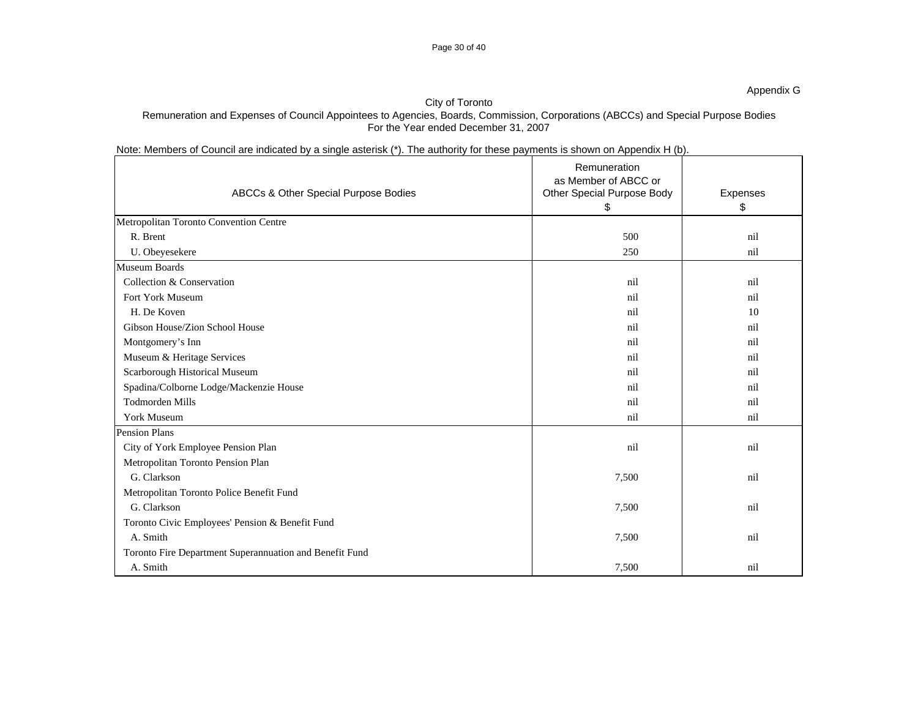## Page 30 of 40

## City of Toronto

## Remuneration and Expenses of Council Appointees to Agencies, Boards, Commission, Corporations (ABCCs) and Special Purpose Bodies For the Year ended December 31, 2007

Note: Members of Council are indicated by a single asterisk (\*). The authority for these payments is shown on Appendix H (b).

| ABCCs & Other Special Purpose Bodies                    | Remuneration<br>as Member of ABCC or<br>Other Special Purpose Body<br>\$ | Expenses<br>\$ |
|---------------------------------------------------------|--------------------------------------------------------------------------|----------------|
| Metropolitan Toronto Convention Centre                  |                                                                          |                |
| R. Brent                                                | 500                                                                      | nil            |
| U. Obeyesekere                                          | 250                                                                      | nil            |
| Museum Boards                                           |                                                                          |                |
| Collection & Conservation                               | nil                                                                      | nil            |
| <b>Fort York Museum</b>                                 | nil                                                                      | nil            |
| H. De Koven                                             | nil                                                                      | 10             |
| Gibson House/Zion School House                          | nil                                                                      | nil            |
| Montgomery's Inn                                        | nil                                                                      | nil            |
| Museum & Heritage Services                              | nil                                                                      | nil            |
| Scarborough Historical Museum                           | nil                                                                      | nil            |
| Spadina/Colborne Lodge/Mackenzie House                  | nil                                                                      | nil            |
| <b>Todmorden Mills</b>                                  | nil                                                                      | nil            |
| <b>York Museum</b>                                      | nil                                                                      | nil            |
| <b>Pension Plans</b>                                    |                                                                          |                |
| City of York Employee Pension Plan                      | nil                                                                      | nil            |
| Metropolitan Toronto Pension Plan                       |                                                                          |                |
| G. Clarkson                                             | 7,500                                                                    | nil            |
| Metropolitan Toronto Police Benefit Fund                |                                                                          |                |
| G. Clarkson                                             | 7,500                                                                    | nil            |
| Toronto Civic Employees' Pension & Benefit Fund         |                                                                          |                |
| A. Smith                                                | 7,500                                                                    | nil            |
| Toronto Fire Department Superannuation and Benefit Fund |                                                                          |                |
| A. Smith                                                | 7,500                                                                    | nil            |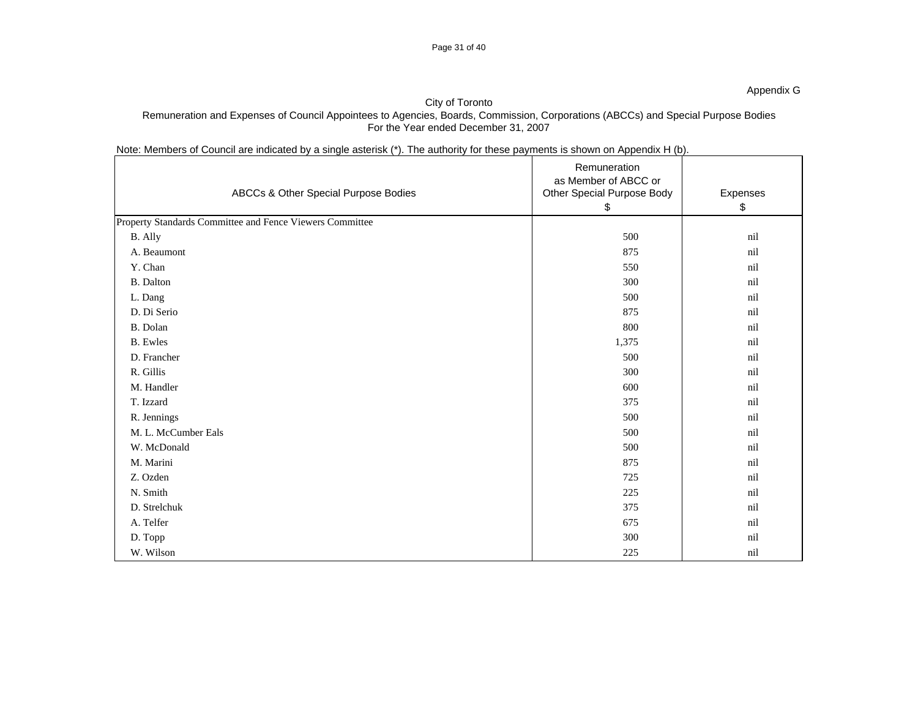## City of Toronto Remuneration and Expenses of Council Appointees to Agencies, Boards, Commission, Corporations (ABCCs) and Special Purpose Bodies For the Year ended December 31, 2007

## Note: Members of Council are indicated by a single asterisk (\*). The authority for these payments is shown on Appendix H (b).

| ABCCs & Other Special Purpose Bodies                     | Remuneration<br>as Member of ABCC or<br>Other Special Purpose Body<br>\$ | Expenses<br>\$ |
|----------------------------------------------------------|--------------------------------------------------------------------------|----------------|
| Property Standards Committee and Fence Viewers Committee |                                                                          |                |
| B. Ally                                                  | 500                                                                      | nil            |
| A. Beaumont                                              | 875                                                                      | nil            |
| Y. Chan                                                  | 550                                                                      | nil            |
| B. Dalton                                                | 300                                                                      | nil            |
| L. Dang                                                  | 500                                                                      | nil            |
| D. Di Serio                                              | 875                                                                      | nil            |
| B. Dolan                                                 | 800                                                                      | nil            |
| <b>B.</b> Ewles                                          | 1,375                                                                    | nil            |
| D. Francher                                              | 500                                                                      | nil            |
| R. Gillis                                                | 300                                                                      | nil            |
| M. Handler                                               | 600                                                                      | nil            |
| T. Izzard                                                | 375                                                                      | nil            |
| R. Jennings                                              | 500                                                                      | nil            |
| M. L. McCumber Eals                                      | 500                                                                      | nil            |
| W. McDonald                                              | 500                                                                      | nil            |
| M. Marini                                                | 875                                                                      | nil            |
| Z. Ozden                                                 | 725                                                                      | nil            |
| N. Smith                                                 | 225                                                                      | nil            |
| D. Strelchuk                                             | 375                                                                      | nil            |
| A. Telfer                                                | 675                                                                      | nil            |
| D. Topp                                                  | 300                                                                      | nil            |
| W. Wilson                                                | 225                                                                      | nil            |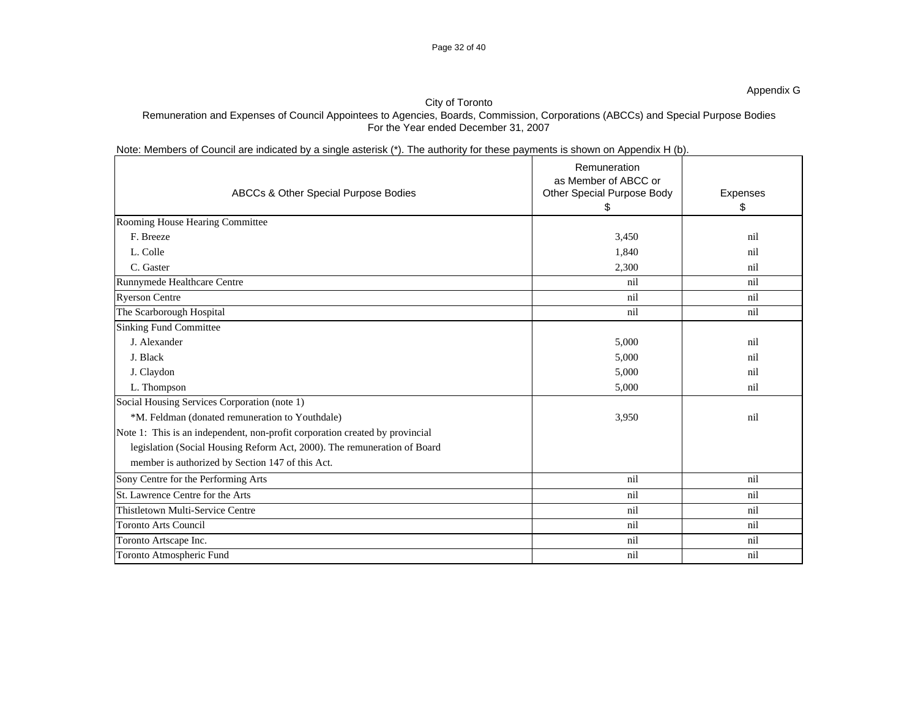## Page 32 of 40

## City of Toronto

## Remuneration and Expenses of Council Appointees to Agencies, Boards, Commission, Corporations (ABCCs) and Special Purpose Bodies For the Year ended December 31, 2007

Note: Members of Council are indicated by a single asterisk (\*). The authority for these payments is shown on Appendix H (b).

| ABCCs & Other Special Purpose Bodies                                         | Remuneration<br>as Member of ABCC or<br>Other Special Purpose Body<br>S | Expenses<br>\$ |
|------------------------------------------------------------------------------|-------------------------------------------------------------------------|----------------|
| Rooming House Hearing Committee                                              |                                                                         |                |
| F. Breeze                                                                    | 3,450                                                                   | nil            |
| L. Colle                                                                     | 1,840                                                                   | nil            |
| C. Gaster                                                                    | 2,300                                                                   | nil            |
| Runnymede Healthcare Centre                                                  | nil                                                                     | nil            |
| <b>Ryerson Centre</b>                                                        | nil                                                                     | nil            |
| The Scarborough Hospital                                                     | nil                                                                     | nil            |
| <b>Sinking Fund Committee</b>                                                |                                                                         |                |
| J. Alexander                                                                 | 5,000                                                                   | nil            |
| J. Black                                                                     | 5,000                                                                   | nil            |
| J. Claydon                                                                   | 5,000                                                                   | nil            |
| L. Thompson                                                                  | 5,000                                                                   | nil            |
| Social Housing Services Corporation (note 1)                                 |                                                                         |                |
| *M. Feldman (donated remuneration to Youthdale)                              | 3,950                                                                   | nil            |
| Note 1: This is an independent, non-profit corporation created by provincial |                                                                         |                |
| legislation (Social Housing Reform Act, 2000). The remuneration of Board     |                                                                         |                |
| member is authorized by Section 147 of this Act.                             |                                                                         |                |
| Sony Centre for the Performing Arts                                          | nil                                                                     | nil            |
| St. Lawrence Centre for the Arts                                             | nil                                                                     | nil            |
| Thistletown Multi-Service Centre                                             | nil                                                                     | nil            |
| <b>Toronto Arts Council</b>                                                  | nil                                                                     | nil            |
| Toronto Artscape Inc.                                                        | nil                                                                     | nil            |
| Toronto Atmospheric Fund                                                     | nil                                                                     | nil            |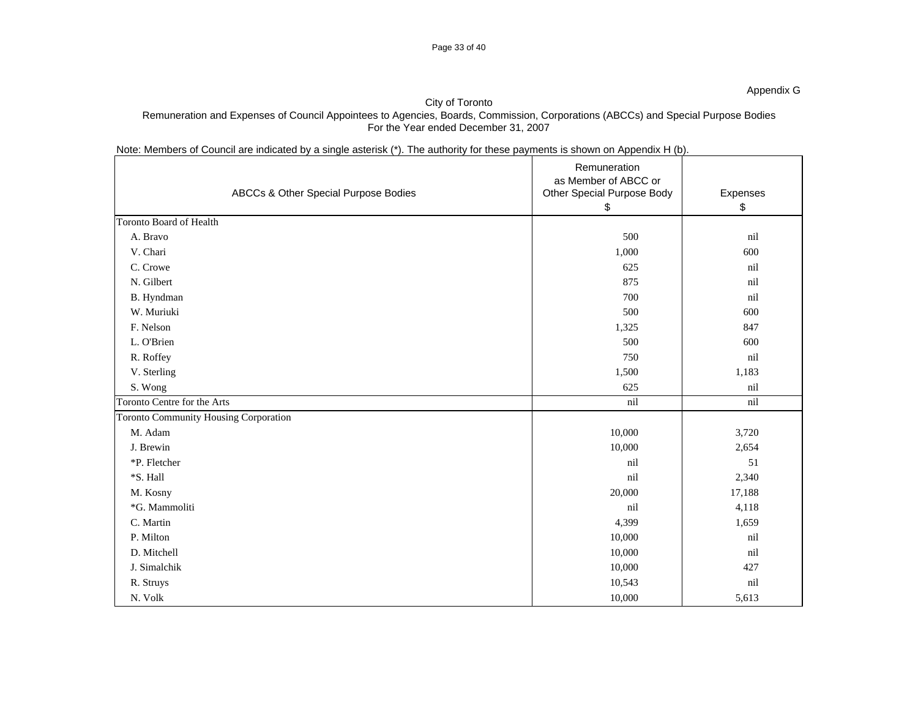## City of Toronto Remuneration and Expenses of Council Appointees to Agencies, Boards, Commission, Corporations (ABCCs) and Special Purpose Bodies For the Year ended December 31, 2007

## Note: Members of Council are indicated by a single asterisk (\*). The authority for these payments is shown on Appendix H (b).

| ABCCs & Other Special Purpose Bodies  | Remuneration<br>as Member of ABCC or<br>Other Special Purpose Body<br>\$ | Expenses<br>\$ |
|---------------------------------------|--------------------------------------------------------------------------|----------------|
| Toronto Board of Health               |                                                                          |                |
| A. Bravo                              | 500                                                                      | nil            |
| V. Chari                              | 1,000                                                                    | 600            |
| C. Crowe                              | 625                                                                      | nil            |
| N. Gilbert                            | 875                                                                      | nil            |
| B. Hyndman                            | 700                                                                      | nil            |
| W. Muriuki                            | 500                                                                      | 600            |
| F. Nelson                             | 1,325                                                                    | 847            |
| L. O'Brien                            | 500                                                                      | 600            |
| R. Roffey                             | 750                                                                      | nil            |
| V. Sterling                           | 1,500                                                                    | 1,183          |
| S. Wong                               | 625                                                                      | nil            |
| Toronto Centre for the Arts           | nil                                                                      | nil            |
| Toronto Community Housing Corporation |                                                                          |                |
| M. Adam                               | 10,000                                                                   | 3,720          |
| J. Brewin                             | 10,000                                                                   | 2,654          |
| *P. Fletcher                          | nil                                                                      | 51             |
| *S. Hall                              | nil                                                                      | 2,340          |
| M. Kosny                              | 20,000                                                                   | 17,188         |
| *G. Mammoliti                         | nil                                                                      | 4,118          |
| C. Martin                             | 4,399                                                                    | 1,659          |
| P. Milton                             | 10,000                                                                   | nil            |
| D. Mitchell                           | 10,000                                                                   | nil            |
| J. Simalchik                          | 10,000                                                                   | 427            |
| R. Struys                             | 10,543                                                                   | nil            |
| N. Volk                               | 10,000                                                                   | 5,613          |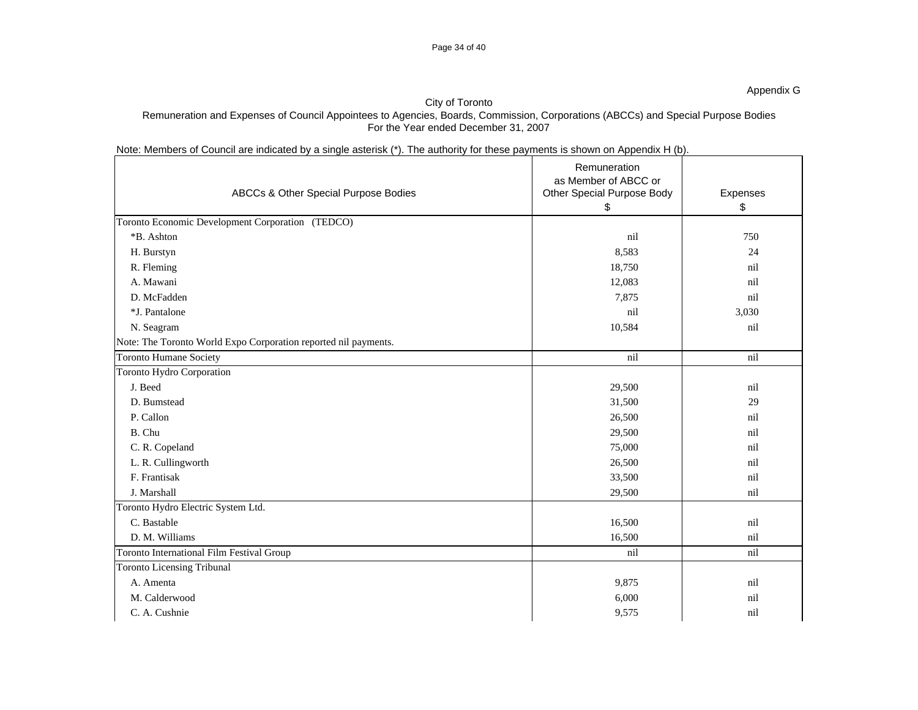# City of Toronto

Remuneration and Expenses of Council Appointees to Agencies, Boards, Commission, Corporations (ABCCs) and Special Purpose Bodies For the Year ended December 31, 2007

## Note: Members of Council are indicated by a single asterisk (\*). The authority for these payments is shown on Appendix H (b).

| ABCCs & Other Special Purpose Bodies                            | Remuneration<br>as Member of ABCC or<br>Other Special Purpose Body<br>\$ | Expenses<br>\$ |
|-----------------------------------------------------------------|--------------------------------------------------------------------------|----------------|
| Toronto Economic Development Corporation (TEDCO)                |                                                                          |                |
| *B. Ashton                                                      | nil                                                                      | 750            |
| H. Burstyn                                                      | 8,583                                                                    | 24             |
| R. Fleming                                                      | 18,750                                                                   | nil            |
| A. Mawani                                                       | 12,083                                                                   | nil            |
| D. McFadden                                                     | 7,875                                                                    | nil            |
| *J. Pantalone                                                   | nil                                                                      | 3,030          |
| N. Seagram                                                      | 10,584                                                                   | nil            |
| Note: The Toronto World Expo Corporation reported nil payments. |                                                                          |                |
| <b>Toronto Humane Society</b>                                   | nil                                                                      | nil            |
| Toronto Hydro Corporation                                       |                                                                          |                |
| J. Beed                                                         | 29,500                                                                   | nil            |
| D. Bumstead                                                     | 31,500                                                                   | 29             |
| P. Callon                                                       | 26,500                                                                   | nil            |
| B. Chu                                                          | 29,500                                                                   | nil            |
| C. R. Copeland                                                  | 75,000                                                                   | nil            |
| L. R. Cullingworth                                              | 26,500                                                                   | nil            |
| F. Frantisak                                                    | 33,500                                                                   | nil            |
| J. Marshall                                                     | 29,500                                                                   | nil            |
| Toronto Hydro Electric System Ltd.                              |                                                                          |                |
| C. Bastable                                                     | 16,500                                                                   | nil            |
| D. M. Williams                                                  | 16,500                                                                   | nil            |
| <b>Toronto International Film Festival Group</b>                | nil                                                                      | nil            |
| <b>Toronto Licensing Tribunal</b>                               |                                                                          |                |
| A. Amenta                                                       | 9,875                                                                    | nil            |
| M. Calderwood                                                   | 6,000                                                                    | nil            |
| C. A. Cushnie                                                   | 9,575                                                                    | nil            |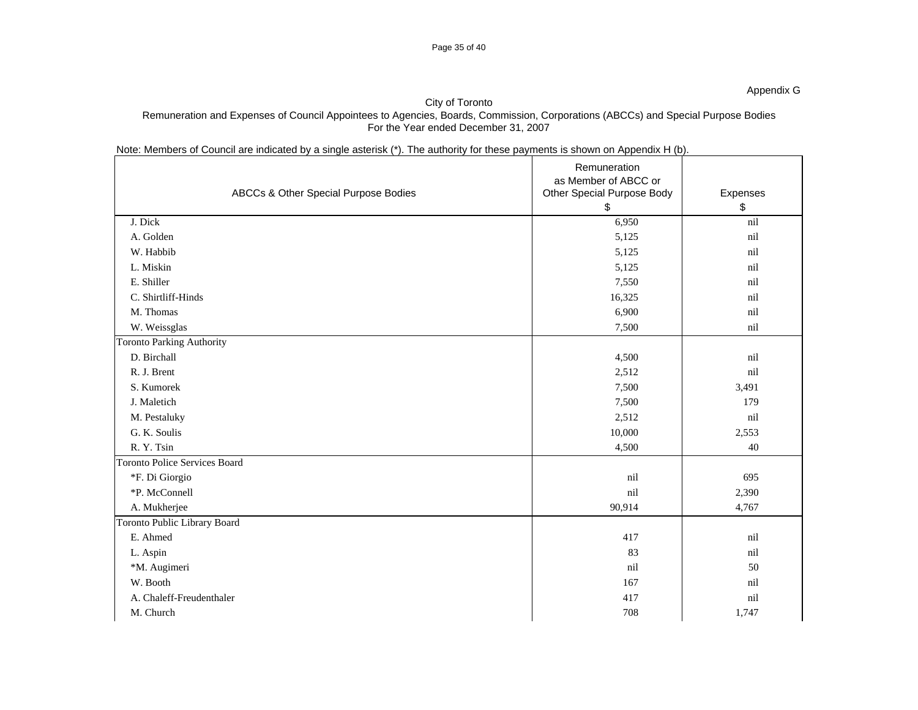## City of Toronto Remuneration and Expenses of Council Appointees to Agencies, Boards, Commission, Corporations (ABCCs) and Special Purpose Bodies For the Year ended December 31, 2007

Note: Members of Council are indicated by a single asterisk (\*). The authority for these payments is shown on Appendix H (b).

| ABCCs & Other Special Purpose Bodies | Remuneration<br>as Member of ABCC or<br>Other Special Purpose Body | Expenses |
|--------------------------------------|--------------------------------------------------------------------|----------|
|                                      | \$                                                                 | \$       |
| J. Dick                              | 6,950                                                              | nil      |
| A. Golden                            | 5,125                                                              | nil      |
| W. Habbib                            | 5,125                                                              | nil      |
| L. Miskin                            | 5,125                                                              | nil      |
| E. Shiller                           | 7,550                                                              | nil      |
| C. Shirtliff-Hinds                   | 16,325                                                             | nil      |
| M. Thomas                            | 6,900                                                              | nil      |
| W. Weissglas                         | 7,500                                                              | nil      |
| <b>Toronto Parking Authority</b>     |                                                                    |          |
| D. Birchall                          | 4,500                                                              | nil      |
| R. J. Brent                          | 2,512                                                              | nil      |
| S. Kumorek                           | 7,500                                                              | 3,491    |
| J. Maletich                          | 7,500                                                              | 179      |
| M. Pestaluky                         | 2,512                                                              | nil      |
| G. K. Soulis                         | 10,000                                                             | 2,553    |
| R.Y.Tsin                             | 4,500                                                              | 40       |
| <b>Toronto Police Services Board</b> |                                                                    |          |
| *F. Di Giorgio                       | nil                                                                | 695      |
| *P. McConnell                        | nil                                                                | 2,390    |
| A. Mukherjee                         | 90,914                                                             | 4,767    |
| Toronto Public Library Board         |                                                                    |          |
| E. Ahmed                             | 417                                                                | nil      |
| L. Aspin                             | 83                                                                 | nil      |
| *M. Augimeri                         | nil                                                                | 50       |
| W. Booth                             | 167                                                                | nil      |
| A. Chaleff-Freudenthaler             | 417                                                                | nil      |
| M. Church                            | 708                                                                | 1,747    |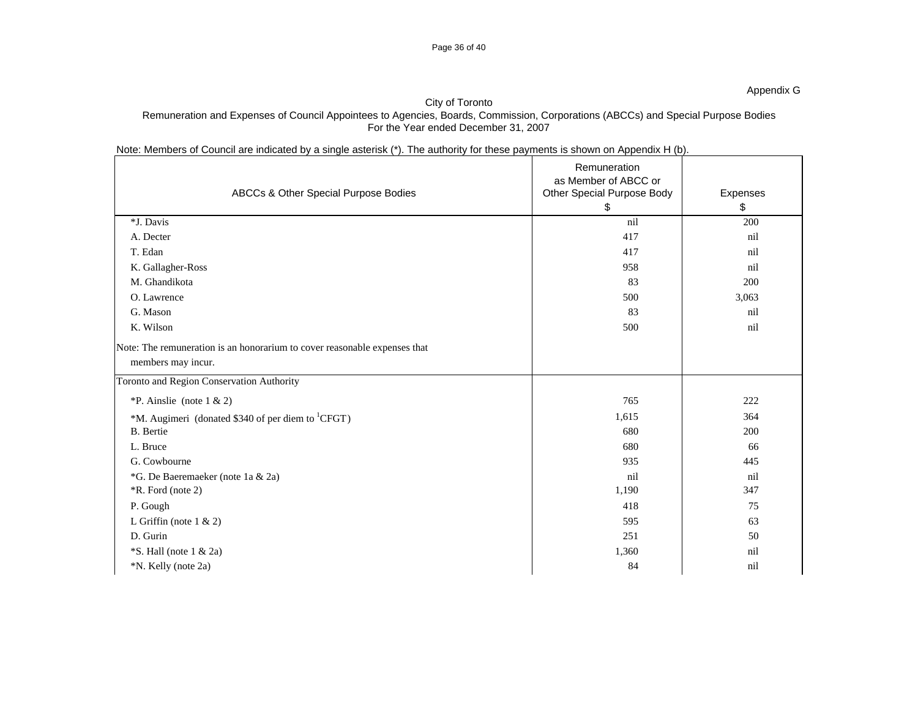## City of Toronto Remuneration and Expenses of Council Appointees to Agencies, Boards, Commission, Corporations (ABCCs) and Special Purpose Bodies For the Year ended December 31, 2007

Page 36 of 40

Note: Members of Council are indicated by a single asterisk (\*). The authority for these payments is shown on Appendix H (b).

| ABCCs & Other Special Purpose Bodies                                                            | Remuneration<br>as Member of ABCC or<br>Other Special Purpose Body<br>\$ | Expenses<br>\$ |
|-------------------------------------------------------------------------------------------------|--------------------------------------------------------------------------|----------------|
| *J. Davis                                                                                       | nil                                                                      | 200            |
| A. Decter                                                                                       | 417                                                                      | nil            |
| T. Edan                                                                                         | 417                                                                      | nil            |
| K. Gallagher-Ross                                                                               | 958                                                                      | nil            |
| M. Ghandikota                                                                                   | 83                                                                       | 200            |
| O. Lawrence                                                                                     | 500                                                                      | 3,063          |
| G. Mason                                                                                        | 83                                                                       | nil            |
| K. Wilson                                                                                       | 500                                                                      | nil            |
| Note: The remuneration is an honorarium to cover reasonable expenses that<br>members may incur. |                                                                          |                |
| Toronto and Region Conservation Authority                                                       |                                                                          |                |
| *P. Ainslie (note $1 \& 2$ )                                                                    | 765                                                                      | 222            |
| *M. Augimeri (donated \$340 of per diem to <sup>1</sup> CFGT)                                   | 1,615                                                                    | 364            |
| <b>B.</b> Bertie                                                                                | 680                                                                      | 200            |
| L. Bruce                                                                                        | 680                                                                      | 66             |
| G. Cowbourne                                                                                    | 935                                                                      | 445            |
| *G. De Baeremaeker (note 1a & 2a)                                                               | nil                                                                      | nil            |
| *R. Ford (note 2)                                                                               | 1,190                                                                    | 347            |
| P. Gough                                                                                        | 418                                                                      | 75             |
| L Griffin (note $1 \& 2$ )                                                                      | 595                                                                      | 63             |
| D. Gurin                                                                                        | 251                                                                      | 50             |
| $\overline{S}$ . Hall (note 1 & 2a)                                                             | 1,360                                                                    | nil            |
| *N. Kelly (note 2a)                                                                             | 84                                                                       | nil            |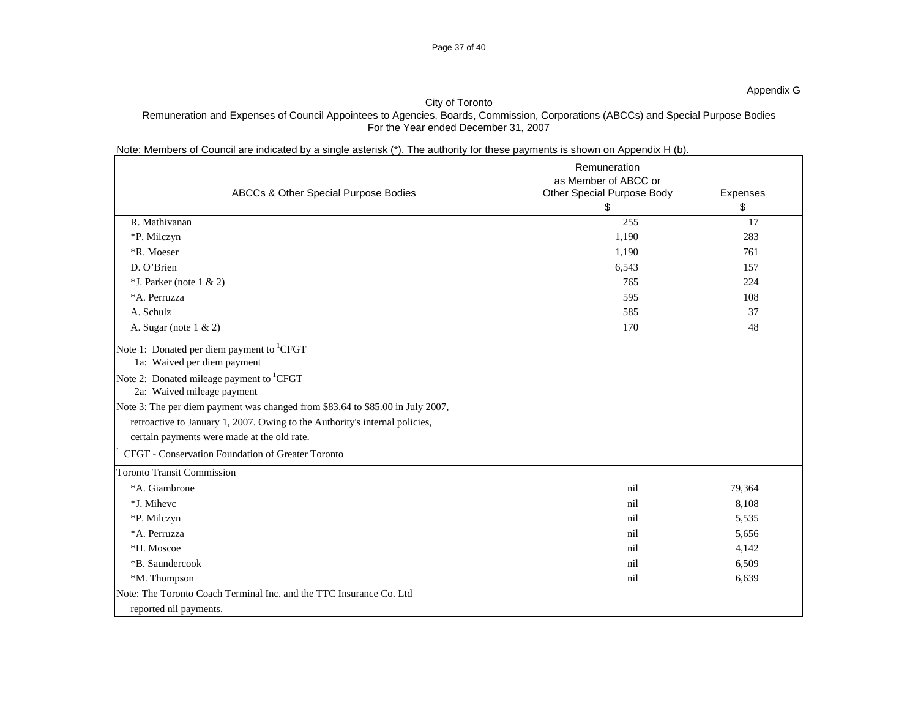## Page 37 of 40

## City of Toronto Remuneration and Expenses of Council Appointees to Agencies, Boards, Commission, Corporations (ABCCs) and Special Purpose Bodies For the Year ended December 31, 2007

| Note: Members of Council are indicated by a single asterisk (*). The authority for these payments is shown on Appendix H (b). |
|-------------------------------------------------------------------------------------------------------------------------------|
|-------------------------------------------------------------------------------------------------------------------------------|

|                                                                                      | Remuneration<br>as Member of ABCC or |                |
|--------------------------------------------------------------------------------------|--------------------------------------|----------------|
| ABCCs & Other Special Purpose Bodies                                                 | Other Special Purpose Body<br>\$     | Expenses<br>\$ |
| R. Mathivanan                                                                        | 255                                  | 17             |
| *P. Milczyn                                                                          | 1,190                                | 283            |
| *R. Moeser                                                                           | 1,190                                | 761            |
| D. O'Brien                                                                           | 6,543                                | 157            |
| $*$ J. Parker (note 1 & 2)                                                           | 765                                  | 224            |
| *A. Perruzza                                                                         | 595                                  | 108            |
| A. Schulz                                                                            | 585                                  | 37             |
| A. Sugar (note $1 \& 2$ )                                                            | 170                                  | 48             |
| Note 1: Donated per diem payment to <sup>1</sup> CFGT<br>1a: Waived per diem payment |                                      |                |
| Note 2: Donated mileage payment to <sup>1</sup> CFGT<br>2a: Waived mileage payment   |                                      |                |
| Note 3: The per diem payment was changed from \$83.64 to \$85.00 in July 2007,       |                                      |                |
| retroactive to January 1, 2007. Owing to the Authority's internal policies,          |                                      |                |
| certain payments were made at the old rate.                                          |                                      |                |
| CFGT - Conservation Foundation of Greater Toronto                                    |                                      |                |
| <b>Toronto Transit Commission</b>                                                    |                                      |                |
| *A. Giambrone                                                                        | nil                                  | 79,364         |
| *J. Mihevc                                                                           | nil                                  | 8,108          |
| *P. Milczyn                                                                          | nil                                  | 5,535          |
| *A. Perruzza                                                                         | nil                                  | 5,656          |
| *H. Moscoe                                                                           | nil                                  | 4,142          |
| *B. Saundercook                                                                      | nil                                  | 6,509          |
| *M. Thompson                                                                         | nil                                  | 6,639          |
| Note: The Toronto Coach Terminal Inc. and the TTC Insurance Co. Ltd                  |                                      |                |
| reported nil payments.                                                               |                                      |                |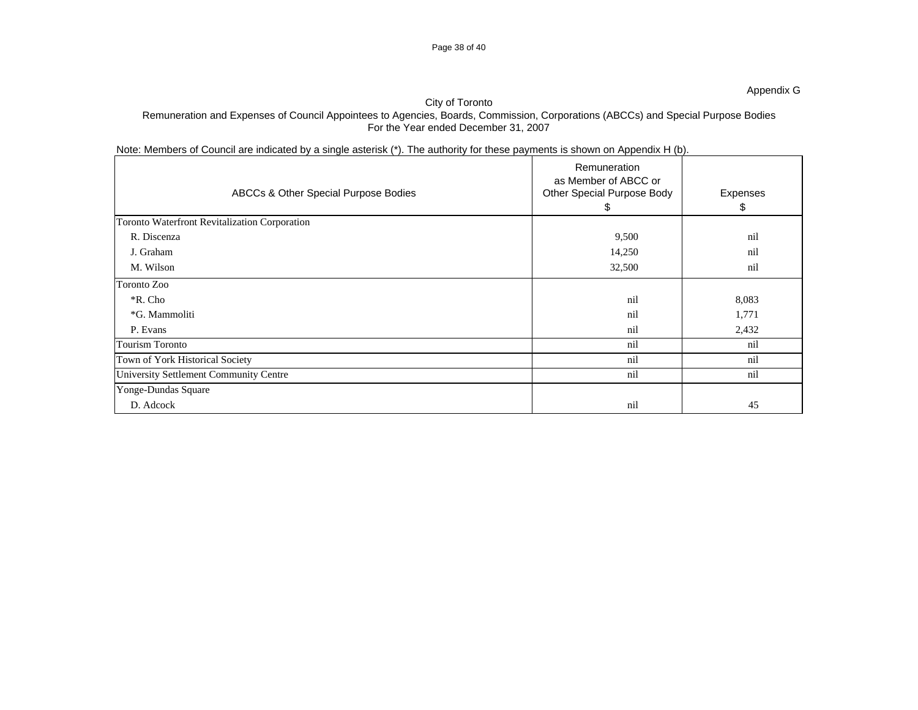## Page 38 of 40

## City of Toronto

## Remuneration and Expenses of Council Appointees to Agencies, Boards, Commission, Corporations (ABCCs) and Special Purpose Bodies For the Year ended December 31, 2007

Note: Members of Council are indicated by a single asterisk (\*). The authority for these payments is shown on Appendix H (b).

| ABCCs & Other Special Purpose Bodies          | Remuneration<br>as Member of ABCC or<br>Other Special Purpose Body<br>\$ | Expenses<br>\$ |
|-----------------------------------------------|--------------------------------------------------------------------------|----------------|
| Toronto Waterfront Revitalization Corporation |                                                                          |                |
| R. Discenza                                   | 9,500                                                                    | nil            |
| J. Graham                                     | 14,250                                                                   | nil            |
| M. Wilson                                     | 32,500                                                                   | nil            |
| Toronto Zoo                                   |                                                                          |                |
| *R. Cho                                       | nil                                                                      | 8,083          |
| *G. Mammoliti                                 | nil                                                                      | 1,771          |
| P. Evans                                      | nil                                                                      | 2,432          |
| <b>Tourism Toronto</b>                        | nil                                                                      | nil            |
| Town of York Historical Society               | nil                                                                      | nil            |
| University Settlement Community Centre        | nil                                                                      | nil            |
| Yonge-Dundas Square                           |                                                                          |                |
| D. Adcock                                     | nil                                                                      | 45             |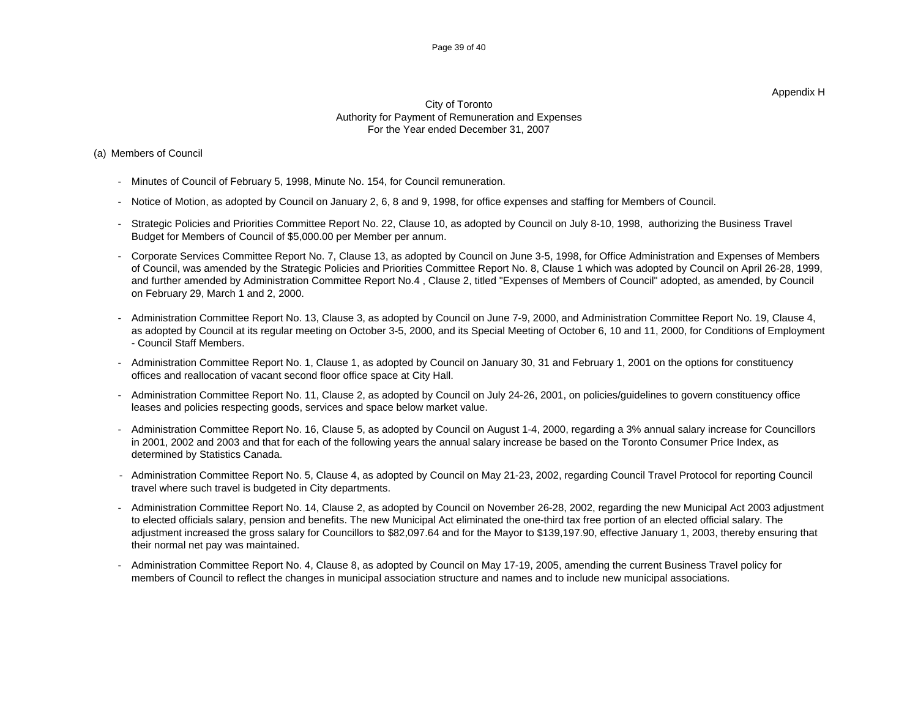#### Appendix H

### City of Toronto Authority for Payment of Remuneration and Expenses For the Year ended December 31, 2007

### (a) Members of Council

- Minutes of Council of February 5, 1998, Minute No. 154, for Council remuneration.
- Notice of Motion, as adopted by Council on January 2, 6, 8 and 9, 1998, for office expenses and staffing for Members of Council.
- Strategic Policies and Priorities Committee Report No. 22, Clause 10, as adopted by Council on July 8-10, 1998, authorizing the Business Travel Budget for Members of Council of \$5,000.00 per Member per annum.
- Corporate Services Committee Report No. 7, Clause 13, as adopted by Council on June 3-5, 1998, for Office Administration and Expenses of Members of Council, was amended by the Strategic Policies and Priorities Committee Report No. 8, Clause 1 which was adopted by Council on April 26-28, 1999, and further amended by Administration Committee Report No.4 , Clause 2, titled "Expenses of Members of Council" adopted, as amended, by Council on February 29, March 1 and 2, 2000.
- Administration Committee Report No. 13, Clause 3, as adopted by Council on June 7-9, 2000, and Administration Committee Report No. 19, Clause 4, as adopted by Council at its regular meeting on October 3-5, 2000, and its Special Meeting of October 6, 10 and 11, 2000, for Conditions of Employment - Council Staff Members.
- Administration Committee Report No. 1, Clause 1, as adopted by Council on January 30, 31 and February 1, 2001 on the options for constituency offices and reallocation of vacant second floor office space at City Hall.
- Administration Committee Report No. 11, Clause 2, as adopted by Council on July 24-26, 2001, on policies/guidelines to govern constituency office leases and policies respecting goods, services and space below market value.
- Administration Committee Report No. 16, Clause 5, as adopted by Council on August 1-4, 2000, regarding a 3% annual salary increase for Councillors in 2001, 2002 and 2003 and that for each of the following years the annual salary increase be based on the Toronto Consumer Price Index, as determined by Statistics Canada.
- Administration Committee Report No. 5, Clause 4, as adopted by Council on May 21-23, 2002, regarding Council Travel Protocol for reporting Council travel where such travel is budgeted in City departments.
- Administration Committee Report No. 14, Clause 2, as adopted by Council on November 26-28, 2002, regarding the new Municipal Act 2003 adjustment to elected officials salary, pension and benefits. The new Municipal Act eliminated the one-third tax free portion of an elected official salary. The adjustment increased the gross salary for Councillors to \$82,097.64 and for the Mayor to \$139,197.90, effective January 1, 2003, thereby ensuring that their normal net pay was maintained.
- Administration Committee Report No. 4, Clause 8, as adopted by Council on May 17-19, 2005, amending the current Business Travel policy for members of Council to reflect the changes in municipal association structure and names and to include new municipal associations.